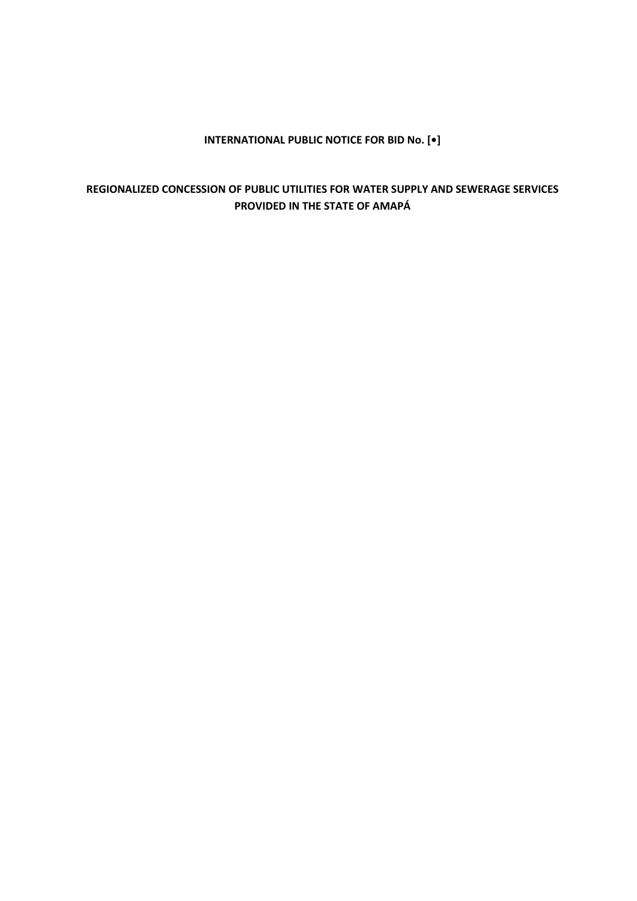## **INTERNATIONAL PUBLIC NOTICE FOR BID No. [•]**

## **REGIONALIZED CONCESSION OF PUBLIC UTILITIES FOR WATER SUPPLY AND SEWERAGE SERVICES PROVIDED IN THE STATE OF AMAPÁ**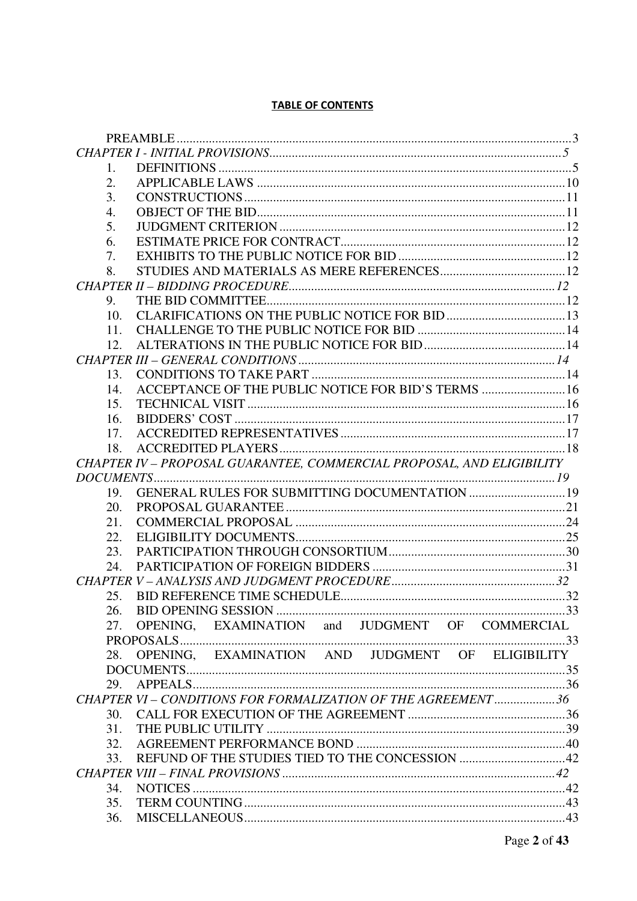## **TABLE OF CONTENTS**

| 1.              |                                                                       |  |
|-----------------|-----------------------------------------------------------------------|--|
| 2.              |                                                                       |  |
| 3.              |                                                                       |  |
| 4.              |                                                                       |  |
| 5.              |                                                                       |  |
| 6.              |                                                                       |  |
| 7.              |                                                                       |  |
| 8.              |                                                                       |  |
|                 |                                                                       |  |
| 9.              |                                                                       |  |
| 10.             |                                                                       |  |
| 11.             |                                                                       |  |
| 12 <sub>1</sub> |                                                                       |  |
|                 |                                                                       |  |
| 13.             |                                                                       |  |
| 14.             | ACCEPTANCE OF THE PUBLIC NOTICE FOR BID'S TERMS  16                   |  |
| 15.             |                                                                       |  |
| 16.             |                                                                       |  |
| 17.             |                                                                       |  |
| 18.             |                                                                       |  |
|                 | CHAPTER IV - PROPOSAL GUARANTEE, COMMERCIAL PROPOSAL, AND ELIGIBILITY |  |
|                 |                                                                       |  |
| 19.             | GENERAL RULES FOR SUBMITTING DOCUMENTATION  19                        |  |
|                 |                                                                       |  |
| 20.             |                                                                       |  |
| 21.             |                                                                       |  |
| 22.             |                                                                       |  |
| 23.             |                                                                       |  |
| 24.             |                                                                       |  |
|                 |                                                                       |  |
| 25.             |                                                                       |  |
| 26.             |                                                                       |  |
| 27.             | OPENING, EXAMINATION and JUDGMENT OF COMMERCIAL                       |  |
|                 |                                                                       |  |
| 28.             | OPENING, EXAMINATION AND JUDGMENT OF ELIGIBILITY                      |  |
|                 |                                                                       |  |
| 29.             |                                                                       |  |
|                 | CHAPTER VI - CONDITIONS FOR FORMALIZATION OF THE AGREEMENT 36         |  |
| 30.             |                                                                       |  |
| 31.             |                                                                       |  |
| 32.             |                                                                       |  |
| 33.             |                                                                       |  |
|                 |                                                                       |  |
| 34.             |                                                                       |  |
| 35.             |                                                                       |  |
| 36.             |                                                                       |  |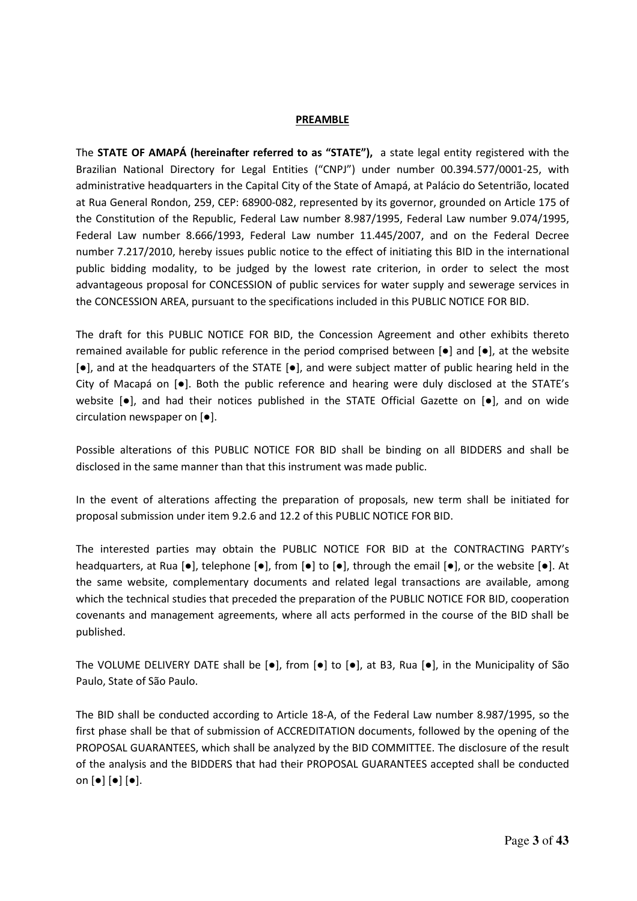#### **PREAMBLE**

The **STATE OF AMAPÁ (hereinafter referred to as "STATE"),** a state legal entity registered with the Brazilian National Directory for Legal Entities ("CNPJ") under number 00.394.577/0001-25, with administrative headquarters in the Capital City of the State of Amapá, at Palácio do Setentrião, located at Rua General Rondon, 259, CEP: 68900-082, represented by its governor, grounded on Article 175 of the Constitution of the Republic, Federal Law number 8.987/1995, Federal Law number 9.074/1995, Federal Law number 8.666/1993, Federal Law number 11.445/2007, and on the Federal Decree number 7.217/2010, hereby issues public notice to the effect of initiating this BID in the international public bidding modality, to be judged by the lowest rate criterion, in order to select the most advantageous proposal for CONCESSION of public services for water supply and sewerage services in the CONCESSION AREA, pursuant to the specifications included in this PUBLIC NOTICE FOR BID.

The draft for this PUBLIC NOTICE FOR BID, the Concession Agreement and other exhibits thereto remained available for public reference in the period comprised between [●] and [●], at the website [●], and at the headquarters of the STATE [●], and were subject matter of public hearing held in the City of Macapá on [●]. Both the public reference and hearing were duly disclosed at the STATE's website [●], and had their notices published in the STATE Official Gazette on [●], and on wide circulation newspaper on [●].

Possible alterations of this PUBLIC NOTICE FOR BID shall be binding on all BIDDERS and shall be disclosed in the same manner than that this instrument was made public.

In the event of alterations affecting the preparation of proposals, new term shall be initiated for proposal submission under item 9.2.6 and 12.2 of this PUBLIC NOTICE FOR BID.

The interested parties may obtain the PUBLIC NOTICE FOR BID at the CONTRACTING PARTY's headquarters, at Rua [●], telephone [●], from [●] to [●], through the email [●], or the website [●]. At the same website, complementary documents and related legal transactions are available, among which the technical studies that preceded the preparation of the PUBLIC NOTICE FOR BID, cooperation covenants and management agreements, where all acts performed in the course of the BID shall be published.

The VOLUME DELIVERY DATE shall be  $[\bullet]$ , from  $[\bullet]$  to  $[\bullet]$ , at B3, Rua  $[\bullet]$ , in the Municipality of São Paulo, State of São Paulo.

The BID shall be conducted according to Article 18-A, of the Federal Law number 8.987/1995, so the first phase shall be that of submission of ACCREDITATION documents, followed by the opening of the PROPOSAL GUARANTEES, which shall be analyzed by the BID COMMITTEE. The disclosure of the result of the analysis and the BIDDERS that had their PROPOSAL GUARANTEES accepted shall be conducted on [●] [●] [●].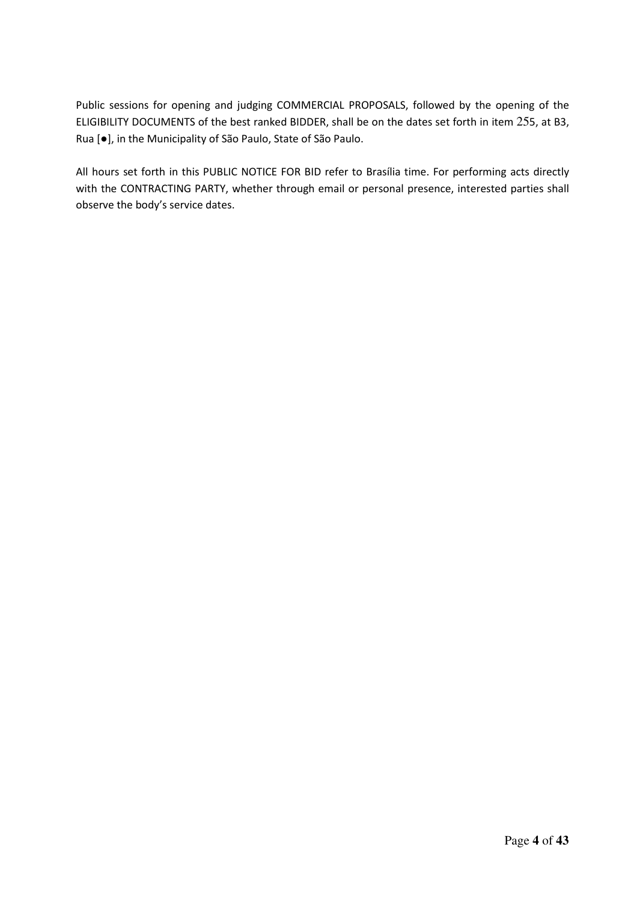Public sessions for opening and judging COMMERCIAL PROPOSALS, followed by the opening of the ELIGIBILITY DOCUMENTS of the best ranked BIDDER, shall be on the dates set forth in item 255, at B3, Rua [●], in the Municipality of São Paulo, State of São Paulo.

All hours set forth in this PUBLIC NOTICE FOR BID refer to Brasília time. For performing acts directly with the CONTRACTING PARTY, whether through email or personal presence, interested parties shall observe the body's service dates.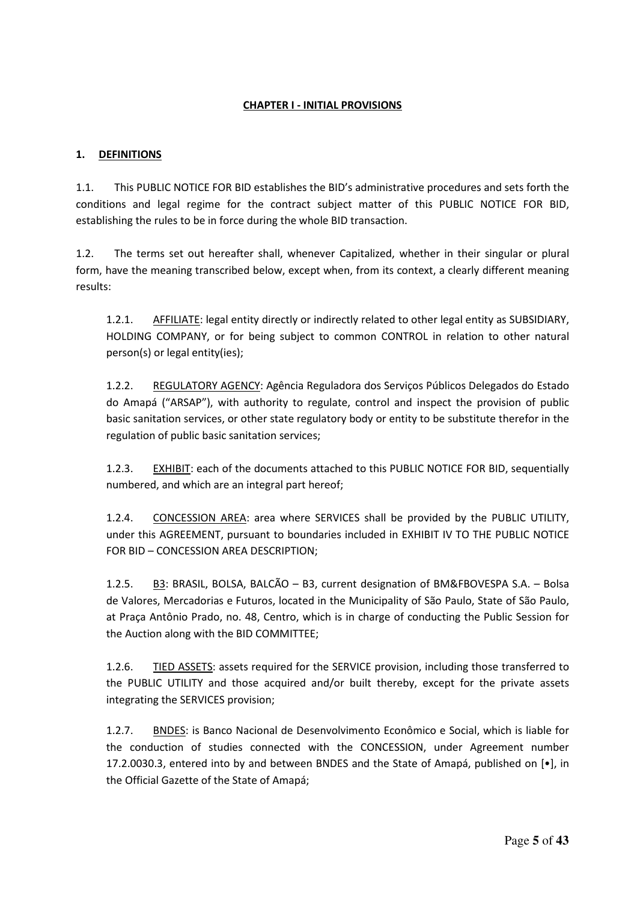#### **CHAPTER I - INITIAL PROVISIONS**

#### **1. DEFINITIONS**

1.1. This PUBLIC NOTICE FOR BID establishes the BID's administrative procedures and sets forth the conditions and legal regime for the contract subject matter of this PUBLIC NOTICE FOR BID, establishing the rules to be in force during the whole BID transaction.

1.2. The terms set out hereafter shall, whenever Capitalized, whether in their singular or plural form, have the meaning transcribed below, except when, from its context, a clearly different meaning results:

1.2.1. AFFILIATE: legal entity directly or indirectly related to other legal entity as SUBSIDIARY, HOLDING COMPANY, or for being subject to common CONTROL in relation to other natural person(s) or legal entity(ies);

1.2.2. REGULATORY AGENCY: Agência Reguladora dos Serviços Públicos Delegados do Estado do Amapá ("ARSAP"), with authority to regulate, control and inspect the provision of public basic sanitation services, or other state regulatory body or entity to be substitute therefor in the regulation of public basic sanitation services;

1.2.3. EXHIBIT: each of the documents attached to this PUBLIC NOTICE FOR BID, sequentially numbered, and which are an integral part hereof;

1.2.4. CONCESSION AREA: area where SERVICES shall be provided by the PUBLIC UTILITY, under this AGREEMENT, pursuant to boundaries included in EXHIBIT IV TO THE PUBLIC NOTICE FOR BID – CONCESSION AREA DESCRIPTION;

1.2.5. B3: BRASIL, BOLSA, BALCÃO – B3, current designation of BM&FBOVESPA S.A. – Bolsa de Valores, Mercadorias e Futuros, located in the Municipality of São Paulo, State of São Paulo, at Praça Antônio Prado, no. 48, Centro, which is in charge of conducting the Public Session for the Auction along with the BID COMMITTEE;

1.2.6. TIED ASSETS: assets required for the SERVICE provision, including those transferred to the PUBLIC UTILITY and those acquired and/or built thereby, except for the private assets integrating the SERVICES provision;

1.2.7. BNDES: is Banco Nacional de Desenvolvimento Econômico e Social, which is liable for the conduction of studies connected with the CONCESSION, under Agreement number 17.2.0030.3, entered into by and between BNDES and the State of Amapá, published on [•], in the Official Gazette of the State of Amapá;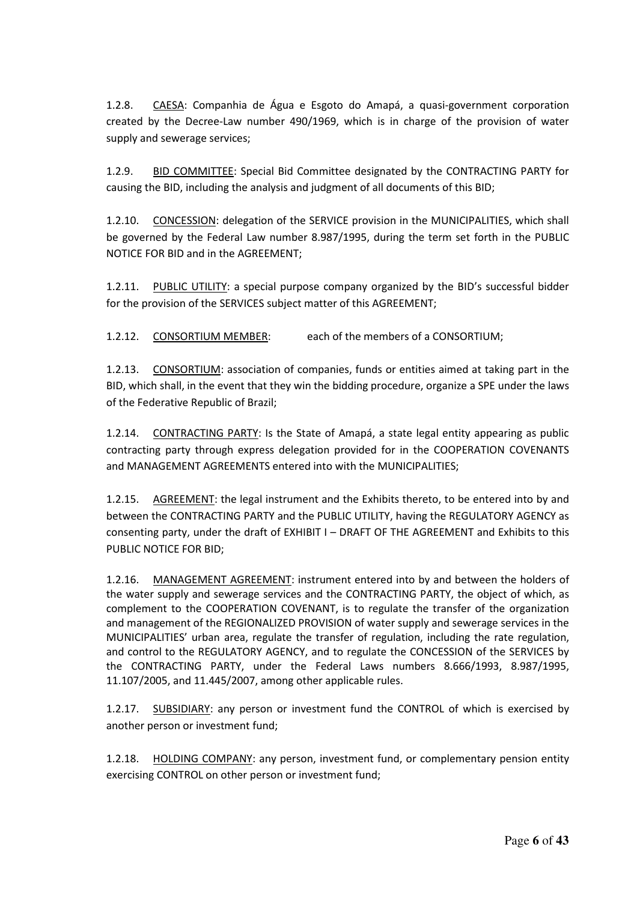1.2.8. CAESA: Companhia de Água e Esgoto do Amapá, a quasi-government corporation created by the Decree-Law number 490/1969, which is in charge of the provision of water supply and sewerage services;

1.2.9. BID COMMITTEE: Special Bid Committee designated by the CONTRACTING PARTY for causing the BID, including the analysis and judgment of all documents of this BID;

1.2.10. CONCESSION: delegation of the SERVICE provision in the MUNICIPALITIES, which shall be governed by the Federal Law number 8.987/1995, during the term set forth in the PUBLIC NOTICE FOR BID and in the AGREEMENT;

1.2.11. PUBLIC UTILITY: a special purpose company organized by the BID's successful bidder for the provision of the SERVICES subject matter of this AGREEMENT;

1.2.12. CONSORTIUM MEMBER: each of the members of a CONSORTIUM;

1.2.13. CONSORTIUM: association of companies, funds or entities aimed at taking part in the BID, which shall, in the event that they win the bidding procedure, organize a SPE under the laws of the Federative Republic of Brazil;

1.2.14. CONTRACTING PARTY: Is the State of Amapá, a state legal entity appearing as public contracting party through express delegation provided for in the COOPERATION COVENANTS and MANAGEMENT AGREEMENTS entered into with the MUNICIPALITIES;

1.2.15. AGREEMENT: the legal instrument and the Exhibits thereto, to be entered into by and between the CONTRACTING PARTY and the PUBLIC UTILITY, having the REGULATORY AGENCY as consenting party, under the draft of EXHIBIT I – DRAFT OF THE AGREEMENT and Exhibits to this PUBLIC NOTICE FOR BID;

1.2.16. MANAGEMENT AGREEMENT: instrument entered into by and between the holders of the water supply and sewerage services and the CONTRACTING PARTY, the object of which, as complement to the COOPERATION COVENANT, is to regulate the transfer of the organization and management of the REGIONALIZED PROVISION of water supply and sewerage services in the MUNICIPALITIES' urban area, regulate the transfer of regulation, including the rate regulation, and control to the REGULATORY AGENCY, and to regulate the CONCESSION of the SERVICES by the CONTRACTING PARTY, under the Federal Laws numbers 8.666/1993, 8.987/1995, 11.107/2005, and 11.445/2007, among other applicable rules.

1.2.17. SUBSIDIARY: any person or investment fund the CONTROL of which is exercised by another person or investment fund;

1.2.18. HOLDING COMPANY: any person, investment fund, or complementary pension entity exercising CONTROL on other person or investment fund;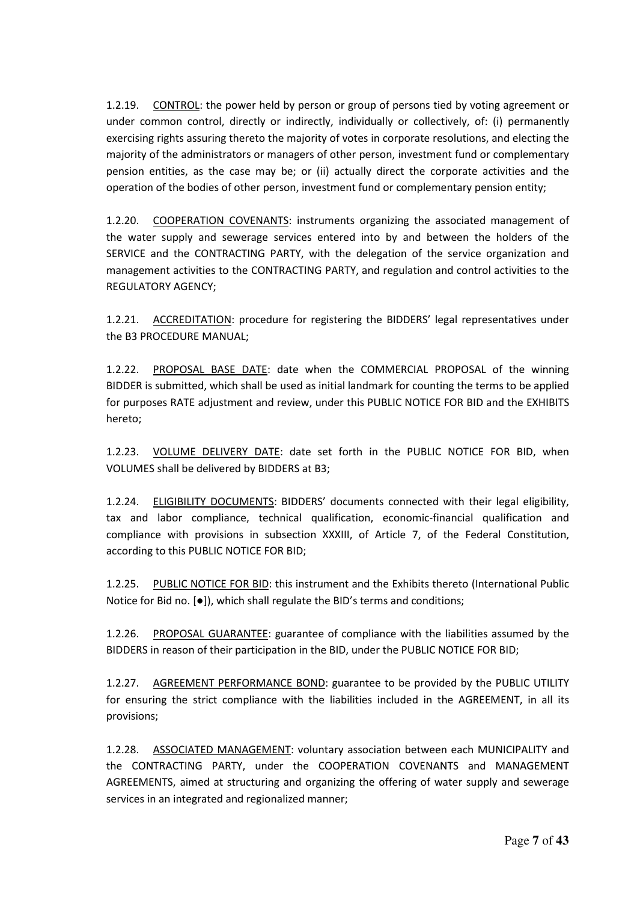1.2.19. CONTROL: the power held by person or group of persons tied by voting agreement or under common control, directly or indirectly, individually or collectively, of: (i) permanently exercising rights assuring thereto the majority of votes in corporate resolutions, and electing the majority of the administrators or managers of other person, investment fund or complementary pension entities, as the case may be; or (ii) actually direct the corporate activities and the operation of the bodies of other person, investment fund or complementary pension entity;

1.2.20. COOPERATION COVENANTS: instruments organizing the associated management of the water supply and sewerage services entered into by and between the holders of the SERVICE and the CONTRACTING PARTY, with the delegation of the service organization and management activities to the CONTRACTING PARTY, and regulation and control activities to the REGULATORY AGENCY;

1.2.21. ACCREDITATION: procedure for registering the BIDDERS' legal representatives under the B3 PROCEDURE MANUAL;

1.2.22. PROPOSAL BASE DATE: date when the COMMERCIAL PROPOSAL of the winning BIDDER is submitted, which shall be used as initial landmark for counting the terms to be applied for purposes RATE adjustment and review, under this PUBLIC NOTICE FOR BID and the EXHIBITS hereto;

1.2.23. VOLUME DELIVERY DATE: date set forth in the PUBLIC NOTICE FOR BID, when VOLUMES shall be delivered by BIDDERS at B3;

1.2.24. ELIGIBILITY DOCUMENTS: BIDDERS' documents connected with their legal eligibility, tax and labor compliance, technical qualification, economic-financial qualification and compliance with provisions in subsection XXXIII, of Article 7, of the Federal Constitution, according to this PUBLIC NOTICE FOR BID;

1.2.25. PUBLIC NOTICE FOR BID: this instrument and the Exhibits thereto (International Public Notice for Bid no. [●]), which shall regulate the BID's terms and conditions;

1.2.26. PROPOSAL GUARANTEE: guarantee of compliance with the liabilities assumed by the BIDDERS in reason of their participation in the BID, under the PUBLIC NOTICE FOR BID;

1.2.27. AGREEMENT PERFORMANCE BOND: guarantee to be provided by the PUBLIC UTILITY for ensuring the strict compliance with the liabilities included in the AGREEMENT, in all its provisions;

1.2.28. ASSOCIATED MANAGEMENT: voluntary association between each MUNICIPALITY and the CONTRACTING PARTY, under the COOPERATION COVENANTS and MANAGEMENT AGREEMENTS, aimed at structuring and organizing the offering of water supply and sewerage services in an integrated and regionalized manner;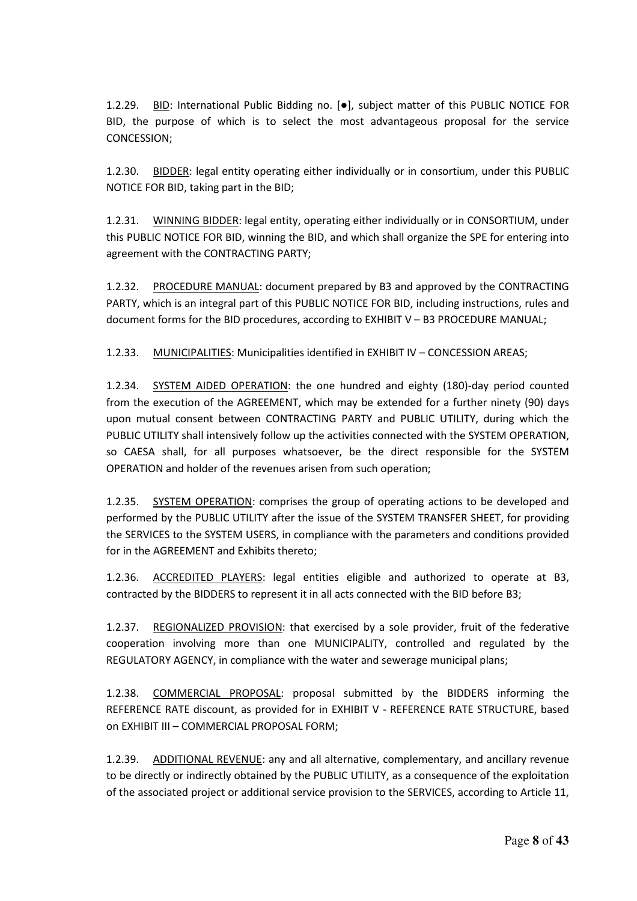1.2.29. BID: International Public Bidding no. [●], subject matter of this PUBLIC NOTICE FOR BID, the purpose of which is to select the most advantageous proposal for the service CONCESSION;

1.2.30. BIDDER: legal entity operating either individually or in consortium, under this PUBLIC NOTICE FOR BID, taking part in the BID;

1.2.31. WINNING BIDDER: legal entity, operating either individually or in CONSORTIUM, under this PUBLIC NOTICE FOR BID, winning the BID, and which shall organize the SPE for entering into agreement with the CONTRACTING PARTY;

1.2.32. PROCEDURE MANUAL: document prepared by B3 and approved by the CONTRACTING PARTY, which is an integral part of this PUBLIC NOTICE FOR BID, including instructions, rules and document forms for the BID procedures, according to EXHIBIT V – B3 PROCEDURE MANUAL;

1.2.33. MUNICIPALITIES: Municipalities identified in EXHIBIT IV – CONCESSION AREAS;

1.2.34. SYSTEM AIDED OPERATION: the one hundred and eighty (180)-day period counted from the execution of the AGREEMENT, which may be extended for a further ninety (90) days upon mutual consent between CONTRACTING PARTY and PUBLIC UTILITY, during which the PUBLIC UTILITY shall intensively follow up the activities connected with the SYSTEM OPERATION, so CAESA shall, for all purposes whatsoever, be the direct responsible for the SYSTEM OPERATION and holder of the revenues arisen from such operation;

1.2.35. SYSTEM OPERATION: comprises the group of operating actions to be developed and performed by the PUBLIC UTILITY after the issue of the SYSTEM TRANSFER SHEET, for providing the SERVICES to the SYSTEM USERS, in compliance with the parameters and conditions provided for in the AGREEMENT and Exhibits thereto;

1.2.36. ACCREDITED PLAYERS: legal entities eligible and authorized to operate at B3, contracted by the BIDDERS to represent it in all acts connected with the BID before B3;

1.2.37. REGIONALIZED PROVISION: that exercised by a sole provider, fruit of the federative cooperation involving more than one MUNICIPALITY, controlled and regulated by the REGULATORY AGENCY, in compliance with the water and sewerage municipal plans;

1.2.38. COMMERCIAL PROPOSAL: proposal submitted by the BIDDERS informing the REFERENCE RATE discount, as provided for in EXHIBIT V - REFERENCE RATE STRUCTURE, based on EXHIBIT III – COMMERCIAL PROPOSAL FORM;

1.2.39. ADDITIONAL REVENUE: any and all alternative, complementary, and ancillary revenue to be directly or indirectly obtained by the PUBLIC UTILITY, as a consequence of the exploitation of the associated project or additional service provision to the SERVICES, according to Article 11,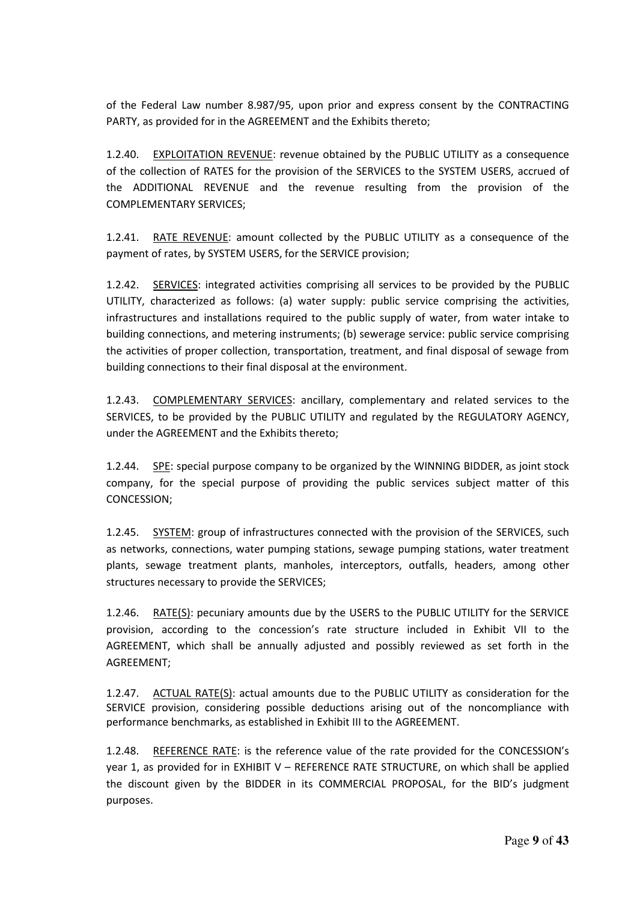of the Federal Law number 8.987/95, upon prior and express consent by the CONTRACTING PARTY, as provided for in the AGREEMENT and the Exhibits thereto;

1.2.40. EXPLOITATION REVENUE: revenue obtained by the PUBLIC UTILITY as a consequence of the collection of RATES for the provision of the SERVICES to the SYSTEM USERS, accrued of the ADDITIONAL REVENUE and the revenue resulting from the provision of the COMPLEMENTARY SERVICES;

1.2.41. RATE REVENUE: amount collected by the PUBLIC UTILITY as a consequence of the payment of rates, by SYSTEM USERS, for the SERVICE provision;

1.2.42. SERVICES: integrated activities comprising all services to be provided by the PUBLIC UTILITY, characterized as follows: (a) water supply: public service comprising the activities, infrastructures and installations required to the public supply of water, from water intake to building connections, and metering instruments; (b) sewerage service: public service comprising the activities of proper collection, transportation, treatment, and final disposal of sewage from building connections to their final disposal at the environment.

1.2.43. COMPLEMENTARY SERVICES: ancillary, complementary and related services to the SERVICES, to be provided by the PUBLIC UTILITY and regulated by the REGULATORY AGENCY, under the AGREEMENT and the Exhibits thereto;

1.2.44. SPE: special purpose company to be organized by the WINNING BIDDER, as joint stock company, for the special purpose of providing the public services subject matter of this CONCESSION;

1.2.45. SYSTEM: group of infrastructures connected with the provision of the SERVICES, such as networks, connections, water pumping stations, sewage pumping stations, water treatment plants, sewage treatment plants, manholes, interceptors, outfalls, headers, among other structures necessary to provide the SERVICES;

1.2.46. RATE(S): pecuniary amounts due by the USERS to the PUBLIC UTILITY for the SERVICE provision, according to the concession's rate structure included in Exhibit VII to the AGREEMENT, which shall be annually adjusted and possibly reviewed as set forth in the AGREEMENT;

1.2.47. ACTUAL RATE(S): actual amounts due to the PUBLIC UTILITY as consideration for the SERVICE provision, considering possible deductions arising out of the noncompliance with performance benchmarks, as established in Exhibit III to the AGREEMENT.

1.2.48. REFERENCE RATE: is the reference value of the rate provided for the CONCESSION's year 1, as provided for in EXHIBIT V – REFERENCE RATE STRUCTURE, on which shall be applied the discount given by the BIDDER in its COMMERCIAL PROPOSAL, for the BID's judgment purposes.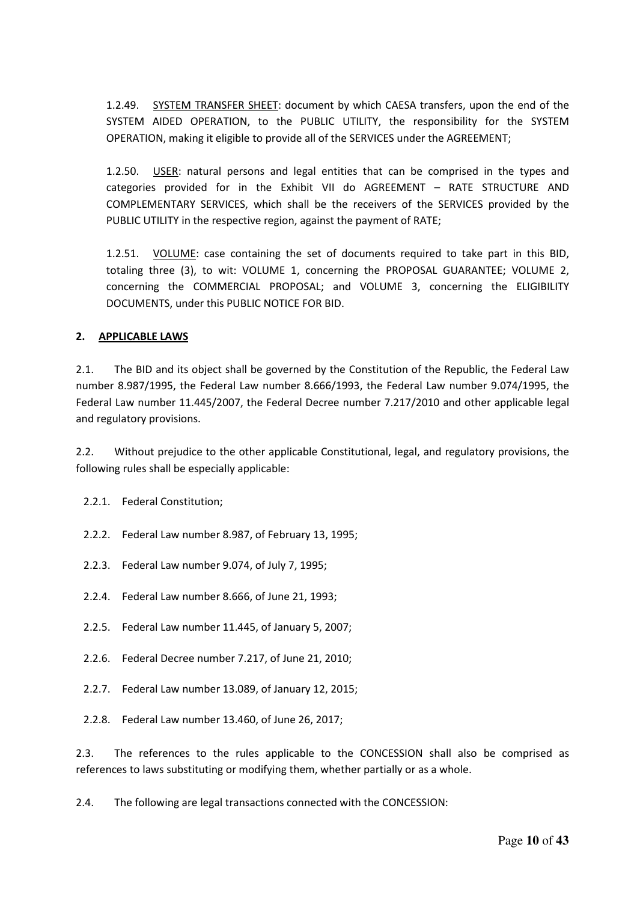1.2.49. SYSTEM TRANSFER SHEET: document by which CAESA transfers, upon the end of the SYSTEM AIDED OPERATION, to the PUBLIC UTILITY, the responsibility for the SYSTEM OPERATION, making it eligible to provide all of the SERVICES under the AGREEMENT;

1.2.50. USER: natural persons and legal entities that can be comprised in the types and categories provided for in the Exhibit VII do AGREEMENT – RATE STRUCTURE AND COMPLEMENTARY SERVICES, which shall be the receivers of the SERVICES provided by the PUBLIC UTILITY in the respective region, against the payment of RATE;

1.2.51. VOLUME: case containing the set of documents required to take part in this BID, totaling three (3), to wit: VOLUME 1, concerning the PROPOSAL GUARANTEE; VOLUME 2, concerning the COMMERCIAL PROPOSAL; and VOLUME 3, concerning the ELIGIBILITY DOCUMENTS, under this PUBLIC NOTICE FOR BID.

#### **2. APPLICABLE LAWS**

2.1. The BID and its object shall be governed by the Constitution of the Republic, the Federal Law number 8.987/1995, the Federal Law number 8.666/1993, the Federal Law number 9.074/1995, the Federal Law number 11.445/2007, the Federal Decree number 7.217/2010 and other applicable legal and regulatory provisions.

2.2. Without prejudice to the other applicable Constitutional, legal, and regulatory provisions, the following rules shall be especially applicable:

2.2.1. Federal Constitution;

- 2.2.2. Federal Law number 8.987, of February 13, 1995;
- 2.2.3. Federal Law number 9.074, of July 7, 1995;
- 2.2.4. Federal Law number 8.666, of June 21, 1993;
- 2.2.5. Federal Law number 11.445, of January 5, 2007;
- 2.2.6. Federal Decree number 7.217, of June 21, 2010;
- 2.2.7. Federal Law number 13.089, of January 12, 2015;
- 2.2.8. Federal Law number 13.460, of June 26, 2017;

2.3. The references to the rules applicable to the CONCESSION shall also be comprised as references to laws substituting or modifying them, whether partially or as a whole.

2.4. The following are legal transactions connected with the CONCESSION: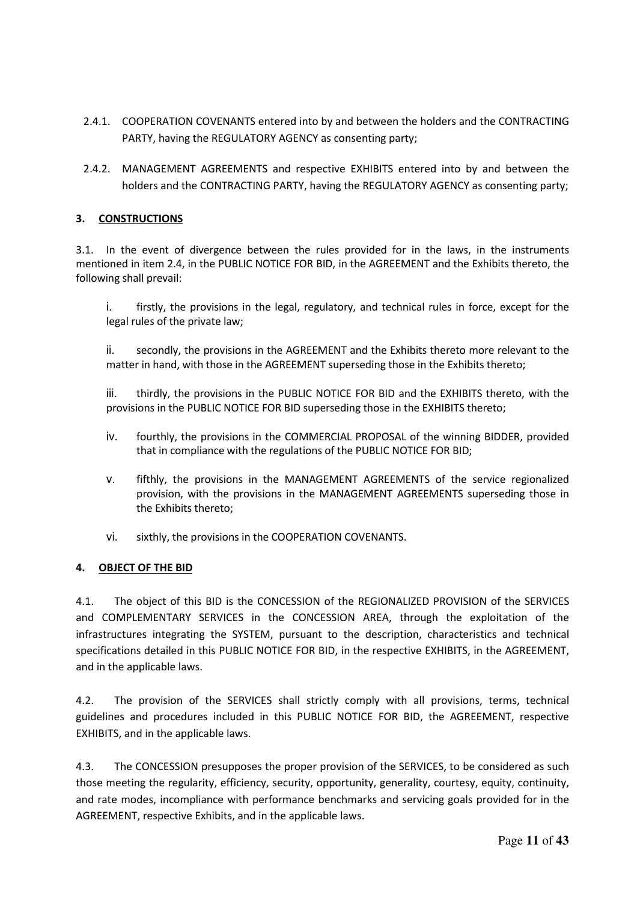- 2.4.1. COOPERATION COVENANTS entered into by and between the holders and the CONTRACTING PARTY, having the REGULATORY AGENCY as consenting party;
- 2.4.2. MANAGEMENT AGREEMENTS and respective EXHIBITS entered into by and between the holders and the CONTRACTING PARTY, having the REGULATORY AGENCY as consenting party;

#### **3. CONSTRUCTIONS**

3.1. In the event of divergence between the rules provided for in the laws, in the instruments mentioned in item 2.4, in the PUBLIC NOTICE FOR BID, in the AGREEMENT and the Exhibits thereto, the following shall prevail:

i. firstly, the provisions in the legal, regulatory, and technical rules in force, except for the legal rules of the private law;

ii. secondly, the provisions in the AGREEMENT and the Exhibits thereto more relevant to the matter in hand, with those in the AGREEMENT superseding those in the Exhibits thereto;

iii. thirdly, the provisions in the PUBLIC NOTICE FOR BID and the EXHIBITS thereto, with the provisions in the PUBLIC NOTICE FOR BID superseding those in the EXHIBITS thereto;

- iv. fourthly, the provisions in the COMMERCIAL PROPOSAL of the winning BIDDER, provided that in compliance with the regulations of the PUBLIC NOTICE FOR BID;
- v. fifthly, the provisions in the MANAGEMENT AGREEMENTS of the service regionalized provision, with the provisions in the MANAGEMENT AGREEMENTS superseding those in the Exhibits thereto;
- vi. sixthly, the provisions in the COOPERATION COVENANTS.

#### **4. OBJECT OF THE BID**

4.1. The object of this BID is the CONCESSION of the REGIONALIZED PROVISION of the SERVICES and COMPLEMENTARY SERVICES in the CONCESSION AREA, through the exploitation of the infrastructures integrating the SYSTEM, pursuant to the description, characteristics and technical specifications detailed in this PUBLIC NOTICE FOR BID, in the respective EXHIBITS, in the AGREEMENT, and in the applicable laws.

4.2. The provision of the SERVICES shall strictly comply with all provisions, terms, technical guidelines and procedures included in this PUBLIC NOTICE FOR BID, the AGREEMENT, respective EXHIBITS, and in the applicable laws.

4.3. The CONCESSION presupposes the proper provision of the SERVICES, to be considered as such those meeting the regularity, efficiency, security, opportunity, generality, courtesy, equity, continuity, and rate modes, incompliance with performance benchmarks and servicing goals provided for in the AGREEMENT, respective Exhibits, and in the applicable laws.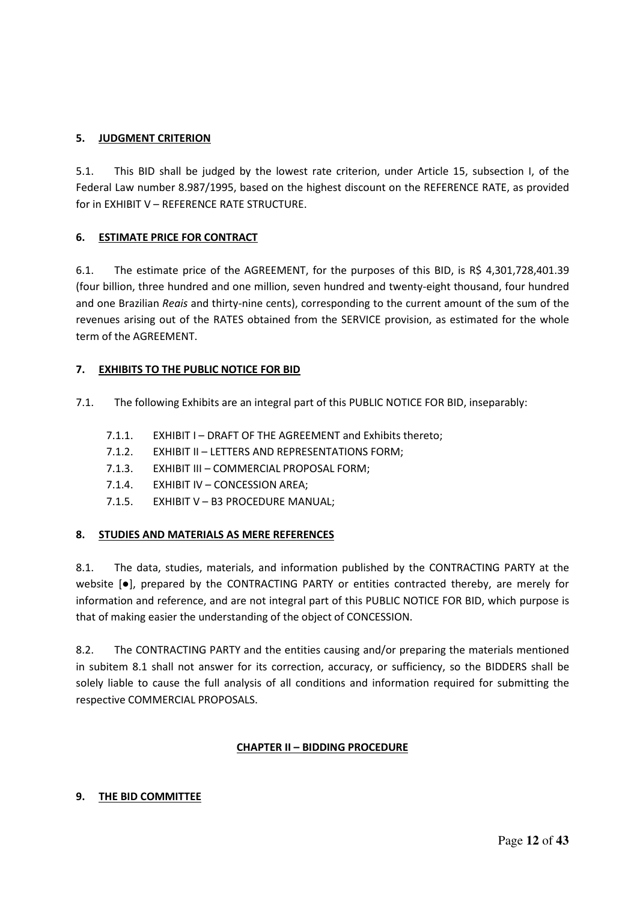#### **5. JUDGMENT CRITERION**

5.1. This BID shall be judged by the lowest rate criterion, under Article 15, subsection I, of the Federal Law number 8.987/1995, based on the highest discount on the REFERENCE RATE, as provided for in EXHIBIT V – REFERENCE RATE STRUCTURE.

#### **6. ESTIMATE PRICE FOR CONTRACT**

6.1. The estimate price of the AGREEMENT, for the purposes of this BID, is R\$ 4,301,728,401.39 (four billion, three hundred and one million, seven hundred and twenty-eight thousand, four hundred and one Brazilian *Reais* and thirty-nine cents), corresponding to the current amount of the sum of the revenues arising out of the RATES obtained from the SERVICE provision, as estimated for the whole term of the AGREEMENT.

#### **7. EXHIBITS TO THE PUBLIC NOTICE FOR BID**

- 7.1. The following Exhibits are an integral part of this PUBLIC NOTICE FOR BID, inseparably:
	- 7.1.1. EXHIBIT I DRAFT OF THE AGREEMENT and Exhibits thereto;
	- 7.1.2. EXHIBIT II LETTERS AND REPRESENTATIONS FORM;
	- 7.1.3. EXHIBIT III COMMERCIAL PROPOSAL FORM;
	- 7.1.4. EXHIBIT IV CONCESSION AREA;
	- 7.1.5. EXHIBIT V B3 PROCEDURE MANUAL;

#### **8. STUDIES AND MATERIALS AS MERE REFERENCES**

8.1. The data, studies, materials, and information published by the CONTRACTING PARTY at the website [●], prepared by the CONTRACTING PARTY or entities contracted thereby, are merely for information and reference, and are not integral part of this PUBLIC NOTICE FOR BID, which purpose is that of making easier the understanding of the object of CONCESSION.

8.2. The CONTRACTING PARTY and the entities causing and/or preparing the materials mentioned in subitem 8.1 shall not answer for its correction, accuracy, or sufficiency, so the BIDDERS shall be solely liable to cause the full analysis of all conditions and information required for submitting the respective COMMERCIAL PROPOSALS.

#### **CHAPTER II – BIDDING PROCEDURE**

#### **9. THE BID COMMITTEE**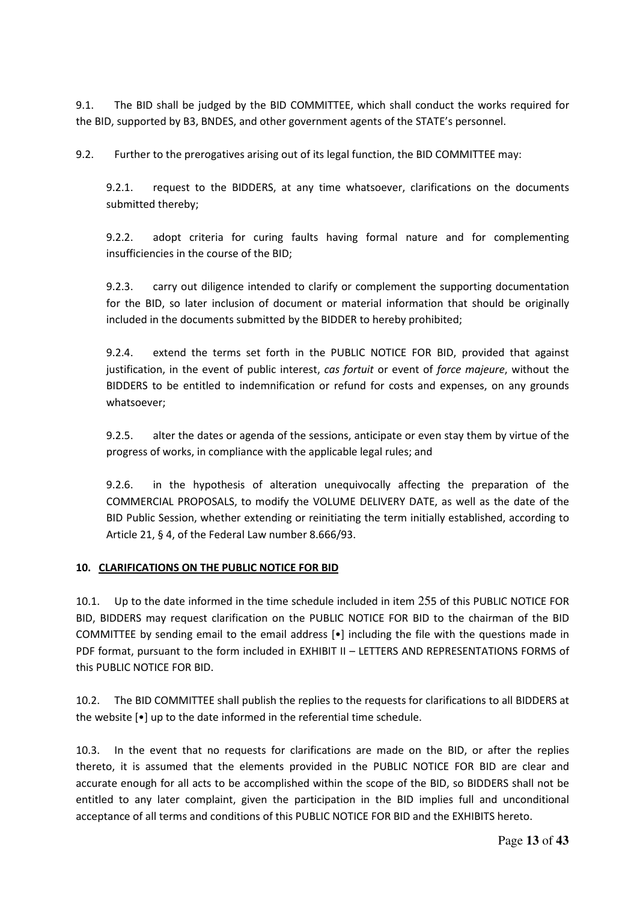9.1. The BID shall be judged by the BID COMMITTEE, which shall conduct the works required for the BID, supported by B3, BNDES, and other government agents of the STATE's personnel.

9.2. Further to the prerogatives arising out of its legal function, the BID COMMITTEE may:

9.2.1. request to the BIDDERS, at any time whatsoever, clarifications on the documents submitted thereby;

9.2.2. adopt criteria for curing faults having formal nature and for complementing insufficiencies in the course of the BID;

9.2.3. carry out diligence intended to clarify or complement the supporting documentation for the BID, so later inclusion of document or material information that should be originally included in the documents submitted by the BIDDER to hereby prohibited;

9.2.4. extend the terms set forth in the PUBLIC NOTICE FOR BID, provided that against justification, in the event of public interest, *cas fortuit* or event of *force majeure*, without the BIDDERS to be entitled to indemnification or refund for costs and expenses, on any grounds whatsoever;

9.2.5. alter the dates or agenda of the sessions, anticipate or even stay them by virtue of the progress of works, in compliance with the applicable legal rules; and

9.2.6. in the hypothesis of alteration unequivocally affecting the preparation of the COMMERCIAL PROPOSALS, to modify the VOLUME DELIVERY DATE, as well as the date of the BID Public Session, whether extending or reinitiating the term initially established, according to Article 21, § 4, of the Federal Law number 8.666/93.

#### **10. CLARIFICATIONS ON THE PUBLIC NOTICE FOR BID**

10.1. Up to the date informed in the time schedule included in item 255 of this PUBLIC NOTICE FOR BID, BIDDERS may request clarification on the PUBLIC NOTICE FOR BID to the chairman of the BID COMMITTEE by sending email to the email address [•] including the file with the questions made in PDF format, pursuant to the form included in EXHIBIT II – LETTERS AND REPRESENTATIONS FORMS of this PUBLIC NOTICE FOR BID.

10.2. The BID COMMITTEE shall publish the replies to the requests for clarifications to all BIDDERS at the website [•] up to the date informed in the referential time schedule.

10.3. In the event that no requests for clarifications are made on the BID, or after the replies thereto, it is assumed that the elements provided in the PUBLIC NOTICE FOR BID are clear and accurate enough for all acts to be accomplished within the scope of the BID, so BIDDERS shall not be entitled to any later complaint, given the participation in the BID implies full and unconditional acceptance of all terms and conditions of this PUBLIC NOTICE FOR BID and the EXHIBITS hereto.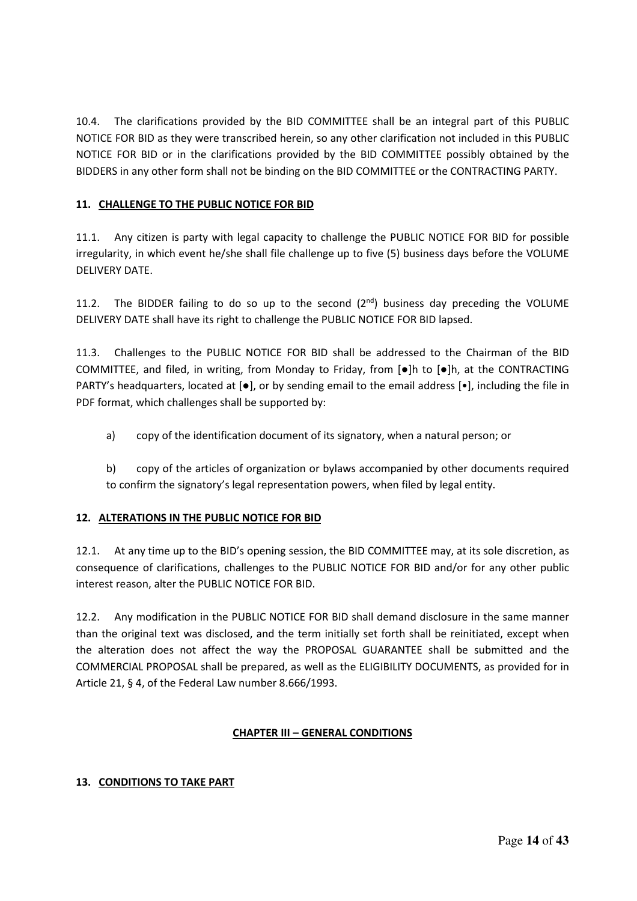10.4. The clarifications provided by the BID COMMITTEE shall be an integral part of this PUBLIC NOTICE FOR BID as they were transcribed herein, so any other clarification not included in this PUBLIC NOTICE FOR BID or in the clarifications provided by the BID COMMITTEE possibly obtained by the BIDDERS in any other form shall not be binding on the BID COMMITTEE or the CONTRACTING PARTY.

#### **11. CHALLENGE TO THE PUBLIC NOTICE FOR BID**

11.1. Any citizen is party with legal capacity to challenge the PUBLIC NOTICE FOR BID for possible irregularity, in which event he/she shall file challenge up to five (5) business days before the VOLUME DELIVERY DATE.

11.2. The BIDDER failing to do so up to the second  $(2^{nd})$  business day preceding the VOLUME DELIVERY DATE shall have its right to challenge the PUBLIC NOTICE FOR BID lapsed.

11.3. Challenges to the PUBLIC NOTICE FOR BID shall be addressed to the Chairman of the BID COMMITTEE, and filed, in writing, from Monday to Friday, from [●]h to [●]h, at the CONTRACTING PARTY's headquarters, located at [●], or by sending email to the email address [•], including the file in PDF format, which challenges shall be supported by:

- a) copy of the identification document of its signatory, when a natural person; or
- b) copy of the articles of organization or bylaws accompanied by other documents required to confirm the signatory's legal representation powers, when filed by legal entity.

## **12. ALTERATIONS IN THE PUBLIC NOTICE FOR BID**

12.1. At any time up to the BID's opening session, the BID COMMITTEE may, at its sole discretion, as consequence of clarifications, challenges to the PUBLIC NOTICE FOR BID and/or for any other public interest reason, alter the PUBLIC NOTICE FOR BID.

12.2. Any modification in the PUBLIC NOTICE FOR BID shall demand disclosure in the same manner than the original text was disclosed, and the term initially set forth shall be reinitiated, except when the alteration does not affect the way the PROPOSAL GUARANTEE shall be submitted and the COMMERCIAL PROPOSAL shall be prepared, as well as the ELIGIBILITY DOCUMENTS, as provided for in Article 21, § 4, of the Federal Law number 8.666/1993.

#### **CHAPTER III – GENERAL CONDITIONS**

#### **13. CONDITIONS TO TAKE PART**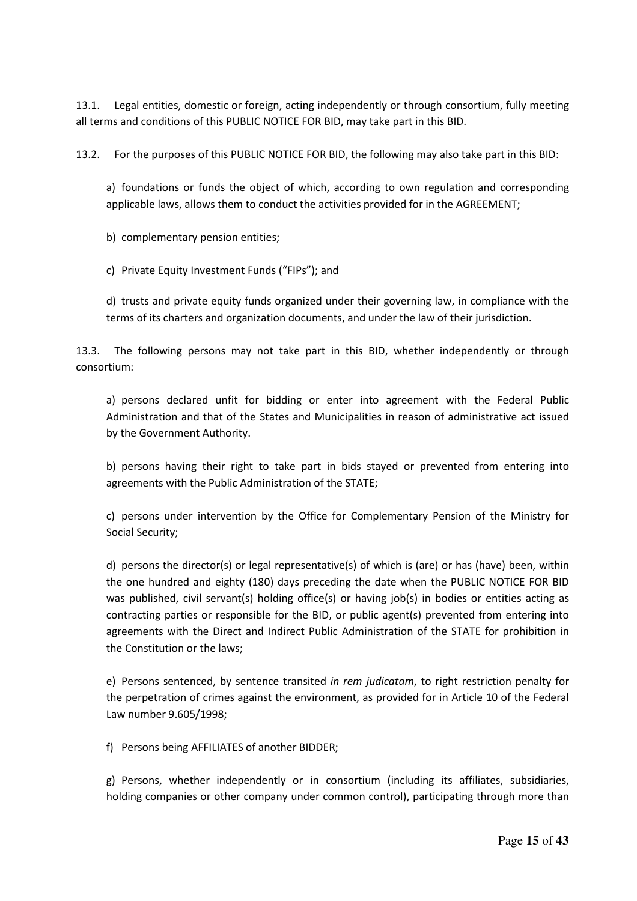13.1. Legal entities, domestic or foreign, acting independently or through consortium, fully meeting all terms and conditions of this PUBLIC NOTICE FOR BID, may take part in this BID.

13.2. For the purposes of this PUBLIC NOTICE FOR BID, the following may also take part in this BID:

a) foundations or funds the object of which, according to own regulation and corresponding applicable laws, allows them to conduct the activities provided for in the AGREEMENT;

b) complementary pension entities;

c) Private Equity Investment Funds ("FIPs"); and

d) trusts and private equity funds organized under their governing law, in compliance with the terms of its charters and organization documents, and under the law of their jurisdiction.

13.3. The following persons may not take part in this BID, whether independently or through consortium:

a) persons declared unfit for bidding or enter into agreement with the Federal Public Administration and that of the States and Municipalities in reason of administrative act issued by the Government Authority.

b) persons having their right to take part in bids stayed or prevented from entering into agreements with the Public Administration of the STATE;

c) persons under intervention by the Office for Complementary Pension of the Ministry for Social Security;

d) persons the director(s) or legal representative(s) of which is (are) or has (have) been, within the one hundred and eighty (180) days preceding the date when the PUBLIC NOTICE FOR BID was published, civil servant(s) holding office(s) or having job(s) in bodies or entities acting as contracting parties or responsible for the BID, or public agent(s) prevented from entering into agreements with the Direct and Indirect Public Administration of the STATE for prohibition in the Constitution or the laws;

e) Persons sentenced, by sentence transited *in rem judicatam*, to right restriction penalty for the perpetration of crimes against the environment, as provided for in Article 10 of the Federal Law number 9.605/1998;

f) Persons being AFFILIATES of another BIDDER;

g) Persons, whether independently or in consortium (including its affiliates, subsidiaries, holding companies or other company under common control), participating through more than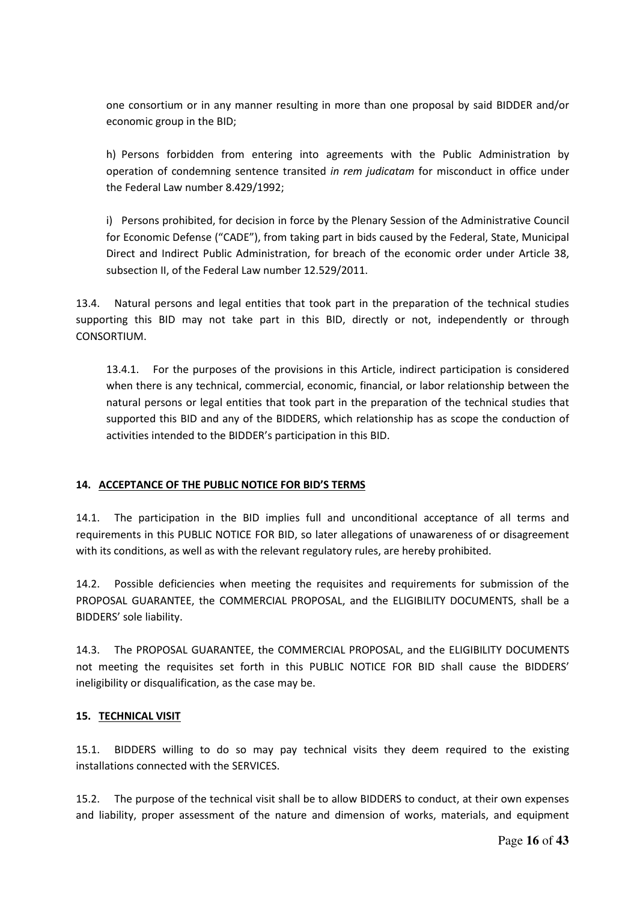one consortium or in any manner resulting in more than one proposal by said BIDDER and/or economic group in the BID;

h) Persons forbidden from entering into agreements with the Public Administration by operation of condemning sentence transited *in rem judicatam* for misconduct in office under the Federal Law number 8.429/1992;

i) Persons prohibited, for decision in force by the Plenary Session of the Administrative Council for Economic Defense ("CADE"), from taking part in bids caused by the Federal, State, Municipal Direct and Indirect Public Administration, for breach of the economic order under Article 38, subsection II, of the Federal Law number 12.529/2011.

13.4. Natural persons and legal entities that took part in the preparation of the technical studies supporting this BID may not take part in this BID, directly or not, independently or through CONSORTIUM.

13.4.1. For the purposes of the provisions in this Article, indirect participation is considered when there is any technical, commercial, economic, financial, or labor relationship between the natural persons or legal entities that took part in the preparation of the technical studies that supported this BID and any of the BIDDERS, which relationship has as scope the conduction of activities intended to the BIDDER's participation in this BID.

#### **14. ACCEPTANCE OF THE PUBLIC NOTICE FOR BID'S TERMS**

14.1. The participation in the BID implies full and unconditional acceptance of all terms and requirements in this PUBLIC NOTICE FOR BID, so later allegations of unawareness of or disagreement with its conditions, as well as with the relevant regulatory rules, are hereby prohibited.

14.2. Possible deficiencies when meeting the requisites and requirements for submission of the PROPOSAL GUARANTEE, the COMMERCIAL PROPOSAL, and the ELIGIBILITY DOCUMENTS, shall be a BIDDERS' sole liability.

14.3. The PROPOSAL GUARANTEE, the COMMERCIAL PROPOSAL, and the ELIGIBILITY DOCUMENTS not meeting the requisites set forth in this PUBLIC NOTICE FOR BID shall cause the BIDDERS' ineligibility or disqualification, as the case may be.

#### **15. TECHNICAL VISIT**

15.1. BIDDERS willing to do so may pay technical visits they deem required to the existing installations connected with the SERVICES.

15.2. The purpose of the technical visit shall be to allow BIDDERS to conduct, at their own expenses and liability, proper assessment of the nature and dimension of works, materials, and equipment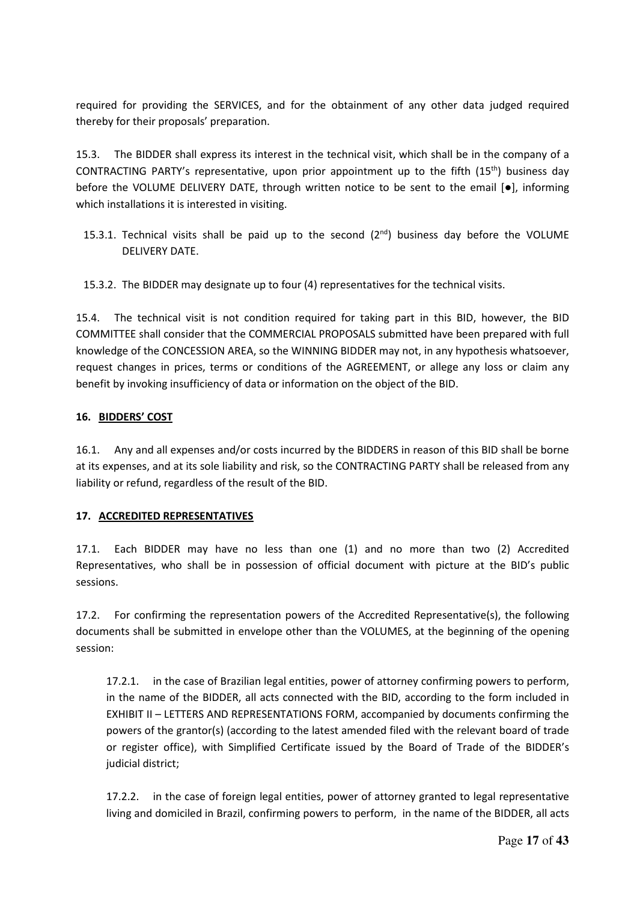required for providing the SERVICES, and for the obtainment of any other data judged required thereby for their proposals' preparation.

15.3. The BIDDER shall express its interest in the technical visit, which shall be in the company of a CONTRACTING PARTY's representative, upon prior appointment up to the fifth (15th) business day before the VOLUME DELIVERY DATE, through written notice to be sent to the email  $\lceil \bullet \rceil$ , informing which installations it is interested in visiting.

15.3.1. Technical visits shall be paid up to the second  $(2^{nd})$  business day before the VOLUME DELIVERY DATE.

15.3.2. The BIDDER may designate up to four (4) representatives for the technical visits.

15.4. The technical visit is not condition required for taking part in this BID, however, the BID COMMITTEE shall consider that the COMMERCIAL PROPOSALS submitted have been prepared with full knowledge of the CONCESSION AREA, so the WINNING BIDDER may not, in any hypothesis whatsoever, request changes in prices, terms or conditions of the AGREEMENT, or allege any loss or claim any benefit by invoking insufficiency of data or information on the object of the BID.

#### **16. BIDDERS' COST**

16.1. Any and all expenses and/or costs incurred by the BIDDERS in reason of this BID shall be borne at its expenses, and at its sole liability and risk, so the CONTRACTING PARTY shall be released from any liability or refund, regardless of the result of the BID.

#### **17. ACCREDITED REPRESENTATIVES**

17.1. Each BIDDER may have no less than one (1) and no more than two (2) Accredited Representatives, who shall be in possession of official document with picture at the BID's public sessions.

17.2. For confirming the representation powers of the Accredited Representative(s), the following documents shall be submitted in envelope other than the VOLUMES, at the beginning of the opening session:

17.2.1. in the case of Brazilian legal entities, power of attorney confirming powers to perform, in the name of the BIDDER, all acts connected with the BID, according to the form included in EXHIBIT II – LETTERS AND REPRESENTATIONS FORM, accompanied by documents confirming the powers of the grantor(s) (according to the latest amended filed with the relevant board of trade or register office), with Simplified Certificate issued by the Board of Trade of the BIDDER's judicial district;

17.2.2. in the case of foreign legal entities, power of attorney granted to legal representative living and domiciled in Brazil, confirming powers to perform, in the name of the BIDDER, all acts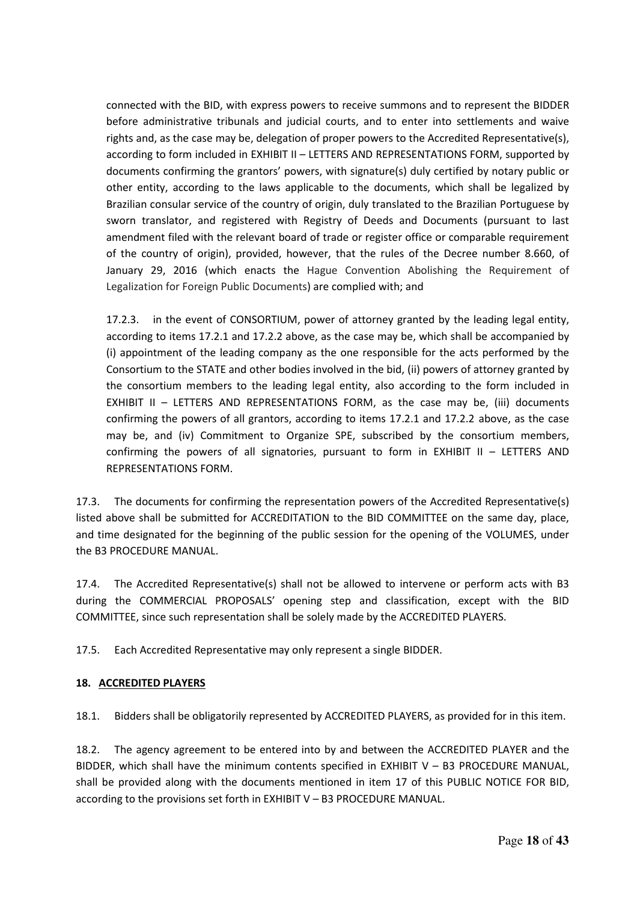connected with the BID, with express powers to receive summons and to represent the BIDDER before administrative tribunals and judicial courts, and to enter into settlements and waive rights and, as the case may be, delegation of proper powers to the Accredited Representative(s), according to form included in EXHIBIT II - LETTERS AND REPRESENTATIONS FORM, supported by documents confirming the grantors' powers, with signature(s) duly certified by notary public or other entity, according to the laws applicable to the documents, which shall be legalized by Brazilian consular service of the country of origin, duly translated to the Brazilian Portuguese by sworn translator, and registered with Registry of Deeds and Documents (pursuant to last amendment filed with the relevant board of trade or register office or comparable requirement of the country of origin), provided, however, that the rules of the Decree number 8.660, of January 29, 2016 (which enacts the Hague Convention Abolishing the Requirement of Legalization for Foreign Public Documents) are complied with; and

17.2.3. in the event of CONSORTIUM, power of attorney granted by the leading legal entity, according to items 17.2.1 and 17.2.2 above, as the case may be, which shall be accompanied by (i) appointment of the leading company as the one responsible for the acts performed by the Consortium to the STATE and other bodies involved in the bid, (ii) powers of attorney granted by the consortium members to the leading legal entity, also according to the form included in EXHIBIT II – LETTERS AND REPRESENTATIONS FORM, as the case may be, (iii) documents confirming the powers of all grantors, according to items 17.2.1 and 17.2.2 above, as the case may be, and (iv) Commitment to Organize SPE, subscribed by the consortium members, confirming the powers of all signatories, pursuant to form in EXHIBIT II – LETTERS AND REPRESENTATIONS FORM.

17.3. The documents for confirming the representation powers of the Accredited Representative(s) listed above shall be submitted for ACCREDITATION to the BID COMMITTEE on the same day, place, and time designated for the beginning of the public session for the opening of the VOLUMES, under the B3 PROCEDURE MANUAL.

17.4. The Accredited Representative(s) shall not be allowed to intervene or perform acts with B3 during the COMMERCIAL PROPOSALS' opening step and classification, except with the BID COMMITTEE, since such representation shall be solely made by the ACCREDITED PLAYERS.

17.5. Each Accredited Representative may only represent a single BIDDER.

#### **18. ACCREDITED PLAYERS**

18.1. Bidders shall be obligatorily represented by ACCREDITED PLAYERS, as provided for in this item.

18.2. The agency agreement to be entered into by and between the ACCREDITED PLAYER and the BIDDER, which shall have the minimum contents specified in EXHIBIT V - B3 PROCEDURE MANUAL, shall be provided along with the documents mentioned in item 17 of this PUBLIC NOTICE FOR BID, according to the provisions set forth in EXHIBIT V – B3 PROCEDURE MANUAL.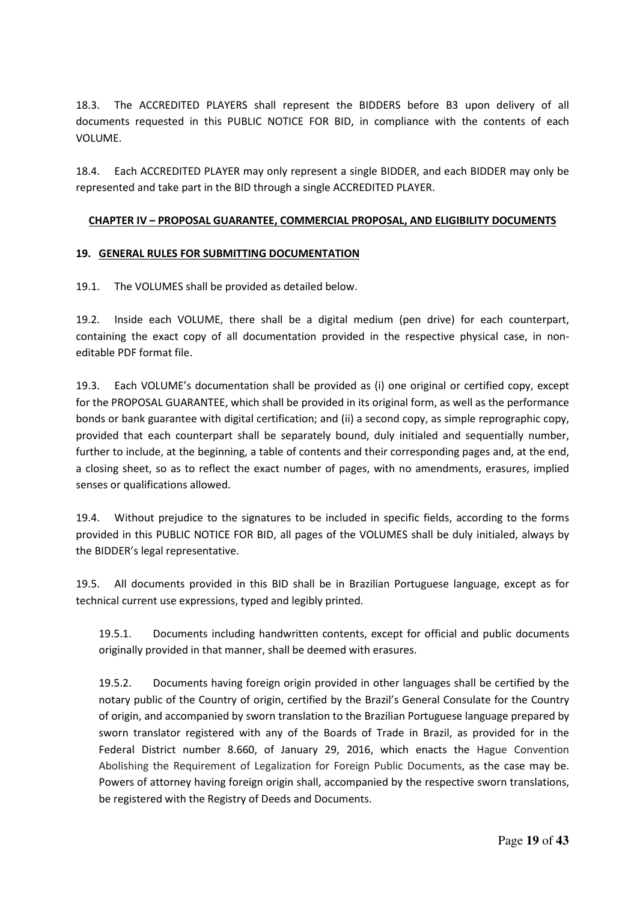18.3. The ACCREDITED PLAYERS shall represent the BIDDERS before B3 upon delivery of all documents requested in this PUBLIC NOTICE FOR BID, in compliance with the contents of each VOLUME.

18.4. Each ACCREDITED PLAYER may only represent a single BIDDER, and each BIDDER may only be represented and take part in the BID through a single ACCREDITED PLAYER.

#### **CHAPTER IV – PROPOSAL GUARANTEE, COMMERCIAL PROPOSAL, AND ELIGIBILITY DOCUMENTS**

#### **19. GENERAL RULES FOR SUBMITTING DOCUMENTATION**

19.1. The VOLUMES shall be provided as detailed below.

19.2. Inside each VOLUME, there shall be a digital medium (pen drive) for each counterpart, containing the exact copy of all documentation provided in the respective physical case, in noneditable PDF format file.

19.3. Each VOLUME's documentation shall be provided as (i) one original or certified copy, except for the PROPOSAL GUARANTEE, which shall be provided in its original form, as well as the performance bonds or bank guarantee with digital certification; and (ii) a second copy, as simple reprographic copy, provided that each counterpart shall be separately bound, duly initialed and sequentially number, further to include, at the beginning, a table of contents and their corresponding pages and, at the end, a closing sheet, so as to reflect the exact number of pages, with no amendments, erasures, implied senses or qualifications allowed.

19.4. Without prejudice to the signatures to be included in specific fields, according to the forms provided in this PUBLIC NOTICE FOR BID, all pages of the VOLUMES shall be duly initialed, always by the BIDDER's legal representative.

19.5. All documents provided in this BID shall be in Brazilian Portuguese language, except as for technical current use expressions, typed and legibly printed.

19.5.1. Documents including handwritten contents, except for official and public documents originally provided in that manner, shall be deemed with erasures.

19.5.2. Documents having foreign origin provided in other languages shall be certified by the notary public of the Country of origin, certified by the Brazil's General Consulate for the Country of origin, and accompanied by sworn translation to the Brazilian Portuguese language prepared by sworn translator registered with any of the Boards of Trade in Brazil, as provided for in the Federal District number 8.660, of January 29, 2016, which enacts the Hague Convention Abolishing the Requirement of Legalization for Foreign Public Documents, as the case may be. Powers of attorney having foreign origin shall, accompanied by the respective sworn translations, be registered with the Registry of Deeds and Documents.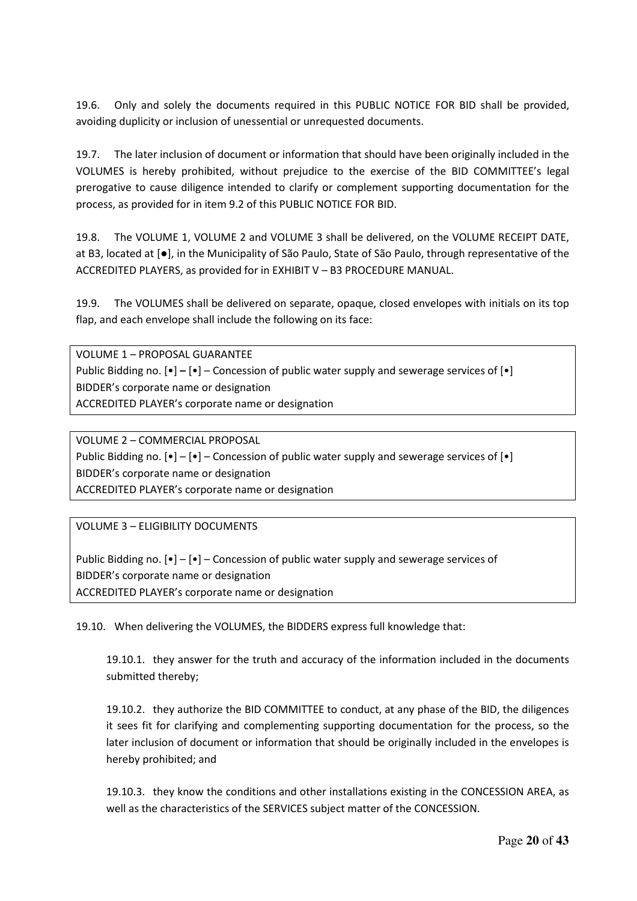19.6. Only and solely the documents required in this PUBLIC NOTICE FOR BID shall be provided, avoiding duplicity or inclusion of unessential or unrequested documents.

19.7. The later inclusion of document or information that should have been originally included in the VOLUMES is hereby prohibited, without prejudice to the exercise of the BID COMMITTEE's legal prerogative to cause diligence intended to clarify or complement supporting documentation for the process, as provided for in item 9.2 of this PUBLIC NOTICE FOR BID.

19.8. The VOLUME 1, VOLUME 2 and VOLUME 3 shall be delivered, on the VOLUME RECEIPT DATE, at B3, located at [●], in the Municipality of São Paulo, State of São Paulo, through representative of the ACCREDITED PLAYERS, as provided for in EXHIBIT V – B3 PROCEDURE MANUAL.

19.9. The VOLUMES shall be delivered on separate, opaque, closed envelopes with initials on its top flap, and each envelope shall include the following on its face:

VOLUME 1 – PROPOSAL GUARANTEE Public Bidding no. [•] **–** [•] – Concession of public water supply and sewerage services of [•] BIDDER's corporate name or designation ACCREDITED PLAYER's corporate name or designation

VOLUME 2 – COMMERCIAL PROPOSAL Public Bidding no.  $[\bullet] - [\bullet]$  – Concession of public water supply and sewerage services of  $[\bullet]$ BIDDER's corporate name or designation ACCREDITED PLAYER's corporate name or designation

VOLUME 3 – ELIGIBILITY DOCUMENTS

Public Bidding no.  $[\bullet] - [\bullet]$  – Concession of public water supply and sewerage services of BIDDER's corporate name or designation ACCREDITED PLAYER's corporate name or designation

19.10. When delivering the VOLUMES, the BIDDERS express full knowledge that:

19.10.1. they answer for the truth and accuracy of the information included in the documents submitted thereby;

19.10.2. they authorize the BID COMMITTEE to conduct, at any phase of the BID, the diligences it sees fit for clarifying and complementing supporting documentation for the process, so the later inclusion of document or information that should be originally included in the envelopes is hereby prohibited; and

19.10.3. they know the conditions and other installations existing in the CONCESSION AREA, as well as the characteristics of the SERVICES subject matter of the CONCESSION.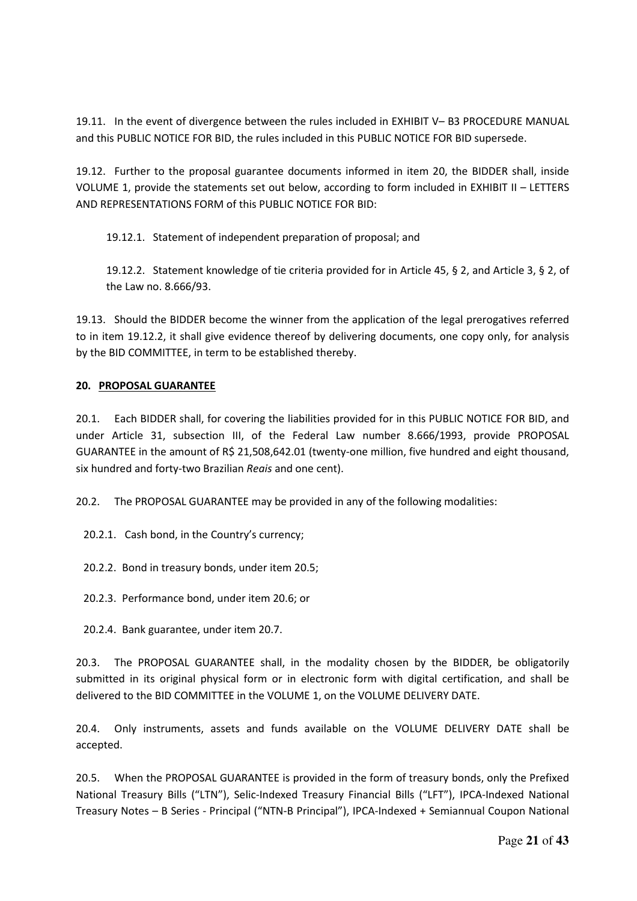19.11. In the event of divergence between the rules included in EXHIBIT V– B3 PROCEDURE MANUAL and this PUBLIC NOTICE FOR BID, the rules included in this PUBLIC NOTICE FOR BID supersede.

19.12. Further to the proposal guarantee documents informed in item 20, the BIDDER shall, inside VOLUME 1, provide the statements set out below, according to form included in EXHIBIT II – LETTERS AND REPRESENTATIONS FORM of this PUBLIC NOTICE FOR BID:

19.12.1. Statement of independent preparation of proposal; and

19.12.2. Statement knowledge of tie criteria provided for in Article 45, § 2, and Article 3, § 2, of the Law no. 8.666/93.

19.13. Should the BIDDER become the winner from the application of the legal prerogatives referred to in item 19.12.2, it shall give evidence thereof by delivering documents, one copy only, for analysis by the BID COMMITTEE, in term to be established thereby.

#### **20. PROPOSAL GUARANTEE**

20.1. Each BIDDER shall, for covering the liabilities provided for in this PUBLIC NOTICE FOR BID, and under Article 31, subsection III, of the Federal Law number 8.666/1993, provide PROPOSAL GUARANTEE in the amount of R\$ 21,508,642.01 (twenty-one million, five hundred and eight thousand, six hundred and forty-two Brazilian *Reais* and one cent).

20.2. The PROPOSAL GUARANTEE may be provided in any of the following modalities:

- 20.2.1. Cash bond, in the Country's currency;
- 20.2.2. Bond in treasury bonds, under item 20.5;
- 20.2.3. Performance bond, under item 20.6; or
- 20.2.4. Bank guarantee, under item 20.7.

20.3. The PROPOSAL GUARANTEE shall, in the modality chosen by the BIDDER, be obligatorily submitted in its original physical form or in electronic form with digital certification, and shall be delivered to the BID COMMITTEE in the VOLUME 1, on the VOLUME DELIVERY DATE.

20.4. Only instruments, assets and funds available on the VOLUME DELIVERY DATE shall be accepted.

20.5. When the PROPOSAL GUARANTEE is provided in the form of treasury bonds, only the Prefixed National Treasury Bills ("LTN"), Selic-Indexed Treasury Financial Bills ("LFT"), IPCA-Indexed National Treasury Notes – B Series - Principal ("NTN-B Principal"), IPCA-Indexed + Semiannual Coupon National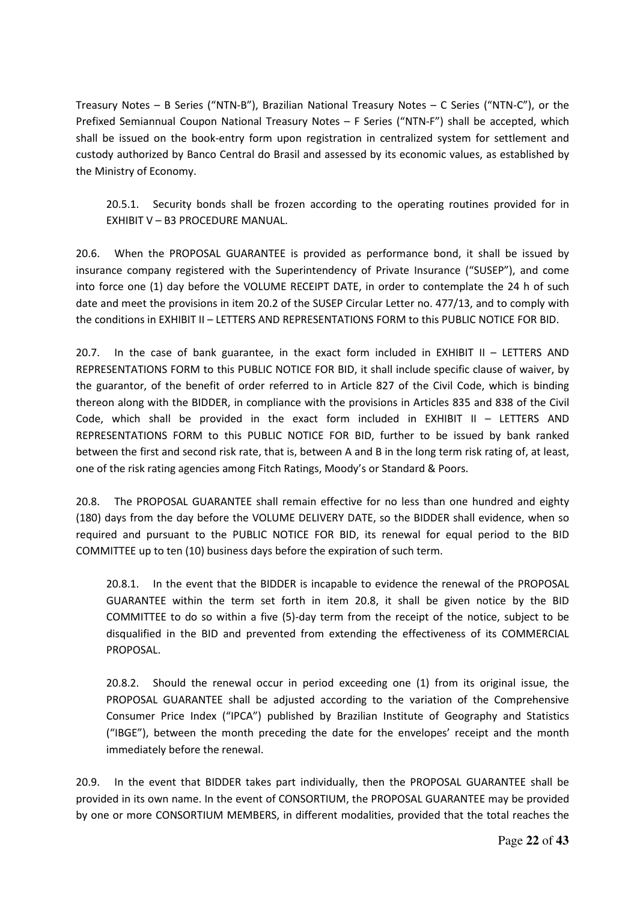Treasury Notes – B Series ("NTN-B"), Brazilian National Treasury Notes – C Series ("NTN-C"), or the Prefixed Semiannual Coupon National Treasury Notes – F Series ("NTN-F") shall be accepted, which shall be issued on the book-entry form upon registration in centralized system for settlement and custody authorized by Banco Central do Brasil and assessed by its economic values, as established by the Ministry of Economy.

20.5.1. Security bonds shall be frozen according to the operating routines provided for in EXHIBIT V – B3 PROCEDURE MANUAL.

20.6. When the PROPOSAL GUARANTEE is provided as performance bond, it shall be issued by insurance company registered with the Superintendency of Private Insurance ("SUSEP"), and come into force one (1) day before the VOLUME RECEIPT DATE, in order to contemplate the 24 h of such date and meet the provisions in item 20.2 of the SUSEP Circular Letter no. 477/13, and to comply with the conditions in EXHIBIT II – LETTERS AND REPRESENTATIONS FORM to this PUBLIC NOTICE FOR BID.

20.7. In the case of bank guarantee, in the exact form included in EXHIBIT II – LETTERS AND REPRESENTATIONS FORM to this PUBLIC NOTICE FOR BID, it shall include specific clause of waiver, by the guarantor, of the benefit of order referred to in Article 827 of the Civil Code, which is binding thereon along with the BIDDER, in compliance with the provisions in Articles 835 and 838 of the Civil Code, which shall be provided in the exact form included in EXHIBIT II – LETTERS AND REPRESENTATIONS FORM to this PUBLIC NOTICE FOR BID, further to be issued by bank ranked between the first and second risk rate, that is, between A and B in the long term risk rating of, at least, one of the risk rating agencies among Fitch Ratings, Moody's or Standard & Poors.

20.8. The PROPOSAL GUARANTEE shall remain effective for no less than one hundred and eighty (180) days from the day before the VOLUME DELIVERY DATE, so the BIDDER shall evidence, when so required and pursuant to the PUBLIC NOTICE FOR BID, its renewal for equal period to the BID COMMITTEE up to ten (10) business days before the expiration of such term.

20.8.1. In the event that the BIDDER is incapable to evidence the renewal of the PROPOSAL GUARANTEE within the term set forth in item 20.8, it shall be given notice by the BID COMMITTEE to do so within a five (5)-day term from the receipt of the notice, subject to be disqualified in the BID and prevented from extending the effectiveness of its COMMERCIAL PROPOSAL.

20.8.2. Should the renewal occur in period exceeding one (1) from its original issue, the PROPOSAL GUARANTEE shall be adjusted according to the variation of the Comprehensive Consumer Price Index ("IPCA") published by Brazilian Institute of Geography and Statistics ("IBGE"), between the month preceding the date for the envelopes' receipt and the month immediately before the renewal.

20.9. In the event that BIDDER takes part individually, then the PROPOSAL GUARANTEE shall be provided in its own name. In the event of CONSORTIUM, the PROPOSAL GUARANTEE may be provided by one or more CONSORTIUM MEMBERS, in different modalities, provided that the total reaches the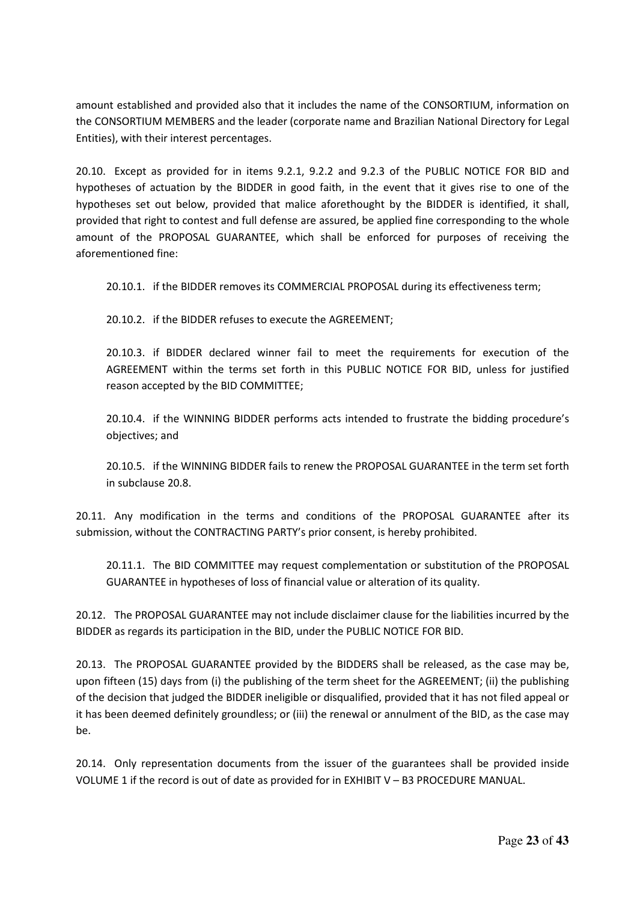amount established and provided also that it includes the name of the CONSORTIUM, information on the CONSORTIUM MEMBERS and the leader (corporate name and Brazilian National Directory for Legal Entities), with their interest percentages.

20.10. Except as provided for in items 9.2.1, 9.2.2 and 9.2.3 of the PUBLIC NOTICE FOR BID and hypotheses of actuation by the BIDDER in good faith, in the event that it gives rise to one of the hypotheses set out below, provided that malice aforethought by the BIDDER is identified, it shall, provided that right to contest and full defense are assured, be applied fine corresponding to the whole amount of the PROPOSAL GUARANTEE, which shall be enforced for purposes of receiving the aforementioned fine:

20.10.1. if the BIDDER removes its COMMERCIAL PROPOSAL during its effectiveness term;

20.10.2. if the BIDDER refuses to execute the AGREEMENT;

20.10.3. if BIDDER declared winner fail to meet the requirements for execution of the AGREEMENT within the terms set forth in this PUBLIC NOTICE FOR BID, unless for justified reason accepted by the BID COMMITTEE;

20.10.4. if the WINNING BIDDER performs acts intended to frustrate the bidding procedure's objectives; and

20.10.5. if the WINNING BIDDER fails to renew the PROPOSAL GUARANTEE in the term set forth in subclause 20.8.

20.11. Any modification in the terms and conditions of the PROPOSAL GUARANTEE after its submission, without the CONTRACTING PARTY's prior consent, is hereby prohibited.

20.11.1. The BID COMMITTEE may request complementation or substitution of the PROPOSAL GUARANTEE in hypotheses of loss of financial value or alteration of its quality.

20.12. The PROPOSAL GUARANTEE may not include disclaimer clause for the liabilities incurred by the BIDDER as regards its participation in the BID, under the PUBLIC NOTICE FOR BID.

20.13. The PROPOSAL GUARANTEE provided by the BIDDERS shall be released, as the case may be, upon fifteen (15) days from (i) the publishing of the term sheet for the AGREEMENT; (ii) the publishing of the decision that judged the BIDDER ineligible or disqualified, provided that it has not filed appeal or it has been deemed definitely groundless; or (iii) the renewal or annulment of the BID, as the case may be.

20.14. Only representation documents from the issuer of the guarantees shall be provided inside VOLUME 1 if the record is out of date as provided for in EXHIBIT V – B3 PROCEDURE MANUAL.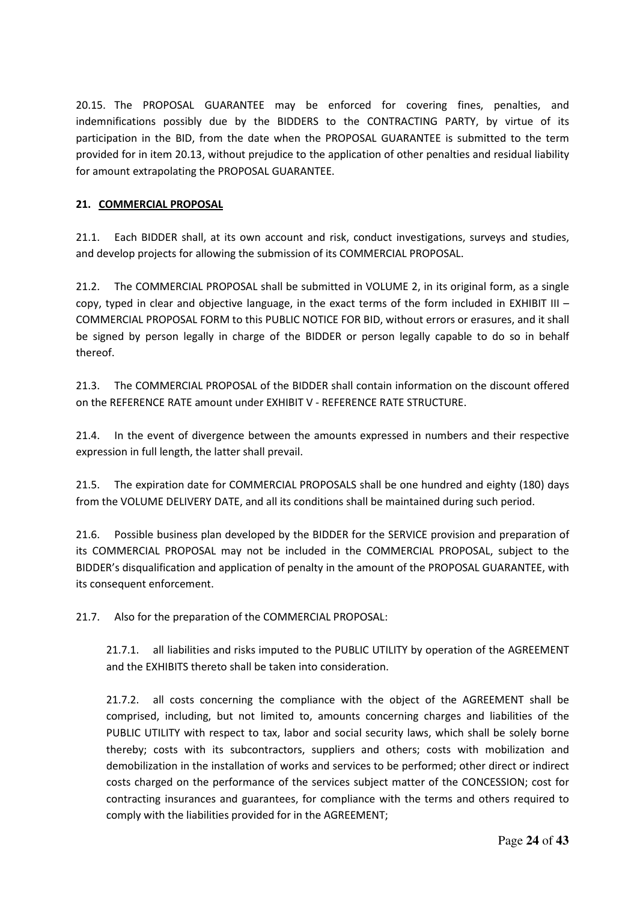20.15. The PROPOSAL GUARANTEE may be enforced for covering fines, penalties, and indemnifications possibly due by the BIDDERS to the CONTRACTING PARTY, by virtue of its participation in the BID, from the date when the PROPOSAL GUARANTEE is submitted to the term provided for in item 20.13, without prejudice to the application of other penalties and residual liability for amount extrapolating the PROPOSAL GUARANTEE.

#### **21. COMMERCIAL PROPOSAL**

21.1. Each BIDDER shall, at its own account and risk, conduct investigations, surveys and studies, and develop projects for allowing the submission of its COMMERCIAL PROPOSAL.

21.2. The COMMERCIAL PROPOSAL shall be submitted in VOLUME 2, in its original form, as a single copy, typed in clear and objective language, in the exact terms of the form included in EXHIBIT III – COMMERCIAL PROPOSAL FORM to this PUBLIC NOTICE FOR BID, without errors or erasures, and it shall be signed by person legally in charge of the BIDDER or person legally capable to do so in behalf thereof.

21.3. The COMMERCIAL PROPOSAL of the BIDDER shall contain information on the discount offered on the REFERENCE RATE amount under EXHIBIT V - REFERENCE RATE STRUCTURE.

21.4. In the event of divergence between the amounts expressed in numbers and their respective expression in full length, the latter shall prevail.

21.5. The expiration date for COMMERCIAL PROPOSALS shall be one hundred and eighty (180) days from the VOLUME DELIVERY DATE, and all its conditions shall be maintained during such period.

21.6. Possible business plan developed by the BIDDER for the SERVICE provision and preparation of its COMMERCIAL PROPOSAL may not be included in the COMMERCIAL PROPOSAL, subject to the BIDDER's disqualification and application of penalty in the amount of the PROPOSAL GUARANTEE, with its consequent enforcement.

21.7. Also for the preparation of the COMMERCIAL PROPOSAL:

21.7.1. all liabilities and risks imputed to the PUBLIC UTILITY by operation of the AGREEMENT and the EXHIBITS thereto shall be taken into consideration.

21.7.2. all costs concerning the compliance with the object of the AGREEMENT shall be comprised, including, but not limited to, amounts concerning charges and liabilities of the PUBLIC UTILITY with respect to tax, labor and social security laws, which shall be solely borne thereby; costs with its subcontractors, suppliers and others; costs with mobilization and demobilization in the installation of works and services to be performed; other direct or indirect costs charged on the performance of the services subject matter of the CONCESSION; cost for contracting insurances and guarantees, for compliance with the terms and others required to comply with the liabilities provided for in the AGREEMENT;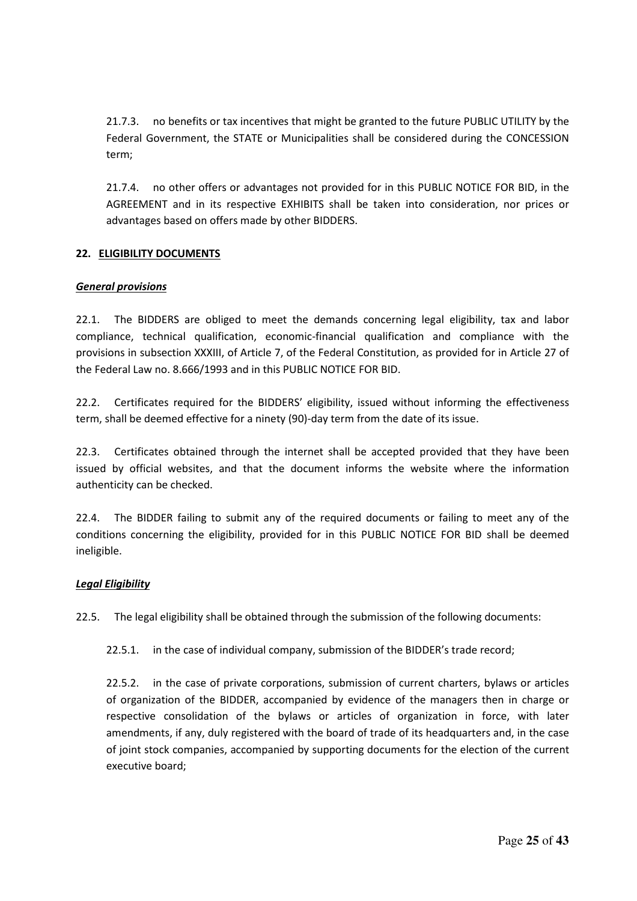21.7.3. no benefits or tax incentives that might be granted to the future PUBLIC UTILITY by the Federal Government, the STATE or Municipalities shall be considered during the CONCESSION term;

21.7.4. no other offers or advantages not provided for in this PUBLIC NOTICE FOR BID, in the AGREEMENT and in its respective EXHIBITS shall be taken into consideration, nor prices or advantages based on offers made by other BIDDERS.

#### **22. ELIGIBILITY DOCUMENTS**

#### *General provisions*

22.1. The BIDDERS are obliged to meet the demands concerning legal eligibility, tax and labor compliance, technical qualification, economic-financial qualification and compliance with the provisions in subsection XXXIII, of Article 7, of the Federal Constitution, as provided for in Article 27 of the Federal Law no. 8.666/1993 and in this PUBLIC NOTICE FOR BID.

22.2. Certificates required for the BIDDERS' eligibility, issued without informing the effectiveness term, shall be deemed effective for a ninety (90)-day term from the date of its issue.

22.3. Certificates obtained through the internet shall be accepted provided that they have been issued by official websites, and that the document informs the website where the information authenticity can be checked.

22.4. The BIDDER failing to submit any of the required documents or failing to meet any of the conditions concerning the eligibility, provided for in this PUBLIC NOTICE FOR BID shall be deemed ineligible.

#### *Legal Eligibility*

22.5. The legal eligibility shall be obtained through the submission of the following documents:

22.5.1. in the case of individual company, submission of the BIDDER's trade record;

22.5.2. in the case of private corporations, submission of current charters, bylaws or articles of organization of the BIDDER, accompanied by evidence of the managers then in charge or respective consolidation of the bylaws or articles of organization in force, with later amendments, if any, duly registered with the board of trade of its headquarters and, in the case of joint stock companies, accompanied by supporting documents for the election of the current executive board;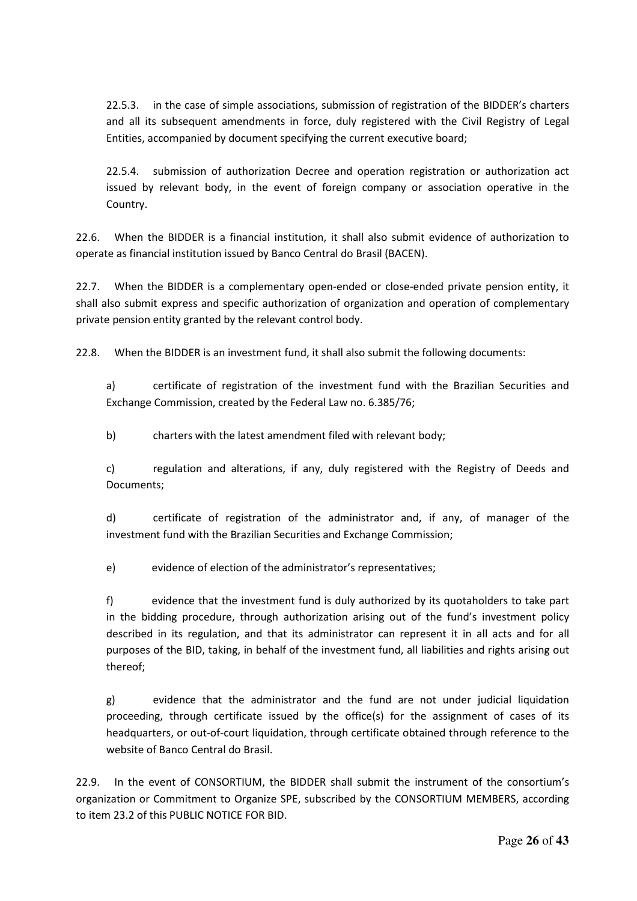22.5.3. in the case of simple associations, submission of registration of the BIDDER's charters and all its subsequent amendments in force, duly registered with the Civil Registry of Legal Entities, accompanied by document specifying the current executive board;

22.5.4. submission of authorization Decree and operation registration or authorization act issued by relevant body, in the event of foreign company or association operative in the Country.

22.6. When the BIDDER is a financial institution, it shall also submit evidence of authorization to operate as financial institution issued by Banco Central do Brasil (BACEN).

22.7. When the BIDDER is a complementary open-ended or close-ended private pension entity, it shall also submit express and specific authorization of organization and operation of complementary private pension entity granted by the relevant control body.

22.8. When the BIDDER is an investment fund, it shall also submit the following documents:

a) certificate of registration of the investment fund with the Brazilian Securities and Exchange Commission, created by the Federal Law no. 6.385/76;

b) charters with the latest amendment filed with relevant body;

c) regulation and alterations, if any, duly registered with the Registry of Deeds and Documents;

d) certificate of registration of the administrator and, if any, of manager of the investment fund with the Brazilian Securities and Exchange Commission;

e) evidence of election of the administrator's representatives;

f) evidence that the investment fund is duly authorized by its quotaholders to take part in the bidding procedure, through authorization arising out of the fund's investment policy described in its regulation, and that its administrator can represent it in all acts and for all purposes of the BID, taking, in behalf of the investment fund, all liabilities and rights arising out thereof;

g) evidence that the administrator and the fund are not under judicial liquidation proceeding, through certificate issued by the office(s) for the assignment of cases of its headquarters, or out-of-court liquidation, through certificate obtained through reference to the website of Banco Central do Brasil.

22.9. In the event of CONSORTIUM, the BIDDER shall submit the instrument of the consortium's organization or Commitment to Organize SPE, subscribed by the CONSORTIUM MEMBERS, according to item 23.2 of this PUBLIC NOTICE FOR BID.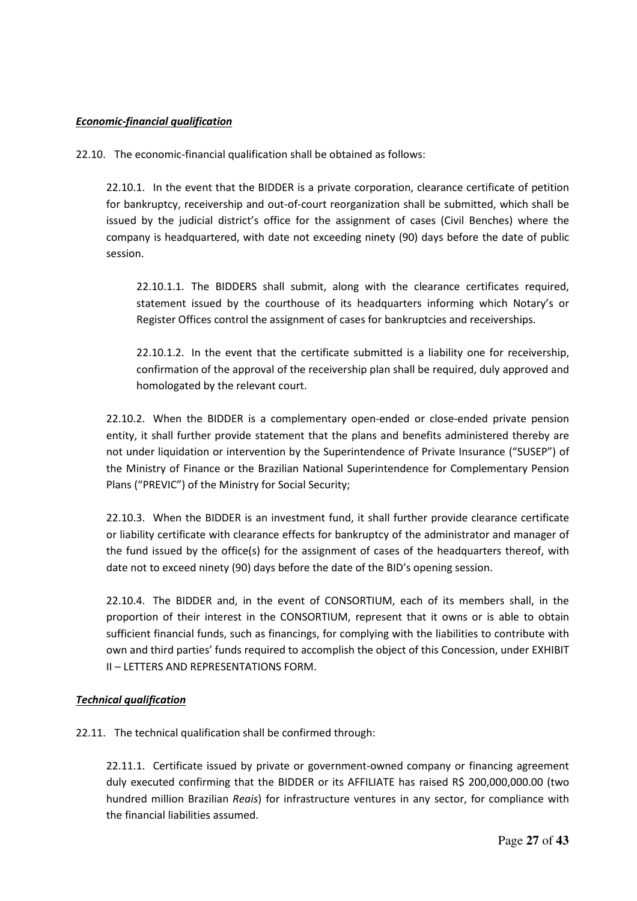#### *Economic-financial qualification*

22.10. The economic-financial qualification shall be obtained as follows:

22.10.1. In the event that the BIDDER is a private corporation, clearance certificate of petition for bankruptcy, receivership and out-of-court reorganization shall be submitted, which shall be issued by the judicial district's office for the assignment of cases (Civil Benches) where the company is headquartered, with date not exceeding ninety (90) days before the date of public session.

22.10.1.1. The BIDDERS shall submit, along with the clearance certificates required, statement issued by the courthouse of its headquarters informing which Notary's or Register Offices control the assignment of cases for bankruptcies and receiverships.

22.10.1.2. In the event that the certificate submitted is a liability one for receivership, confirmation of the approval of the receivership plan shall be required, duly approved and homologated by the relevant court.

22.10.2. When the BIDDER is a complementary open-ended or close-ended private pension entity, it shall further provide statement that the plans and benefits administered thereby are not under liquidation or intervention by the Superintendence of Private Insurance ("SUSEP") of the Ministry of Finance or the Brazilian National Superintendence for Complementary Pension Plans ("PREVIC") of the Ministry for Social Security;

22.10.3. When the BIDDER is an investment fund, it shall further provide clearance certificate or liability certificate with clearance effects for bankruptcy of the administrator and manager of the fund issued by the office(s) for the assignment of cases of the headquarters thereof, with date not to exceed ninety (90) days before the date of the BID's opening session.

22.10.4. The BIDDER and, in the event of CONSORTIUM, each of its members shall, in the proportion of their interest in the CONSORTIUM, represent that it owns or is able to obtain sufficient financial funds, such as financings, for complying with the liabilities to contribute with own and third parties' funds required to accomplish the object of this Concession, under EXHIBIT II – LETTERS AND REPRESENTATIONS FORM.

#### *Technical qualification*

22.11. The technical qualification shall be confirmed through:

22.11.1. Certificate issued by private or government-owned company or financing agreement duly executed confirming that the BIDDER or its AFFILIATE has raised R\$ 200,000,000.00 (two hundred million Brazilian *Reais*) for infrastructure ventures in any sector, for compliance with the financial liabilities assumed.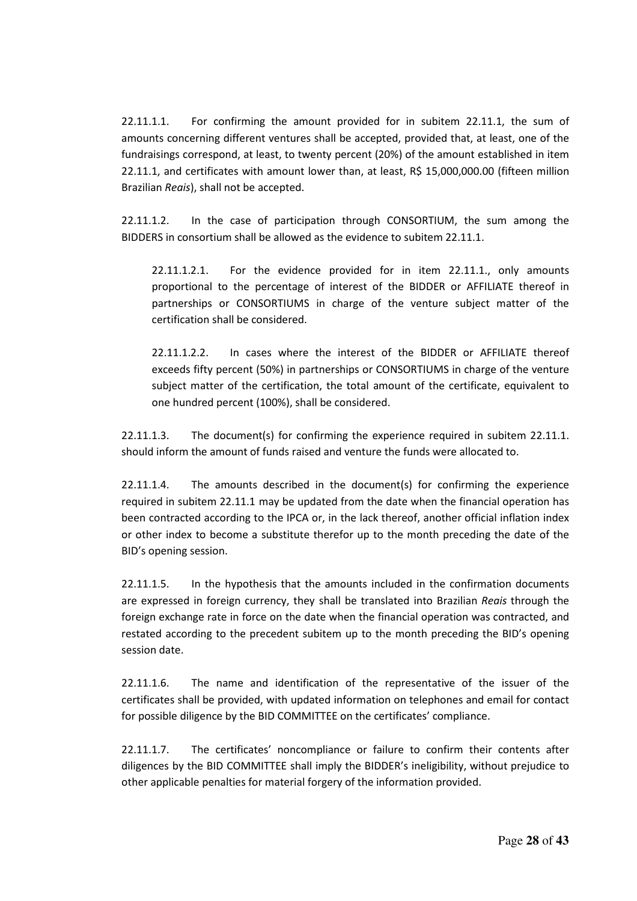22.11.1.1. For confirming the amount provided for in subitem 22.11.1, the sum of amounts concerning different ventures shall be accepted, provided that, at least, one of the fundraisings correspond, at least, to twenty percent (20%) of the amount established in item 22.11.1, and certificates with amount lower than, at least, R\$ 15,000,000.00 (fifteen million Brazilian *Reais*), shall not be accepted.

22.11.1.2. In the case of participation through CONSORTIUM, the sum among the BIDDERS in consortium shall be allowed as the evidence to subitem 22.11.1.

22.11.1.2.1. For the evidence provided for in item 22.11.1., only amounts proportional to the percentage of interest of the BIDDER or AFFILIATE thereof in partnerships or CONSORTIUMS in charge of the venture subject matter of the certification shall be considered.

22.11.1.2.2. In cases where the interest of the BIDDER or AFFILIATE thereof exceeds fifty percent (50%) in partnerships or CONSORTIUMS in charge of the venture subject matter of the certification, the total amount of the certificate, equivalent to one hundred percent (100%), shall be considered.

22.11.1.3. The document(s) for confirming the experience required in subitem 22.11.1. should inform the amount of funds raised and venture the funds were allocated to.

22.11.1.4. The amounts described in the document(s) for confirming the experience required in subitem 22.11.1 may be updated from the date when the financial operation has been contracted according to the IPCA or, in the lack thereof, another official inflation index or other index to become a substitute therefor up to the month preceding the date of the BID's opening session.

22.11.1.5. In the hypothesis that the amounts included in the confirmation documents are expressed in foreign currency, they shall be translated into Brazilian *Reais* through the foreign exchange rate in force on the date when the financial operation was contracted, and restated according to the precedent subitem up to the month preceding the BID's opening session date.

22.11.1.6. The name and identification of the representative of the issuer of the certificates shall be provided, with updated information on telephones and email for contact for possible diligence by the BID COMMITTEE on the certificates' compliance.

22.11.1.7. The certificates' noncompliance or failure to confirm their contents after diligences by the BID COMMITTEE shall imply the BIDDER's ineligibility, without prejudice to other applicable penalties for material forgery of the information provided.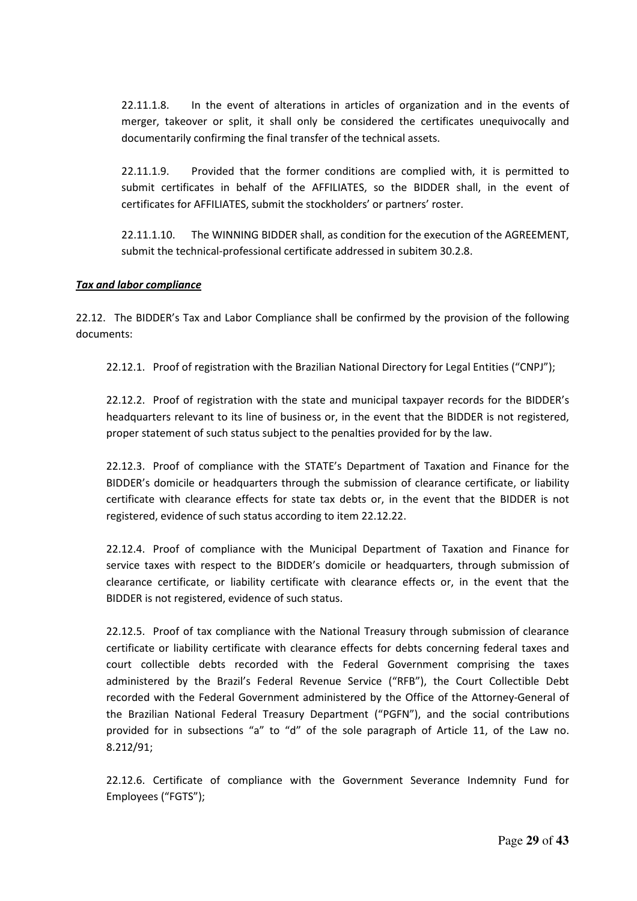22.11.1.8. In the event of alterations in articles of organization and in the events of merger, takeover or split, it shall only be considered the certificates unequivocally and documentarily confirming the final transfer of the technical assets.

22.11.1.9. Provided that the former conditions are complied with, it is permitted to submit certificates in behalf of the AFFILIATES, so the BIDDER shall, in the event of certificates for AFFILIATES, submit the stockholders' or partners' roster.

22.11.1.10. The WINNING BIDDER shall, as condition for the execution of the AGREEMENT, submit the technical-professional certificate addressed in subitem 30.2.8.

#### *Tax and labor compliance*

22.12. The BIDDER's Tax and Labor Compliance shall be confirmed by the provision of the following documents:

22.12.1. Proof of registration with the Brazilian National Directory for Legal Entities ("CNPJ");

22.12.2. Proof of registration with the state and municipal taxpayer records for the BIDDER's headquarters relevant to its line of business or, in the event that the BIDDER is not registered, proper statement of such status subject to the penalties provided for by the law.

22.12.3. Proof of compliance with the STATE's Department of Taxation and Finance for the BIDDER's domicile or headquarters through the submission of clearance certificate, or liability certificate with clearance effects for state tax debts or, in the event that the BIDDER is not registered, evidence of such status according to item 22.12.22.

22.12.4. Proof of compliance with the Municipal Department of Taxation and Finance for service taxes with respect to the BIDDER's domicile or headquarters, through submission of clearance certificate, or liability certificate with clearance effects or, in the event that the BIDDER is not registered, evidence of such status.

22.12.5. Proof of tax compliance with the National Treasury through submission of clearance certificate or liability certificate with clearance effects for debts concerning federal taxes and court collectible debts recorded with the Federal Government comprising the taxes administered by the Brazil's Federal Revenue Service ("RFB"), the Court Collectible Debt recorded with the Federal Government administered by the Office of the Attorney-General of the Brazilian National Federal Treasury Department ("PGFN"), and the social contributions provided for in subsections "a" to "d" of the sole paragraph of Article 11, of the Law no. 8.212/91;

22.12.6. Certificate of compliance with the Government Severance Indemnity Fund for Employees ("FGTS");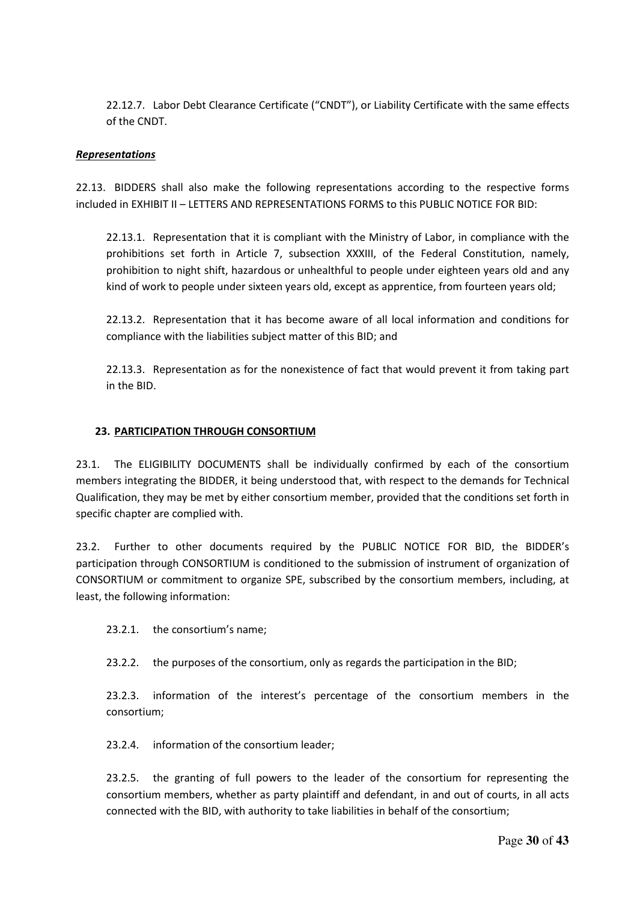22.12.7. Labor Debt Clearance Certificate ("CNDT"), or Liability Certificate with the same effects of the CNDT.

#### *Representations*

22.13. BIDDERS shall also make the following representations according to the respective forms included in EXHIBIT II – LETTERS AND REPRESENTATIONS FORMS to this PUBLIC NOTICE FOR BID:

22.13.1. Representation that it is compliant with the Ministry of Labor, in compliance with the prohibitions set forth in Article 7, subsection XXXIII, of the Federal Constitution, namely, prohibition to night shift, hazardous or unhealthful to people under eighteen years old and any kind of work to people under sixteen years old, except as apprentice, from fourteen years old;

22.13.2. Representation that it has become aware of all local information and conditions for compliance with the liabilities subject matter of this BID; and

22.13.3. Representation as for the nonexistence of fact that would prevent it from taking part in the BID.

#### **23. PARTICIPATION THROUGH CONSORTIUM**

23.1. The ELIGIBILITY DOCUMENTS shall be individually confirmed by each of the consortium members integrating the BIDDER, it being understood that, with respect to the demands for Technical Qualification, they may be met by either consortium member, provided that the conditions set forth in specific chapter are complied with.

23.2. Further to other documents required by the PUBLIC NOTICE FOR BID, the BIDDER's participation through CONSORTIUM is conditioned to the submission of instrument of organization of CONSORTIUM or commitment to organize SPE, subscribed by the consortium members, including, at least, the following information:

23.2.1. the consortium's name;

23.2.2. the purposes of the consortium, only as regards the participation in the BID;

23.2.3. information of the interest's percentage of the consortium members in the consortium;

23.2.4. information of the consortium leader;

23.2.5. the granting of full powers to the leader of the consortium for representing the consortium members, whether as party plaintiff and defendant, in and out of courts, in all acts connected with the BID, with authority to take liabilities in behalf of the consortium;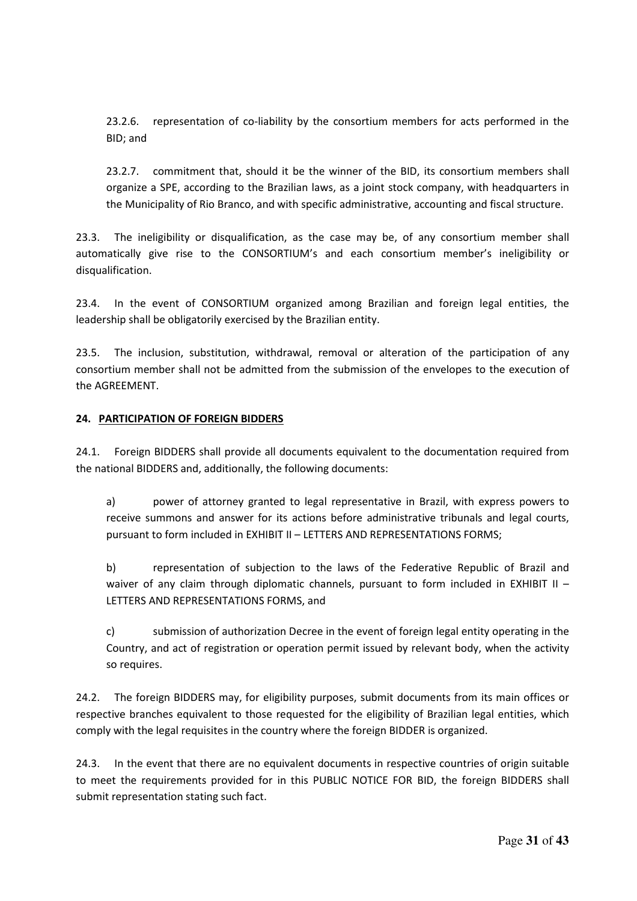23.2.6. representation of co-liability by the consortium members for acts performed in the BID; and

23.2.7. commitment that, should it be the winner of the BID, its consortium members shall organize a SPE, according to the Brazilian laws, as a joint stock company, with headquarters in the Municipality of Rio Branco, and with specific administrative, accounting and fiscal structure.

23.3. The ineligibility or disqualification, as the case may be, of any consortium member shall automatically give rise to the CONSORTIUM's and each consortium member's ineligibility or disqualification.

23.4. In the event of CONSORTIUM organized among Brazilian and foreign legal entities, the leadership shall be obligatorily exercised by the Brazilian entity.

23.5. The inclusion, substitution, withdrawal, removal or alteration of the participation of any consortium member shall not be admitted from the submission of the envelopes to the execution of the AGREEMENT.

#### **24. PARTICIPATION OF FOREIGN BIDDERS**

24.1. Foreign BIDDERS shall provide all documents equivalent to the documentation required from the national BIDDERS and, additionally, the following documents:

a) power of attorney granted to legal representative in Brazil, with express powers to receive summons and answer for its actions before administrative tribunals and legal courts, pursuant to form included in EXHIBIT II – LETTERS AND REPRESENTATIONS FORMS;

b) representation of subjection to the laws of the Federative Republic of Brazil and waiver of any claim through diplomatic channels, pursuant to form included in EXHIBIT II – LETTERS AND REPRESENTATIONS FORMS, and

c) submission of authorization Decree in the event of foreign legal entity operating in the Country, and act of registration or operation permit issued by relevant body, when the activity so requires.

24.2. The foreign BIDDERS may, for eligibility purposes, submit documents from its main offices or respective branches equivalent to those requested for the eligibility of Brazilian legal entities, which comply with the legal requisites in the country where the foreign BIDDER is organized.

24.3. In the event that there are no equivalent documents in respective countries of origin suitable to meet the requirements provided for in this PUBLIC NOTICE FOR BID, the foreign BIDDERS shall submit representation stating such fact.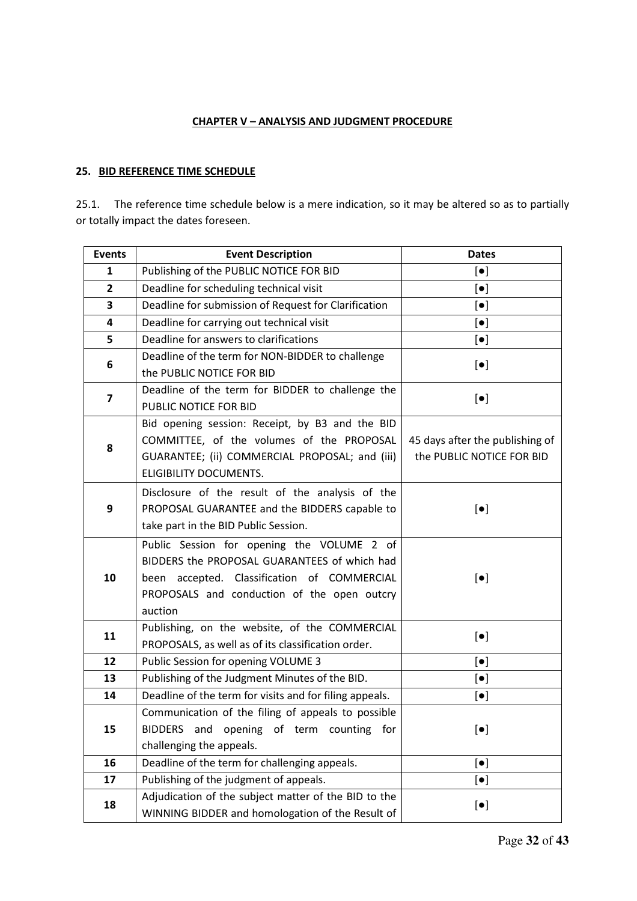#### **CHAPTER V – ANALYSIS AND JUDGMENT PROCEDURE**

## **25. BID REFERENCE TIME SCHEDULE**

25.1. The reference time schedule below is a mere indication, so it may be altered so as to partially or totally impact the dates foreseen.

| <b>Events</b>           | <b>Event Description</b>                                | <b>Dates</b>                    |  |
|-------------------------|---------------------------------------------------------|---------------------------------|--|
| $\mathbf{1}$            | Publishing of the PUBLIC NOTICE FOR BID                 | $\left[\bullet\right]$          |  |
| $\mathbf{2}$            | Deadline for scheduling technical visit                 | $\left[\bullet\right]$          |  |
| 3                       | Deadline for submission of Request for Clarification    | $\left[\bullet\right]$          |  |
| 4                       | Deadline for carrying out technical visit               | $\left[\bullet\right]$          |  |
| 5                       | Deadline for answers to clarifications                  | $\left[\bullet\right]$          |  |
| 6                       | Deadline of the term for NON-BIDDER to challenge        | $\left[\bullet\right]$          |  |
|                         | the PUBLIC NOTICE FOR BID                               |                                 |  |
| $\overline{\mathbf{z}}$ | Deadline of the term for BIDDER to challenge the        | $\left[\bullet\right]$          |  |
|                         | PUBLIC NOTICE FOR BID                                   |                                 |  |
|                         | Bid opening session: Receipt, by B3 and the BID         |                                 |  |
| 8                       | COMMITTEE, of the volumes of the PROPOSAL               | 45 days after the publishing of |  |
|                         | GUARANTEE; (ii) COMMERCIAL PROPOSAL; and (iii)          | the PUBLIC NOTICE FOR BID       |  |
|                         | ELIGIBILITY DOCUMENTS.                                  |                                 |  |
|                         | Disclosure of the result of the analysis of the         |                                 |  |
| 9                       | PROPOSAL GUARANTEE and the BIDDERS capable to           | $\left[\bullet\right]$          |  |
|                         | take part in the BID Public Session.                    |                                 |  |
|                         | Public Session for opening the VOLUME 2 of              |                                 |  |
|                         | BIDDERS the PROPOSAL GUARANTEES of which had            |                                 |  |
| 10                      | been accepted. Classification of COMMERCIAL             | $\left[\bullet\right]$          |  |
|                         | PROPOSALS and conduction of the open outcry             |                                 |  |
|                         | auction                                                 |                                 |  |
| 11                      | Publishing, on the website, of the COMMERCIAL           | $\left[\bullet\right]$          |  |
|                         | PROPOSALS, as well as of its classification order.      |                                 |  |
| 12                      | Public Session for opening VOLUME 3                     | $\left[\bullet\right]$          |  |
| 13                      | Publishing of the Judgment Minutes of the BID.          | $[\bullet]$                     |  |
| 14                      | Deadline of the term for visits and for filing appeals. | $\left[\bullet\right]$          |  |
| 15                      | Communication of the filing of appeals to possible      |                                 |  |
|                         | BIDDERS and opening of term counting<br>for             | $\left[\bullet\right]$          |  |
|                         | challenging the appeals.                                |                                 |  |
| 16                      | Deadline of the term for challenging appeals.           | $\left[\bullet\right]$          |  |
| 17                      | Publishing of the judgment of appeals.                  | $\left[\bullet\right]$          |  |
| 18                      | Adjudication of the subject matter of the BID to the    | $\left[\bullet\right]$          |  |
|                         | WINNING BIDDER and homologation of the Result of        |                                 |  |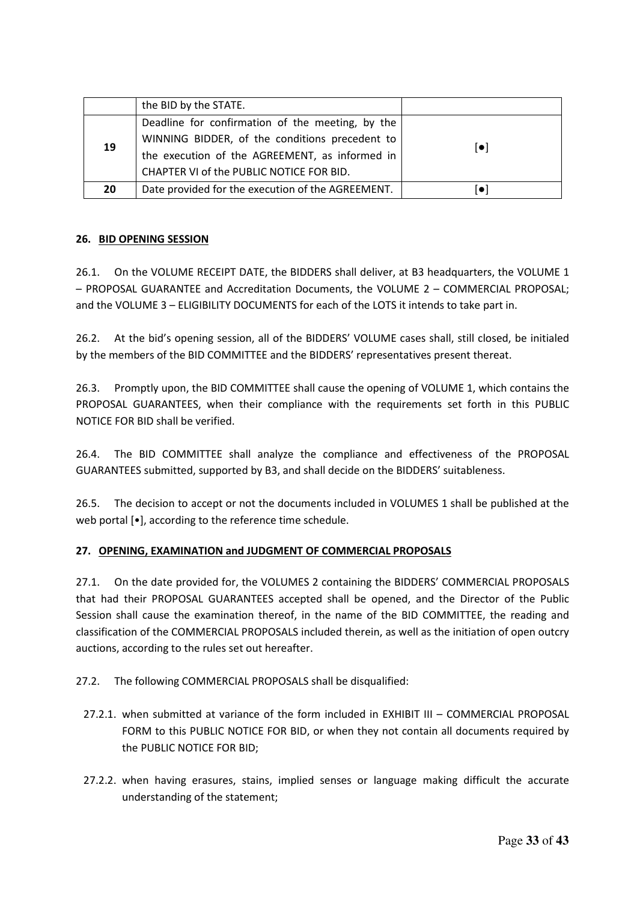|    | the BID by the STATE.                                                                              |                         |
|----|----------------------------------------------------------------------------------------------------|-------------------------|
|    | Deadline for confirmation of the meeting, by the<br>WINNING BIDDER, of the conditions precedent to |                         |
| 19 | the execution of the AGREEMENT, as informed in                                                     | $\lceil \bullet \rceil$ |
|    | CHAPTER VI of the PUBLIC NOTICE FOR BID.                                                           |                         |
| 20 | Date provided for the execution of the AGREEMENT.                                                  | Ō                       |

#### **26. BID OPENING SESSION**

26.1. On the VOLUME RECEIPT DATE, the BIDDERS shall deliver, at B3 headquarters, the VOLUME 1 – PROPOSAL GUARANTEE and Accreditation Documents, the VOLUME 2 – COMMERCIAL PROPOSAL; and the VOLUME 3 – ELIGIBILITY DOCUMENTS for each of the LOTS it intends to take part in.

26.2. At the bid's opening session, all of the BIDDERS' VOLUME cases shall, still closed, be initialed by the members of the BID COMMITTEE and the BIDDERS' representatives present thereat.

26.3. Promptly upon, the BID COMMITTEE shall cause the opening of VOLUME 1, which contains the PROPOSAL GUARANTEES, when their compliance with the requirements set forth in this PUBLIC NOTICE FOR BID shall be verified.

26.4. The BID COMMITTEE shall analyze the compliance and effectiveness of the PROPOSAL GUARANTEES submitted, supported by B3, and shall decide on the BIDDERS' suitableness.

26.5. The decision to accept or not the documents included in VOLUMES 1 shall be published at the web portal [•], according to the reference time schedule.

#### **27. OPENING, EXAMINATION and JUDGMENT OF COMMERCIAL PROPOSALS**

27.1. On the date provided for, the VOLUMES 2 containing the BIDDERS' COMMERCIAL PROPOSALS that had their PROPOSAL GUARANTEES accepted shall be opened, and the Director of the Public Session shall cause the examination thereof, in the name of the BID COMMITTEE, the reading and classification of the COMMERCIAL PROPOSALS included therein, as well as the initiation of open outcry auctions, according to the rules set out hereafter.

- 27.2. The following COMMERCIAL PROPOSALS shall be disqualified:
	- 27.2.1. when submitted at variance of the form included in EXHIBIT III COMMERCIAL PROPOSAL FORM to this PUBLIC NOTICE FOR BID, or when they not contain all documents required by the PUBLIC NOTICE FOR BID;
	- 27.2.2. when having erasures, stains, implied senses or language making difficult the accurate understanding of the statement;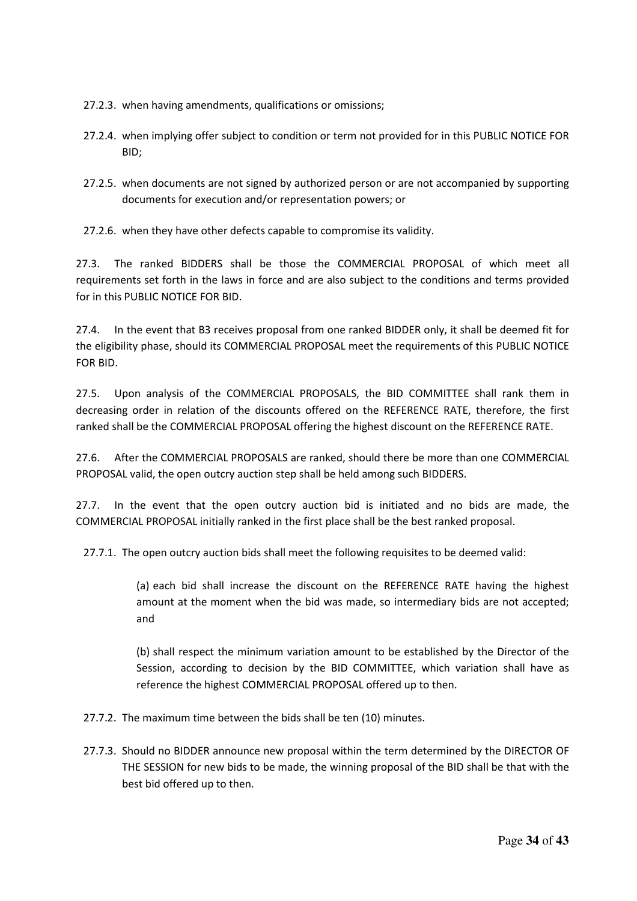- 27.2.3. when having amendments, qualifications or omissions;
- 27.2.4. when implying offer subject to condition or term not provided for in this PUBLIC NOTICE FOR BID;
- 27.2.5. when documents are not signed by authorized person or are not accompanied by supporting documents for execution and/or representation powers; or

27.2.6. when they have other defects capable to compromise its validity.

27.3. The ranked BIDDERS shall be those the COMMERCIAL PROPOSAL of which meet all requirements set forth in the laws in force and are also subject to the conditions and terms provided for in this PUBLIC NOTICE FOR BID.

27.4. In the event that B3 receives proposal from one ranked BIDDER only, it shall be deemed fit for the eligibility phase, should its COMMERCIAL PROPOSAL meet the requirements of this PUBLIC NOTICE FOR BID.

27.5. Upon analysis of the COMMERCIAL PROPOSALS, the BID COMMITTEE shall rank them in decreasing order in relation of the discounts offered on the REFERENCE RATE, therefore, the first ranked shall be the COMMERCIAL PROPOSAL offering the highest discount on the REFERENCE RATE.

27.6. After the COMMERCIAL PROPOSALS are ranked, should there be more than one COMMERCIAL PROPOSAL valid, the open outcry auction step shall be held among such BIDDERS.

27.7. In the event that the open outcry auction bid is initiated and no bids are made, the COMMERCIAL PROPOSAL initially ranked in the first place shall be the best ranked proposal.

27.7.1. The open outcry auction bids shall meet the following requisites to be deemed valid:

(a) each bid shall increase the discount on the REFERENCE RATE having the highest amount at the moment when the bid was made, so intermediary bids are not accepted; and

(b) shall respect the minimum variation amount to be established by the Director of the Session, according to decision by the BID COMMITTEE, which variation shall have as reference the highest COMMERCIAL PROPOSAL offered up to then.

- 27.7.2. The maximum time between the bids shall be ten (10) minutes.
- 27.7.3. Should no BIDDER announce new proposal within the term determined by the DIRECTOR OF THE SESSION for new bids to be made, the winning proposal of the BID shall be that with the best bid offered up to then.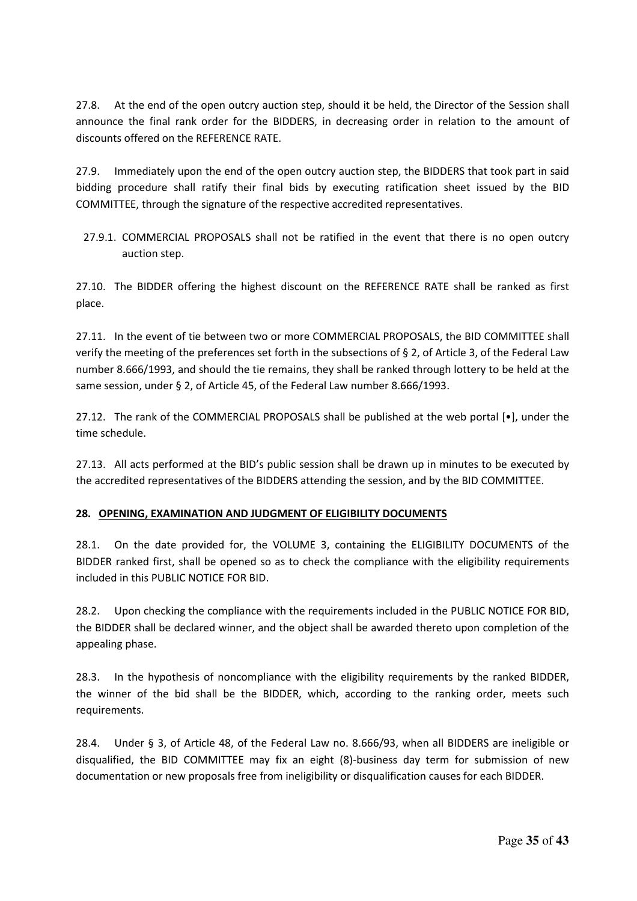27.8. At the end of the open outcry auction step, should it be held, the Director of the Session shall announce the final rank order for the BIDDERS, in decreasing order in relation to the amount of discounts offered on the REFERENCE RATE.

27.9. Immediately upon the end of the open outcry auction step, the BIDDERS that took part in said bidding procedure shall ratify their final bids by executing ratification sheet issued by the BID COMMITTEE, through the signature of the respective accredited representatives.

27.9.1. COMMERCIAL PROPOSALS shall not be ratified in the event that there is no open outcry auction step.

27.10. The BIDDER offering the highest discount on the REFERENCE RATE shall be ranked as first place.

27.11. In the event of tie between two or more COMMERCIAL PROPOSALS, the BID COMMITTEE shall verify the meeting of the preferences set forth in the subsections of § 2, of Article 3, of the Federal Law number 8.666/1993, and should the tie remains, they shall be ranked through lottery to be held at the same session, under § 2, of Article 45, of the Federal Law number 8.666/1993.

27.12. The rank of the COMMERCIAL PROPOSALS shall be published at the web portal [•], under the time schedule.

27.13. All acts performed at the BID's public session shall be drawn up in minutes to be executed by the accredited representatives of the BIDDERS attending the session, and by the BID COMMITTEE.

#### **28. OPENING, EXAMINATION AND JUDGMENT OF ELIGIBILITY DOCUMENTS**

28.1. On the date provided for, the VOLUME 3, containing the ELIGIBILITY DOCUMENTS of the BIDDER ranked first, shall be opened so as to check the compliance with the eligibility requirements included in this PUBLIC NOTICE FOR BID.

28.2. Upon checking the compliance with the requirements included in the PUBLIC NOTICE FOR BID, the BIDDER shall be declared winner, and the object shall be awarded thereto upon completion of the appealing phase.

28.3. In the hypothesis of noncompliance with the eligibility requirements by the ranked BIDDER, the winner of the bid shall be the BIDDER, which, according to the ranking order, meets such requirements.

28.4. Under § 3, of Article 48, of the Federal Law no. 8.666/93, when all BIDDERS are ineligible or disqualified, the BID COMMITTEE may fix an eight (8)-business day term for submission of new documentation or new proposals free from ineligibility or disqualification causes for each BIDDER.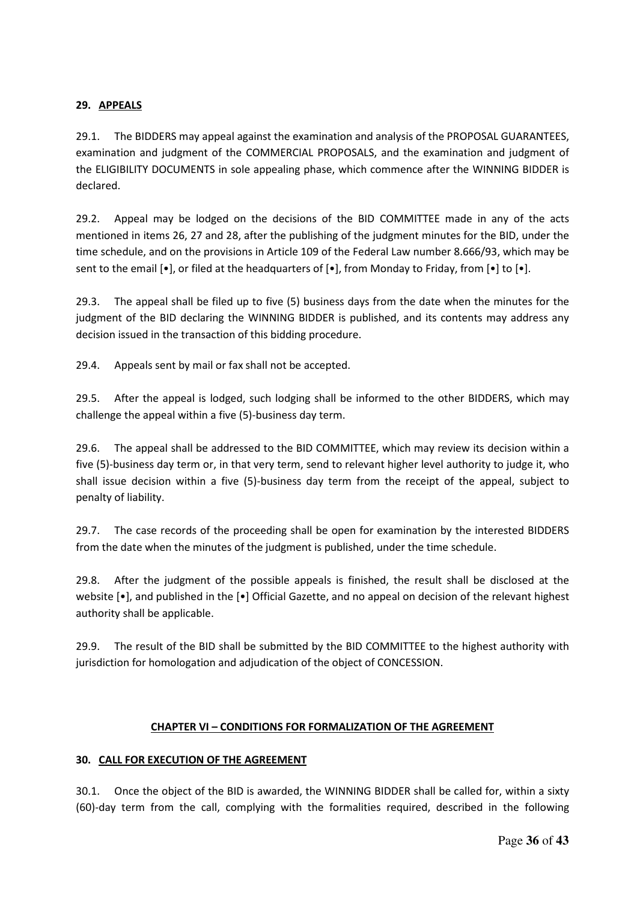#### **29. APPEALS**

29.1. The BIDDERS may appeal against the examination and analysis of the PROPOSAL GUARANTEES, examination and judgment of the COMMERCIAL PROPOSALS, and the examination and judgment of the ELIGIBILITY DOCUMENTS in sole appealing phase, which commence after the WINNING BIDDER is declared.

29.2. Appeal may be lodged on the decisions of the BID COMMITTEE made in any of the acts mentioned in items 26, 27 and 28, after the publishing of the judgment minutes for the BID, under the time schedule, and on the provisions in Article 109 of the Federal Law number 8.666/93, which may be sent to the email  $[\bullet]$ , or filed at the headquarters of  $[\bullet]$ , from Monday to Friday, from  $[\bullet]$  to  $[\bullet]$ .

29.3. The appeal shall be filed up to five (5) business days from the date when the minutes for the judgment of the BID declaring the WINNING BIDDER is published, and its contents may address any decision issued in the transaction of this bidding procedure.

29.4. Appeals sent by mail or fax shall not be accepted.

29.5. After the appeal is lodged, such lodging shall be informed to the other BIDDERS, which may challenge the appeal within a five (5)-business day term.

29.6. The appeal shall be addressed to the BID COMMITTEE, which may review its decision within a five (5)-business day term or, in that very term, send to relevant higher level authority to judge it, who shall issue decision within a five (5)-business day term from the receipt of the appeal, subject to penalty of liability.

29.7. The case records of the proceeding shall be open for examination by the interested BIDDERS from the date when the minutes of the judgment is published, under the time schedule.

29.8. After the judgment of the possible appeals is finished, the result shall be disclosed at the website [•], and published in the [•] Official Gazette, and no appeal on decision of the relevant highest authority shall be applicable.

29.9. The result of the BID shall be submitted by the BID COMMITTEE to the highest authority with jurisdiction for homologation and adjudication of the object of CONCESSION.

#### **CHAPTER VI – CONDITIONS FOR FORMALIZATION OF THE AGREEMENT**

#### **30. CALL FOR EXECUTION OF THE AGREEMENT**

30.1. Once the object of the BID is awarded, the WINNING BIDDER shall be called for, within a sixty (60)-day term from the call, complying with the formalities required, described in the following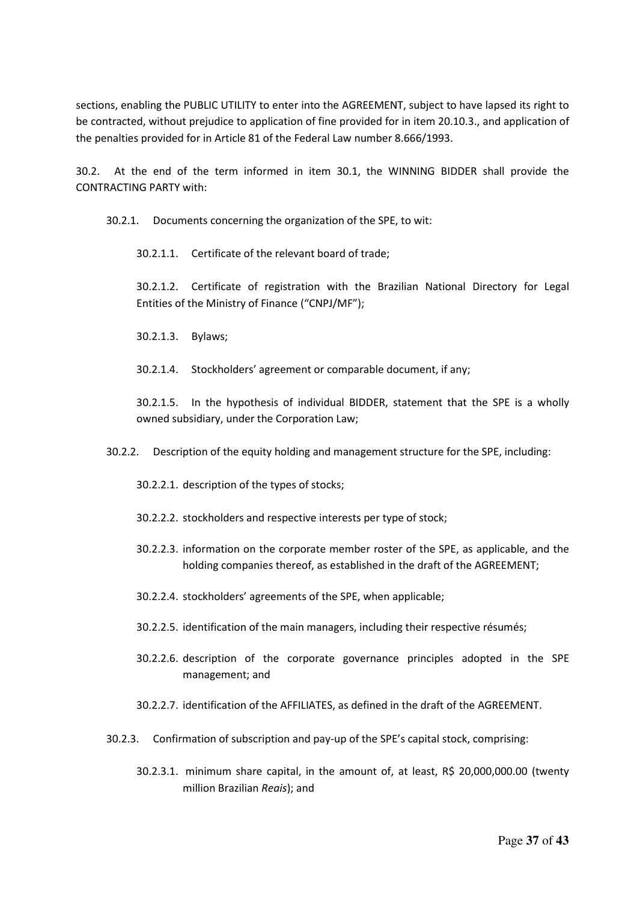sections, enabling the PUBLIC UTILITY to enter into the AGREEMENT, subject to have lapsed its right to be contracted, without prejudice to application of fine provided for in item 20.10.3., and application of the penalties provided for in Article 81 of the Federal Law number 8.666/1993.

30.2. At the end of the term informed in item 30.1, the WINNING BIDDER shall provide the CONTRACTING PARTY with:

30.2.1. Documents concerning the organization of the SPE, to wit:

30.2.1.1. Certificate of the relevant board of trade;

30.2.1.2. Certificate of registration with the Brazilian National Directory for Legal Entities of the Ministry of Finance ("CNPJ/MF");

30.2.1.3. Bylaws;

30.2.1.4. Stockholders' agreement or comparable document, if any;

30.2.1.5. In the hypothesis of individual BIDDER, statement that the SPE is a wholly owned subsidiary, under the Corporation Law;

30.2.2. Description of the equity holding and management structure for the SPE, including:

30.2.2.1. description of the types of stocks;

30.2.2.2. stockholders and respective interests per type of stock;

- 30.2.2.3. information on the corporate member roster of the SPE, as applicable, and the holding companies thereof, as established in the draft of the AGREEMENT;
- 30.2.2.4. stockholders' agreements of the SPE, when applicable;
- 30.2.2.5. identification of the main managers, including their respective résumés;
- 30.2.2.6. description of the corporate governance principles adopted in the SPE management; and
- 30.2.2.7. identification of the AFFILIATES, as defined in the draft of the AGREEMENT.
- 30.2.3. Confirmation of subscription and pay-up of the SPE's capital stock, comprising:
	- 30.2.3.1. minimum share capital, in the amount of, at least, R\$ 20,000,000.00 (twenty million Brazilian *Reais*); and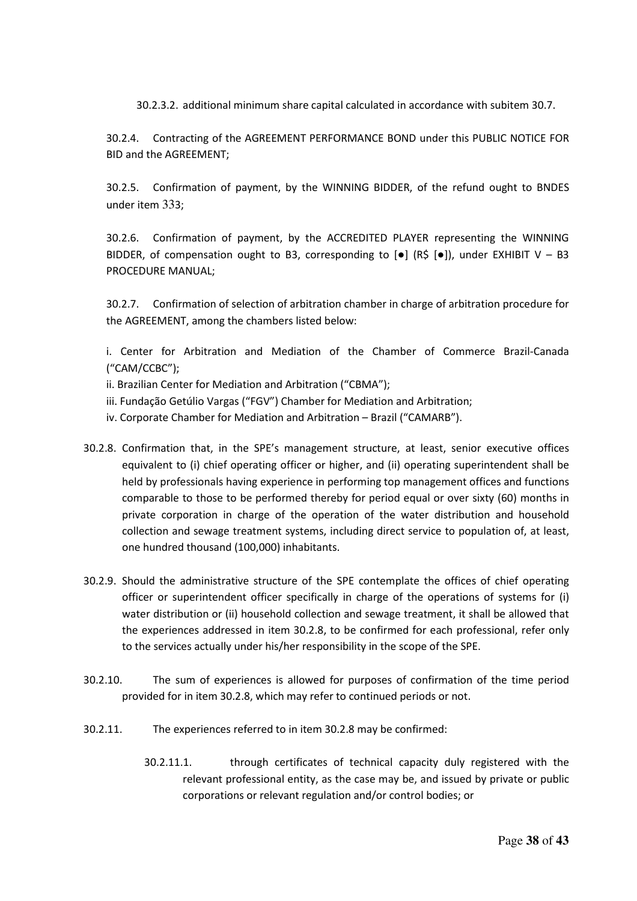30.2.3.2. additional minimum share capital calculated in accordance with subitem 30.7.

30.2.4. Contracting of the AGREEMENT PERFORMANCE BOND under this PUBLIC NOTICE FOR BID and the AGREEMENT;

30.2.5. Confirmation of payment, by the WINNING BIDDER, of the refund ought to BNDES under item 333;

30.2.6. Confirmation of payment, by the ACCREDITED PLAYER representing the WINNING BIDDER, of compensation ought to B3, corresponding to  $\lceil \bullet \rceil$  (R\$  $\lceil \bullet \rceil$ ), under EXHIBIT V - B3 PROCEDURE MANUAL;

30.2.7. Confirmation of selection of arbitration chamber in charge of arbitration procedure for the AGREEMENT, among the chambers listed below:

i. Center for Arbitration and Mediation of the Chamber of Commerce Brazil-Canada ("CAM/CCBC");

ii. Brazilian Center for Mediation and Arbitration ("CBMA");

- iii. Fundação Getúlio Vargas ("FGV") Chamber for Mediation and Arbitration;
- iv. Corporate Chamber for Mediation and Arbitration Brazil ("CAMARB").
- 30.2.8. Confirmation that, in the SPE's management structure, at least, senior executive offices equivalent to (i) chief operating officer or higher, and (ii) operating superintendent shall be held by professionals having experience in performing top management offices and functions comparable to those to be performed thereby for period equal or over sixty (60) months in private corporation in charge of the operation of the water distribution and household collection and sewage treatment systems, including direct service to population of, at least, one hundred thousand (100,000) inhabitants.
- 30.2.9. Should the administrative structure of the SPE contemplate the offices of chief operating officer or superintendent officer specifically in charge of the operations of systems for (i) water distribution or (ii) household collection and sewage treatment, it shall be allowed that the experiences addressed in item 30.2.8, to be confirmed for each professional, refer only to the services actually under his/her responsibility in the scope of the SPE.
- 30.2.10. The sum of experiences is allowed for purposes of confirmation of the time period provided for in item 30.2.8, which may refer to continued periods or not.
- 30.2.11. The experiences referred to in item 30.2.8 may be confirmed:
	- 30.2.11.1. through certificates of technical capacity duly registered with the relevant professional entity, as the case may be, and issued by private or public corporations or relevant regulation and/or control bodies; or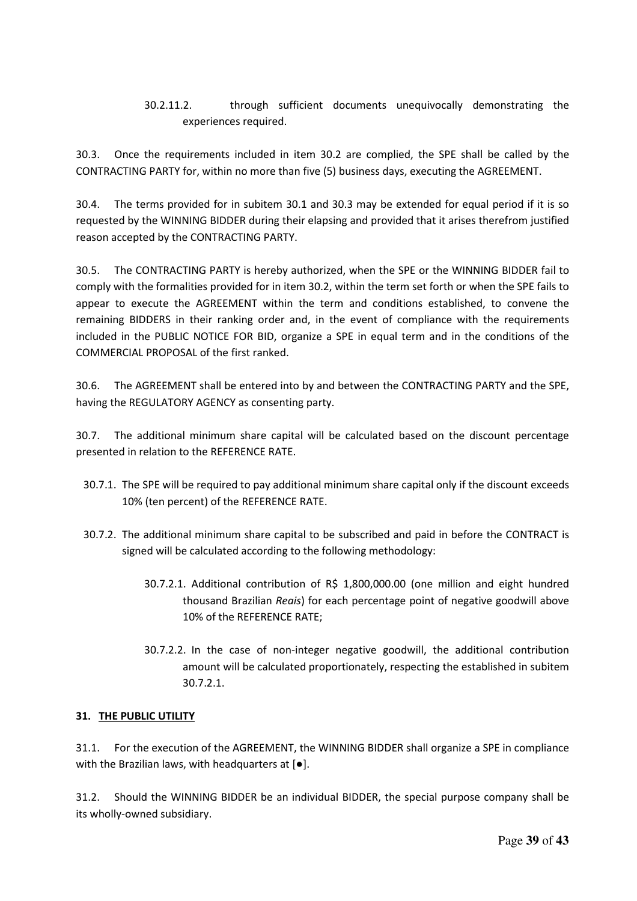## 30.2.11.2. through sufficient documents unequivocally demonstrating the experiences required.

30.3. Once the requirements included in item 30.2 are complied, the SPE shall be called by the CONTRACTING PARTY for, within no more than five (5) business days, executing the AGREEMENT.

30.4. The terms provided for in subitem 30.1 and 30.3 may be extended for equal period if it is so requested by the WINNING BIDDER during their elapsing and provided that it arises therefrom justified reason accepted by the CONTRACTING PARTY.

30.5. The CONTRACTING PARTY is hereby authorized, when the SPE or the WINNING BIDDER fail to comply with the formalities provided for in item 30.2, within the term set forth or when the SPE fails to appear to execute the AGREEMENT within the term and conditions established, to convene the remaining BIDDERS in their ranking order and, in the event of compliance with the requirements included in the PUBLIC NOTICE FOR BID, organize a SPE in equal term and in the conditions of the COMMERCIAL PROPOSAL of the first ranked.

30.6. The AGREEMENT shall be entered into by and between the CONTRACTING PARTY and the SPE, having the REGULATORY AGENCY as consenting party.

30.7. The additional minimum share capital will be calculated based on the discount percentage presented in relation to the REFERENCE RATE.

- 30.7.1. The SPE will be required to pay additional minimum share capital only if the discount exceeds 10% (ten percent) of the REFERENCE RATE.
- 30.7.2. The additional minimum share capital to be subscribed and paid in before the CONTRACT is signed will be calculated according to the following methodology:
	- 30.7.2.1. Additional contribution of R\$ 1,800,000.00 (one million and eight hundred thousand Brazilian *Reais*) for each percentage point of negative goodwill above 10% of the REFERENCE RATE;
	- 30.7.2.2. In the case of non-integer negative goodwill, the additional contribution amount will be calculated proportionately, respecting the established in subitem 30.7.2.1.

#### **31. THE PUBLIC UTILITY**

31.1. For the execution of the AGREEMENT, the WINNING BIDDER shall organize a SPE in compliance with the Brazilian laws, with headquarters at [●].

31.2. Should the WINNING BIDDER be an individual BIDDER, the special purpose company shall be its wholly-owned subsidiary.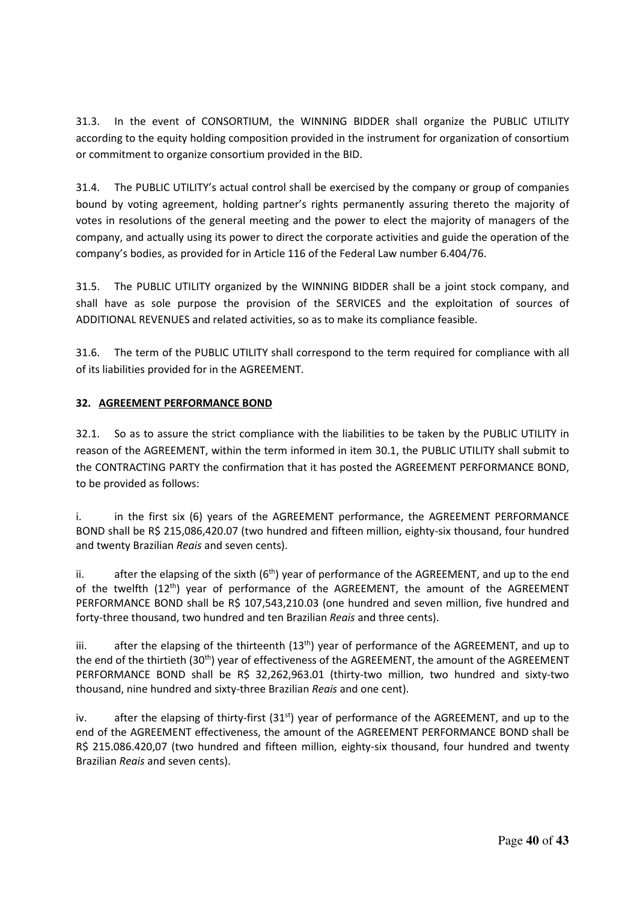31.3. In the event of CONSORTIUM, the WINNING BIDDER shall organize the PUBLIC UTILITY according to the equity holding composition provided in the instrument for organization of consortium or commitment to organize consortium provided in the BID.

31.4. The PUBLIC UTILITY's actual control shall be exercised by the company or group of companies bound by voting agreement, holding partner's rights permanently assuring thereto the majority of votes in resolutions of the general meeting and the power to elect the majority of managers of the company, and actually using its power to direct the corporate activities and guide the operation of the company's bodies, as provided for in Article 116 of the Federal Law number 6.404/76.

31.5. The PUBLIC UTILITY organized by the WINNING BIDDER shall be a joint stock company, and shall have as sole purpose the provision of the SERVICES and the exploitation of sources of ADDITIONAL REVENUES and related activities, so as to make its compliance feasible.

31.6. The term of the PUBLIC UTILITY shall correspond to the term required for compliance with all of its liabilities provided for in the AGREEMENT.

### **32. AGREEMENT PERFORMANCE BOND**

32.1. So as to assure the strict compliance with the liabilities to be taken by the PUBLIC UTILITY in reason of the AGREEMENT, within the term informed in item 30.1, the PUBLIC UTILITY shall submit to the CONTRACTING PARTY the confirmation that it has posted the AGREEMENT PERFORMANCE BOND, to be provided as follows:

i. in the first six (6) years of the AGREEMENT performance, the AGREEMENT PERFORMANCE BOND shall be R\$ 215,086,420.07 (two hundred and fifteen million, eighty-six thousand, four hundred and twenty Brazilian *Reais* and seven cents).

ii. after the elapsing of the sixth  $(6<sup>th</sup>)$  year of performance of the AGREEMENT, and up to the end of the twelfth  $(12<sup>th</sup>)$  year of performance of the AGREEMENT, the amount of the AGREEMENT PERFORMANCE BOND shall be R\$ 107,543,210.03 (one hundred and seven million, five hundred and forty-three thousand, two hundred and ten Brazilian *Reais* and three cents).

iii. after the elapsing of the thirteenth  $(13<sup>th</sup>)$  year of performance of the AGREEMENT, and up to the end of the thirtieth (30<sup>th</sup>) year of effectiveness of the AGREEMENT, the amount of the AGREEMENT PERFORMANCE BOND shall be R\$ 32,262,963.01 (thirty-two million, two hundred and sixty-two thousand, nine hundred and sixty-three Brazilian *Reais* and one cent).

iv. after the elapsing of thirty-first  $(31<sup>st</sup>)$  year of performance of the AGREEMENT, and up to the end of the AGREEMENT effectiveness, the amount of the AGREEMENT PERFORMANCE BOND shall be R\$ 215.086.420,07 (two hundred and fifteen million, eighty-six thousand, four hundred and twenty Brazilian *Reais* and seven cents).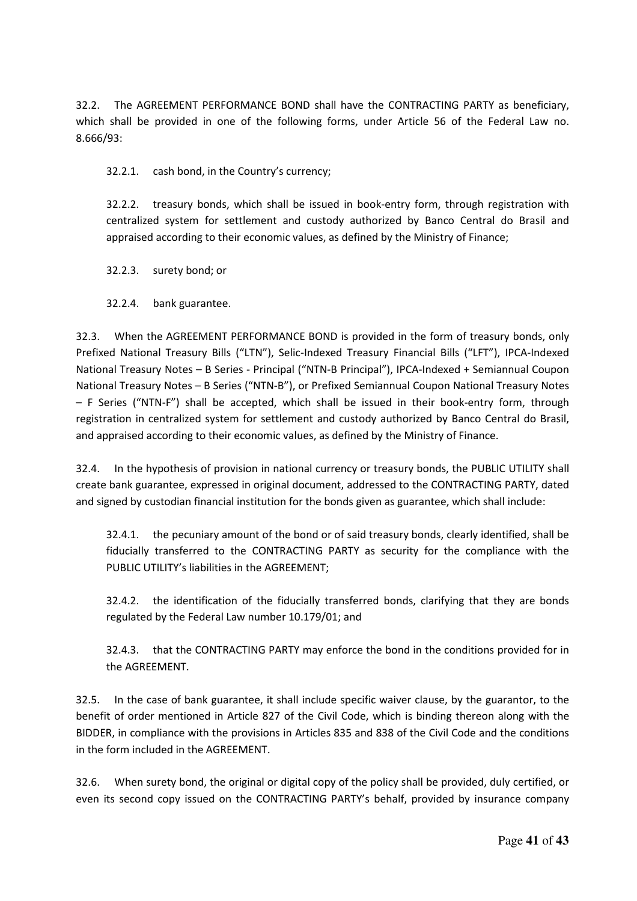32.2. The AGREEMENT PERFORMANCE BOND shall have the CONTRACTING PARTY as beneficiary, which shall be provided in one of the following forms, under Article 56 of the Federal Law no. 8.666/93:

32.2.1. cash bond, in the Country's currency;

32.2.2. treasury bonds, which shall be issued in book-entry form, through registration with centralized system for settlement and custody authorized by Banco Central do Brasil and appraised according to their economic values, as defined by the Ministry of Finance;

32.2.3. surety bond; or

32.2.4. bank guarantee.

32.3. When the AGREEMENT PERFORMANCE BOND is provided in the form of treasury bonds, only Prefixed National Treasury Bills ("LTN"), Selic-Indexed Treasury Financial Bills ("LFT"), IPCA-Indexed National Treasury Notes – B Series - Principal ("NTN-B Principal"), IPCA-Indexed + Semiannual Coupon National Treasury Notes – B Series ("NTN-B"), or Prefixed Semiannual Coupon National Treasury Notes – F Series ("NTN-F") shall be accepted, which shall be issued in their book-entry form, through registration in centralized system for settlement and custody authorized by Banco Central do Brasil, and appraised according to their economic values, as defined by the Ministry of Finance.

32.4. In the hypothesis of provision in national currency or treasury bonds, the PUBLIC UTILITY shall create bank guarantee, expressed in original document, addressed to the CONTRACTING PARTY, dated and signed by custodian financial institution for the bonds given as guarantee, which shall include:

32.4.1. the pecuniary amount of the bond or of said treasury bonds, clearly identified, shall be fiducially transferred to the CONTRACTING PARTY as security for the compliance with the PUBLIC UTILITY's liabilities in the AGREEMENT;

32.4.2. the identification of the fiducially transferred bonds, clarifying that they are bonds regulated by the Federal Law number 10.179/01; and

32.4.3. that the CONTRACTING PARTY may enforce the bond in the conditions provided for in the AGREEMENT.

32.5. In the case of bank guarantee, it shall include specific waiver clause, by the guarantor, to the benefit of order mentioned in Article 827 of the Civil Code, which is binding thereon along with the BIDDER, in compliance with the provisions in Articles 835 and 838 of the Civil Code and the conditions in the form included in the AGREEMENT.

32.6. When surety bond, the original or digital copy of the policy shall be provided, duly certified, or even its second copy issued on the CONTRACTING PARTY's behalf, provided by insurance company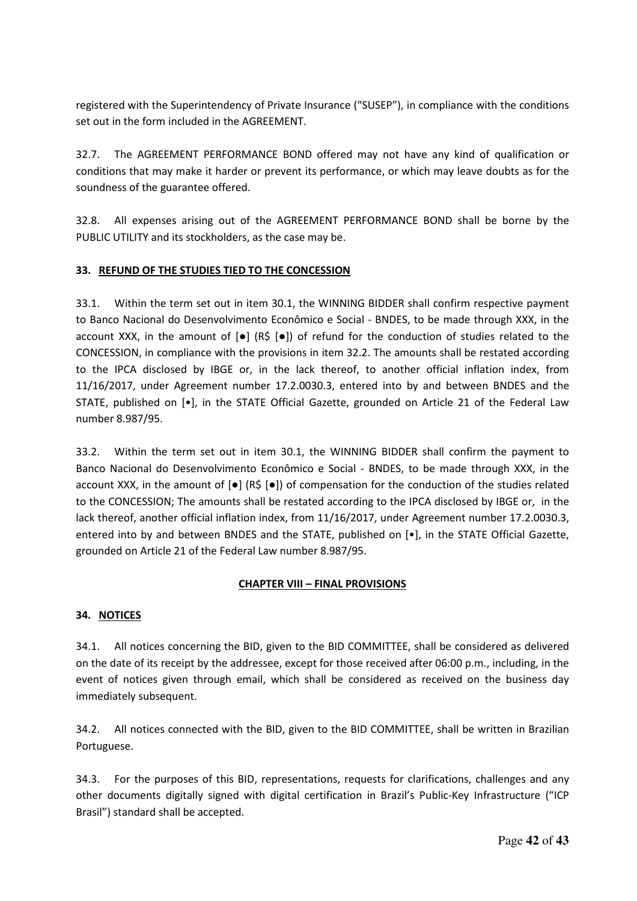registered with the Superintendency of Private Insurance ("SUSEP"), in compliance with the conditions set out in the form included in the AGREEMENT.

32.7. The AGREEMENT PERFORMANCE BOND offered may not have any kind of qualification or conditions that may make it harder or prevent its performance, or which may leave doubts as for the soundness of the guarantee offered.

32.8. All expenses arising out of the AGREEMENT PERFORMANCE BOND shall be borne by the PUBLIC UTILITY and its stockholders, as the case may be.

### **33. REFUND OF THE STUDIES TIED TO THE CONCESSION**

33.1. Within the term set out in item 30.1, the WINNING BIDDER shall confirm respective payment to Banco Nacional do Desenvolvimento Econômico e Social - BNDES, to be made through XXX, in the account XXX, in the amount of [●] (R\$ [●]) of refund for the conduction of studies related to the CONCESSION, in compliance with the provisions in item 32.2. The amounts shall be restated according to the IPCA disclosed by IBGE or, in the lack thereof, to another official inflation index, from 11/16/2017, under Agreement number 17.2.0030.3, entered into by and between BNDES and the STATE, published on [•], in the STATE Official Gazette, grounded on Article 21 of the Federal Law number 8.987/95.

33.2. Within the term set out in item 30.1, the WINNING BIDDER shall confirm the payment to Banco Nacional do Desenvolvimento Econômico e Social - BNDES, to be made through XXX, in the account XXX, in the amount of [●] (R\$ [●]) of compensation for the conduction of the studies related to the CONCESSION; The amounts shall be restated according to the IPCA disclosed by IBGE or, in the lack thereof, another official inflation index, from 11/16/2017, under Agreement number 17.2.0030.3, entered into by and between BNDES and the STATE, published on [•], in the STATE Official Gazette, grounded on Article 21 of the Federal Law number 8.987/95.

#### **CHAPTER VIII – FINAL PROVISIONS**

#### **34. NOTICES**

34.1. All notices concerning the BID, given to the BID COMMITTEE, shall be considered as delivered on the date of its receipt by the addressee, except for those received after 06:00 p.m., including, in the event of notices given through email, which shall be considered as received on the business day immediately subsequent.

34.2. All notices connected with the BID, given to the BID COMMITTEE, shall be written in Brazilian Portuguese.

34.3. For the purposes of this BID, representations, requests for clarifications, challenges and any other documents digitally signed with digital certification in Brazil's Public-Key Infrastructure ("ICP Brasil") standard shall be accepted.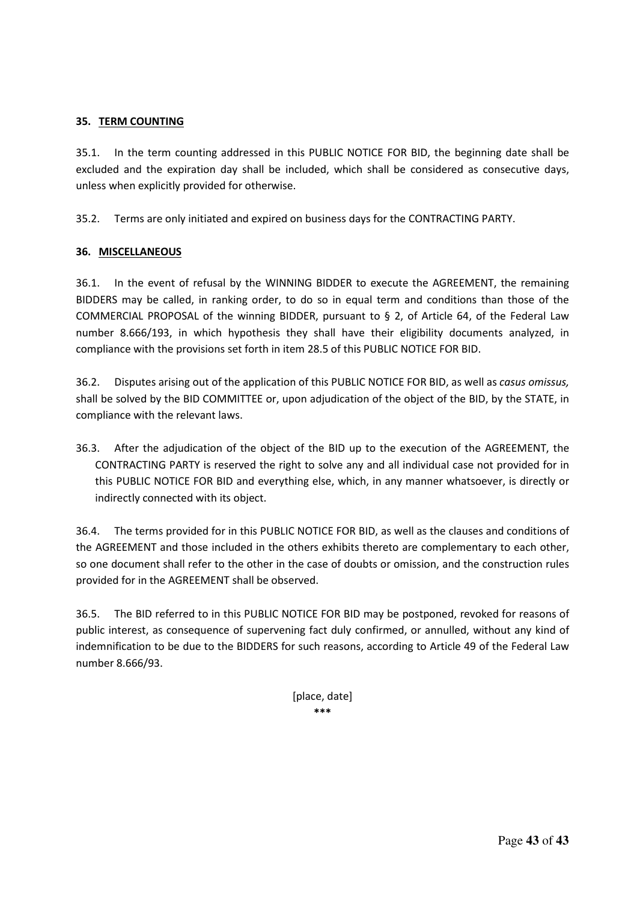#### **35. TERM COUNTING**

35.1. In the term counting addressed in this PUBLIC NOTICE FOR BID, the beginning date shall be excluded and the expiration day shall be included, which shall be considered as consecutive days, unless when explicitly provided for otherwise.

35.2. Terms are only initiated and expired on business days for the CONTRACTING PARTY.

#### **36. MISCELLANEOUS**

36.1. In the event of refusal by the WINNING BIDDER to execute the AGREEMENT, the remaining BIDDERS may be called, in ranking order, to do so in equal term and conditions than those of the COMMERCIAL PROPOSAL of the winning BIDDER, pursuant to § 2, of Article 64, of the Federal Law number 8.666/193, in which hypothesis they shall have their eligibility documents analyzed, in compliance with the provisions set forth in item 28.5 of this PUBLIC NOTICE FOR BID.

36.2. Disputes arising out of the application of this PUBLIC NOTICE FOR BID, as well as *casus omissus,*  shall be solved by the BID COMMITTEE or, upon adjudication of the object of the BID, by the STATE, in compliance with the relevant laws.

36.3. After the adjudication of the object of the BID up to the execution of the AGREEMENT, the CONTRACTING PARTY is reserved the right to solve any and all individual case not provided for in this PUBLIC NOTICE FOR BID and everything else, which, in any manner whatsoever, is directly or indirectly connected with its object.

36.4. The terms provided for in this PUBLIC NOTICE FOR BID, as well as the clauses and conditions of the AGREEMENT and those included in the others exhibits thereto are complementary to each other, so one document shall refer to the other in the case of doubts or omission, and the construction rules provided for in the AGREEMENT shall be observed.

36.5. The BID referred to in this PUBLIC NOTICE FOR BID may be postponed, revoked for reasons of public interest, as consequence of supervening fact duly confirmed, or annulled, without any kind of indemnification to be due to the BIDDERS for such reasons, according to Article 49 of the Federal Law number 8.666/93.

> [place, date] **\*\*\***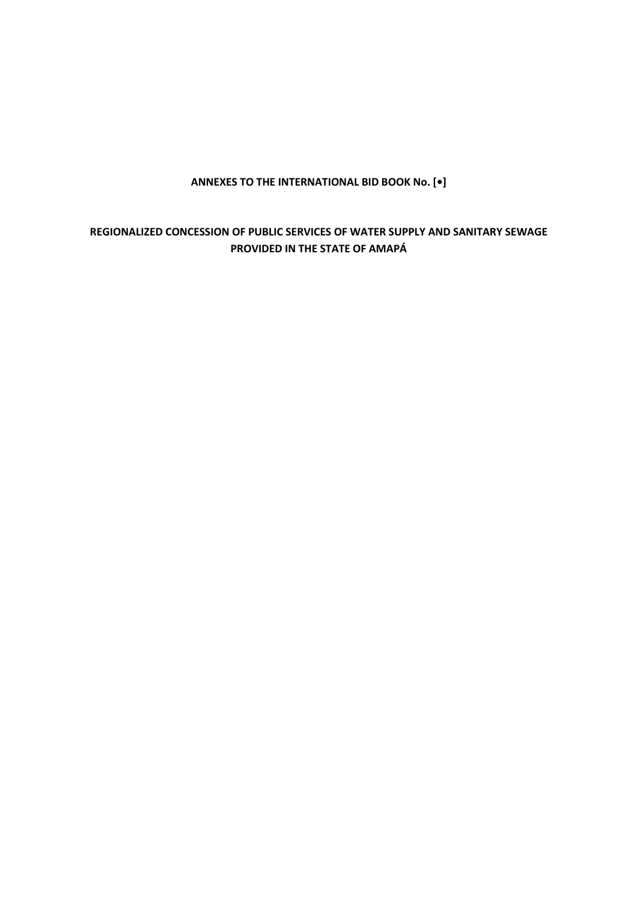## **ANNEXES TO THE INTERNATIONAL BID BOOK No. [•]**

## **REGIONALIZED CONCESSION OF PUBLIC SERVICES OF WATER SUPPLY AND SANITARY SEWAGE PROVIDED IN THE STATE OF AMAPÁ**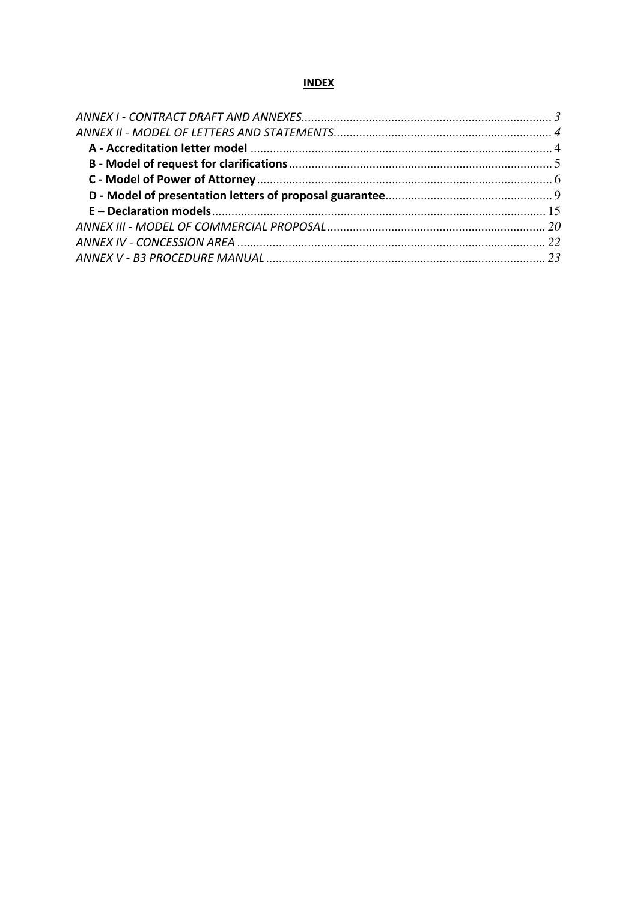#### **INDEX**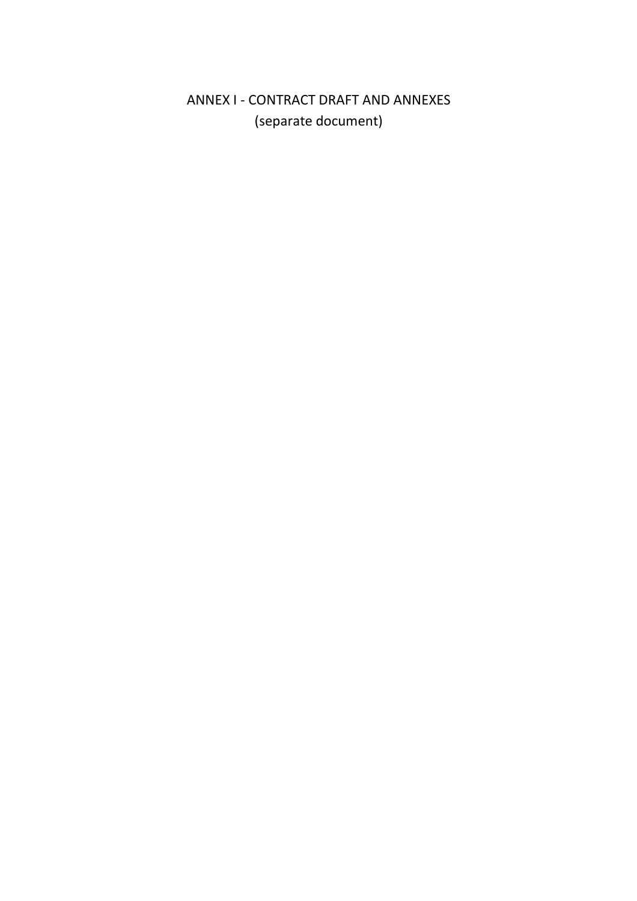# ANNEX I - CONTRACT DRAFT AND ANNEXES (separate document)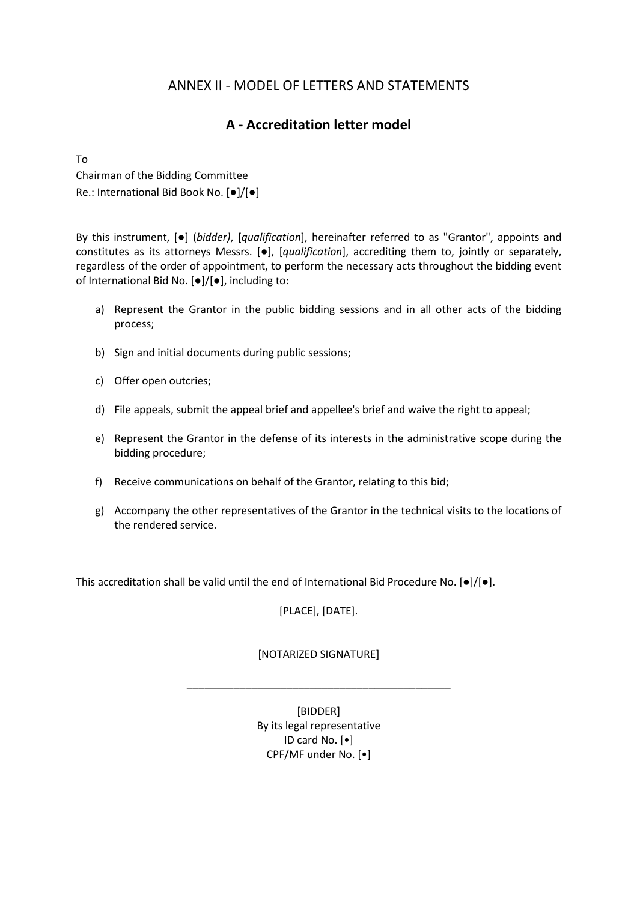## ANNEX II - MODEL OF LETTERS AND STATEMENTS

## **A - Accreditation letter model**

To

Chairman of the Bidding Committee Re.: International Bid Book No. [●]/[●]

By this instrument, [●] (*bidder)*, [*qualification*], hereinafter referred to as "Grantor", appoints and constitutes as its attorneys Messrs. [●], [*qualification*], accrediting them to, jointly or separately, regardless of the order of appointment, to perform the necessary acts throughout the bidding event of International Bid No. [●]/[●], including to:

- a) Represent the Grantor in the public bidding sessions and in all other acts of the bidding process;
- b) Sign and initial documents during public sessions;
- c) Offer open outcries;
- d) File appeals, submit the appeal brief and appellee's brief and waive the right to appeal;
- e) Represent the Grantor in the defense of its interests in the administrative scope during the bidding procedure;
- f) Receive communications on behalf of the Grantor, relating to this bid;
- g) Accompany the other representatives of the Grantor in the technical visits to the locations of the rendered service.

This accreditation shall be valid until the end of International Bid Procedure No. [●]/[●].

[PLACE], [DATE].

#### [NOTARIZED SIGNATURE]

\_\_\_\_\_\_\_\_\_\_\_\_\_\_\_\_\_\_\_\_\_\_\_\_\_\_\_\_\_\_\_\_\_\_\_\_\_\_\_\_\_\_\_\_\_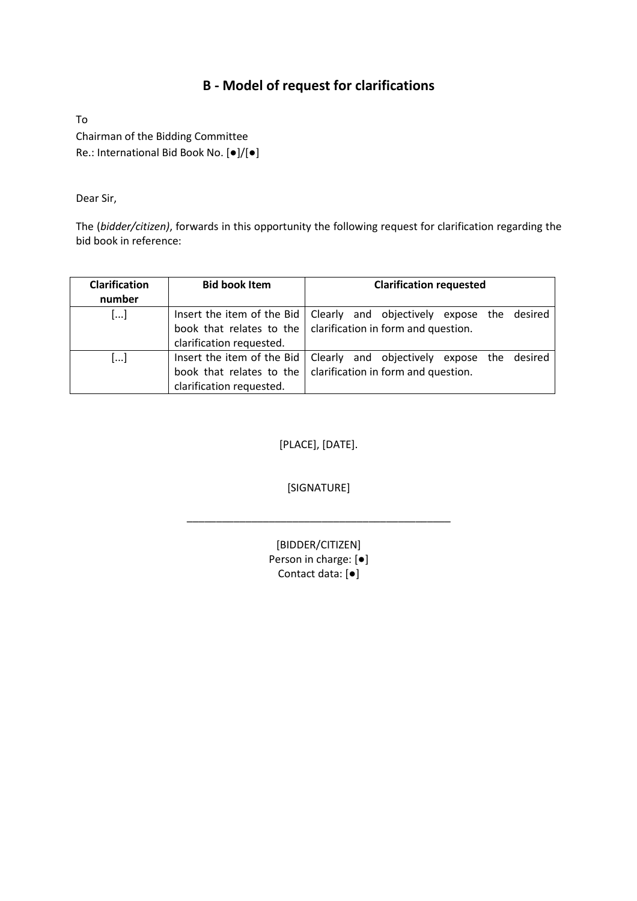# **B - Model of request for clarifications**

To Chairman of the Bidding Committee Re.: International Bid Book No. [●]/[●]

Dear Sir,

The (*bidder/citizen)*, forwards in this opportunity the following request for clarification regarding the bid book in reference:

| <b>Clarification</b><br>number | <b>Bid book Item</b>       | <b>Clarification requested</b>                                          |
|--------------------------------|----------------------------|-------------------------------------------------------------------------|
| []                             |                            | Insert the item of the Bid   Clearly and objectively expose the desired |
|                                |                            | book that relates to the $\vert$ clarification in form and question.    |
|                                | clarification requested.   |                                                                         |
| []                             | Insert the item of the Bid | Clearly and objectively expose the desired                              |
|                                | book that relates to the   | clarification in form and question.                                     |
|                                | clarification requested.   |                                                                         |

[PLACE], [DATE].

[SIGNATURE]

\_\_\_\_\_\_\_\_\_\_\_\_\_\_\_\_\_\_\_\_\_\_\_\_\_\_\_\_\_\_\_\_\_\_\_\_\_\_\_\_\_\_\_\_\_

[BIDDER/CITIZEN] Person in charge: [●] Contact data: [●]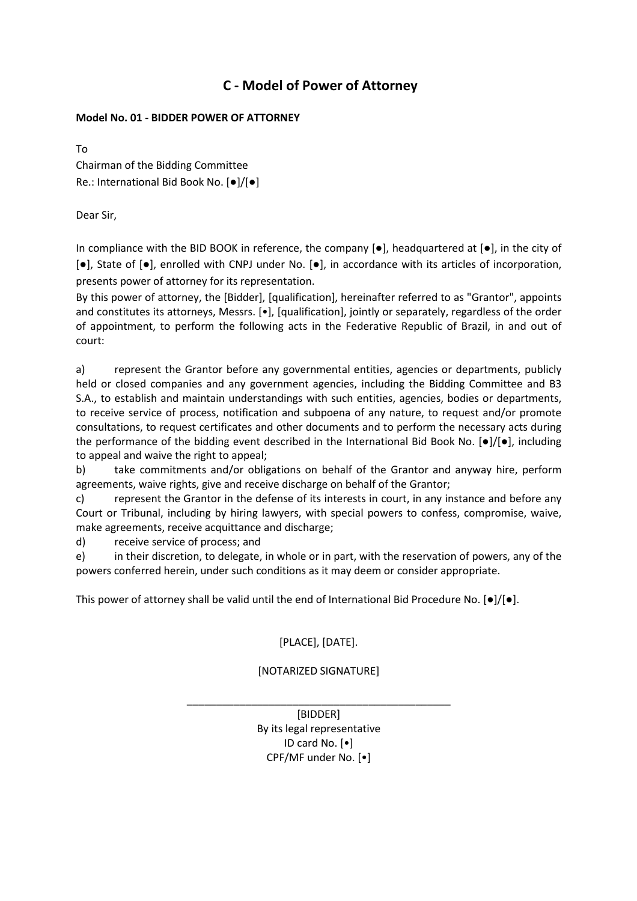## **C - Model of Power of Attorney**

### **Model No. 01 - BIDDER POWER OF ATTORNEY**

To Chairman of the Bidding Committee Re.: International Bid Book No. [●]/[●]

Dear Sir,

In compliance with the BID BOOK in reference, the company  $[\bullet]$ , headquartered at  $[\bullet]$ , in the city of [●], State of [●], enrolled with CNPJ under No. [●], in accordance with its articles of incorporation, presents power of attorney for its representation.

By this power of attorney, the [Bidder], [qualification], hereinafter referred to as "Grantor", appoints and constitutes its attorneys, Messrs. [•], [qualification], jointly or separately, regardless of the order of appointment, to perform the following acts in the Federative Republic of Brazil, in and out of court:

a) represent the Grantor before any governmental entities, agencies or departments, publicly held or closed companies and any government agencies, including the Bidding Committee and B3 S.A., to establish and maintain understandings with such entities, agencies, bodies or departments, to receive service of process, notification and subpoena of any nature, to request and/or promote consultations, to request certificates and other documents and to perform the necessary acts during the performance of the bidding event described in the International Bid Book No. [●]/[●], including to appeal and waive the right to appeal;

b) take commitments and/or obligations on behalf of the Grantor and anyway hire, perform agreements, waive rights, give and receive discharge on behalf of the Grantor;

c) represent the Grantor in the defense of its interests in court, in any instance and before any Court or Tribunal, including by hiring lawyers, with special powers to confess, compromise, waive, make agreements, receive acquittance and discharge;

d) receive service of process; and

e) in their discretion, to delegate, in whole or in part, with the reservation of powers, any of the powers conferred herein, under such conditions as it may deem or consider appropriate.

This power of attorney shall be valid until the end of International Bid Procedure No.  $[\bullet] / [\bullet]$ .

## [PLACE], [DATE].

## [NOTARIZED SIGNATURE]

\_\_\_\_\_\_\_\_\_\_\_\_\_\_\_\_\_\_\_\_\_\_\_\_\_\_\_\_\_\_\_\_\_\_\_\_\_\_\_\_\_\_\_\_\_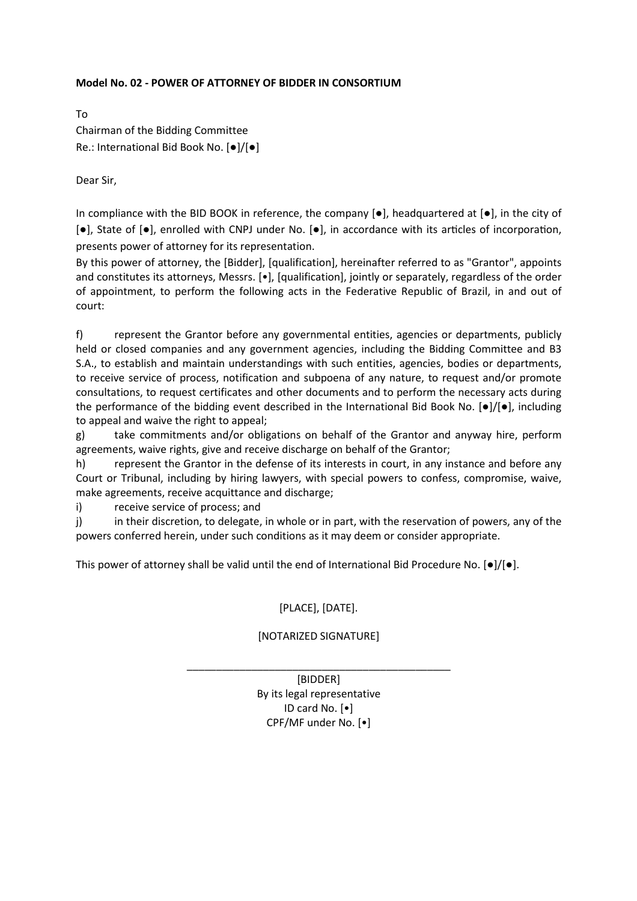#### **Model No. 02 - POWER OF ATTORNEY OF BIDDER IN CONSORTIUM**

To Chairman of the Bidding Committee Re.: International Bid Book No. [●]/[●]

Dear Sir,

In compliance with the BID BOOK in reference, the company  $[\bullet]$ , headquartered at  $[\bullet]$ , in the city of  $[•]$ , State of  $[•]$ , enrolled with CNPJ under No.  $[•]$ , in accordance with its articles of incorporation, presents power of attorney for its representation.

By this power of attorney, the [Bidder], [qualification], hereinafter referred to as "Grantor", appoints and constitutes its attorneys, Messrs. [ $\bullet$ ], [qualification], jointly or separately, regardless of the order of appointment, to perform the following acts in the Federative Republic of Brazil, in and out of court:

f) represent the Grantor before any governmental entities, agencies or departments, publicly held or closed companies and any government agencies, including the Bidding Committee and B3 S.A., to establish and maintain understandings with such entities, agencies, bodies or departments, to receive service of process, notification and subpoena of any nature, to request and/or promote consultations, to request certificates and other documents and to perform the necessary acts during the performance of the bidding event described in the International Bid Book No. [●]/[●], including to appeal and waive the right to appeal;

g) take commitments and/or obligations on behalf of the Grantor and anyway hire, perform agreements, waive rights, give and receive discharge on behalf of the Grantor;

h) represent the Grantor in the defense of its interests in court, in any instance and before any Court or Tribunal, including by hiring lawyers, with special powers to confess, compromise, waive, make agreements, receive acquittance and discharge;

i) receive service of process; and

j) in their discretion, to delegate, in whole or in part, with the reservation of powers, any of the powers conferred herein, under such conditions as it may deem or consider appropriate.

This power of attorney shall be valid until the end of International Bid Procedure No.  $[0]/[0]$ .

## [PLACE], [DATE].

## [NOTARIZED SIGNATURE]

\_\_\_\_\_\_\_\_\_\_\_\_\_\_\_\_\_\_\_\_\_\_\_\_\_\_\_\_\_\_\_\_\_\_\_\_\_\_\_\_\_\_\_\_\_ [BIDDER] By its legal representative ID card No. [•] CPF/MF under No. [•]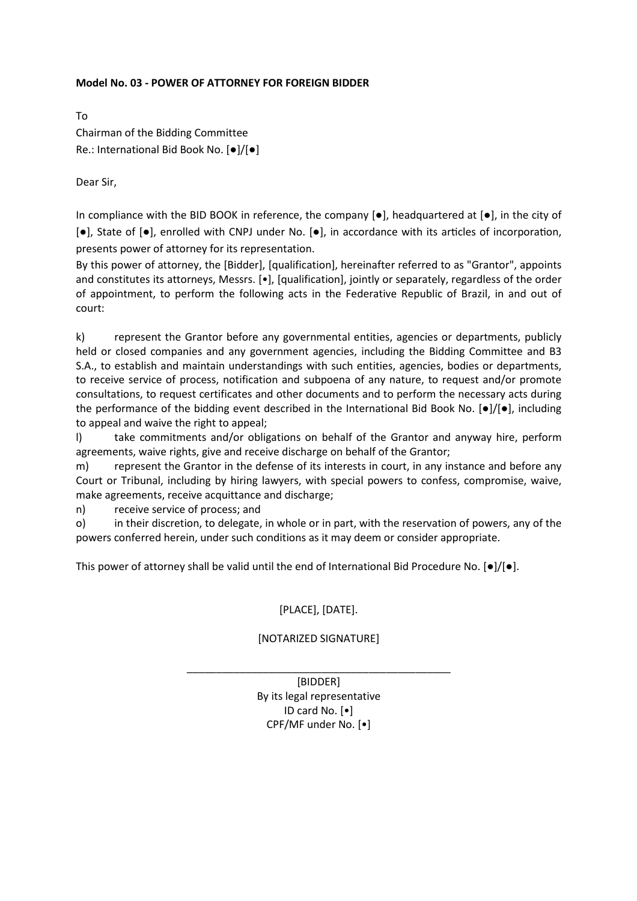#### **Model No. 03 - POWER OF ATTORNEY FOR FOREIGN BIDDER**

To Chairman of the Bidding Committee Re.: International Bid Book No. [●]/[●]

Dear Sir,

In compliance with the BID BOOK in reference, the company  $[\bullet]$ , headquartered at  $[\bullet]$ , in the city of  $[•]$ , State of  $[•]$ , enrolled with CNPJ under No.  $[•]$ , in accordance with its articles of incorporation, presents power of attorney for its representation.

By this power of attorney, the [Bidder], [qualification], hereinafter referred to as "Grantor", appoints and constitutes its attorneys, Messrs. [•], [qualification], jointly or separately, regardless of the order of appointment, to perform the following acts in the Federative Republic of Brazil, in and out of court:

k) represent the Grantor before any governmental entities, agencies or departments, publicly held or closed companies and any government agencies, including the Bidding Committee and B3 S.A., to establish and maintain understandings with such entities, agencies, bodies or departments, to receive service of process, notification and subpoena of any nature, to request and/or promote consultations, to request certificates and other documents and to perform the necessary acts during the performance of the bidding event described in the International Bid Book No. [●]/[●], including to appeal and waive the right to appeal;

l) take commitments and/or obligations on behalf of the Grantor and anyway hire, perform agreements, waive rights, give and receive discharge on behalf of the Grantor;

m) represent the Grantor in the defense of its interests in court, in any instance and before any Court or Tribunal, including by hiring lawyers, with special powers to confess, compromise, waive, make agreements, receive acquittance and discharge;

n) receive service of process; and

o) in their discretion, to delegate, in whole or in part, with the reservation of powers, any of the powers conferred herein, under such conditions as it may deem or consider appropriate.

This power of attorney shall be valid until the end of International Bid Procedure No. [●]/[●].

## [PLACE], [DATE].

## [NOTARIZED SIGNATURE]

\_\_\_\_\_\_\_\_\_\_\_\_\_\_\_\_\_\_\_\_\_\_\_\_\_\_\_\_\_\_\_\_\_\_\_\_\_\_\_\_\_\_\_\_\_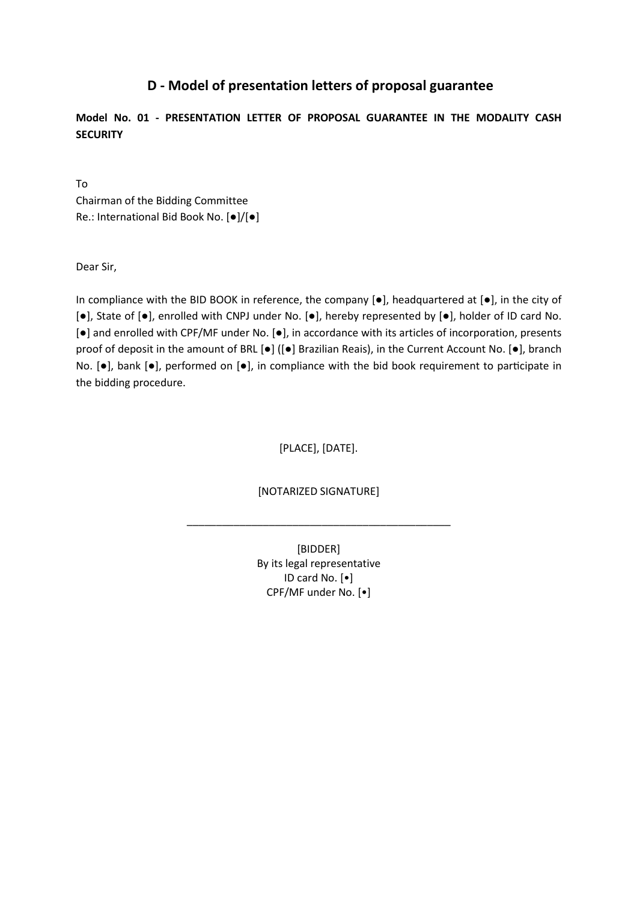## **D - Model of presentation letters of proposal guarantee**

**Model No. 01 - PRESENTATION LETTER OF PROPOSAL GUARANTEE IN THE MODALITY CASH SECURITY** 

To Chairman of the Bidding Committee Re.: International Bid Book No. [●]/[●]

Dear Sir,

In compliance with the BID BOOK in reference, the company [●], headquartered at [●], in the city of [●], State of [●], enrolled with CNPJ under No. [●], hereby represented by [●], holder of ID card No. [●] and enrolled with CPF/MF under No. [●], in accordance with its articles of incorporation, presents proof of deposit in the amount of BRL [●] ([●] Brazilian Reais), in the Current Account No. [●], branch No.  $[•]$ , bank  $[•]$ , performed on  $[•]$ , in compliance with the bid book requirement to participate in the bidding procedure.

[PLACE], [DATE].

[NOTARIZED SIGNATURE]

\_\_\_\_\_\_\_\_\_\_\_\_\_\_\_\_\_\_\_\_\_\_\_\_\_\_\_\_\_\_\_\_\_\_\_\_\_\_\_\_\_\_\_\_\_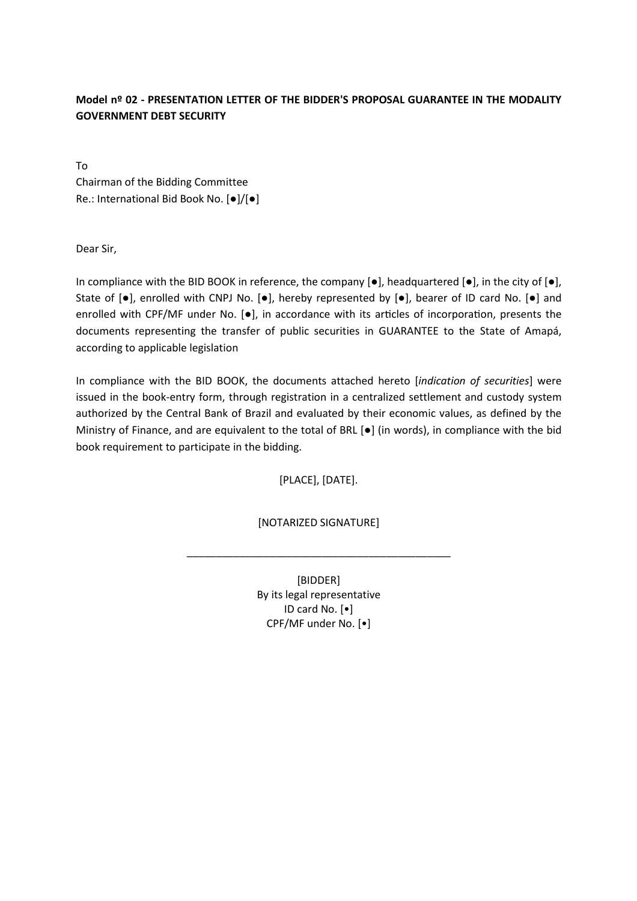## **Model nº 02 - PRESENTATION LETTER OF THE BIDDER'S PROPOSAL GUARANTEE IN THE MODALITY GOVERNMENT DEBT SECURITY**

To Chairman of the Bidding Committee Re.: International Bid Book No. [●]/[●]

Dear Sir,

In compliance with the BID BOOK in reference, the company  $[\bullet]$ , headquartered  $[\bullet]$ , in the city of  $[\bullet]$ , State of [●], enrolled with CNPJ No. [●], hereby represented by [●], bearer of ID card No. [●] and enrolled with CPF/MF under No.  $[\bullet]$ , in accordance with its articles of incorporation, presents the documents representing the transfer of public securities in GUARANTEE to the State of Amapá, according to applicable legislation

In compliance with the BID BOOK, the documents attached hereto [*indication of securities*] were issued in the book-entry form, through registration in a centralized settlement and custody system authorized by the Central Bank of Brazil and evaluated by their economic values, as defined by the Ministry of Finance, and are equivalent to the total of BRL [●] (in words), in compliance with the bid book requirement to participate in the bidding.

[PLACE], [DATE].

[NOTARIZED SIGNATURE]

\_\_\_\_\_\_\_\_\_\_\_\_\_\_\_\_\_\_\_\_\_\_\_\_\_\_\_\_\_\_\_\_\_\_\_\_\_\_\_\_\_\_\_\_\_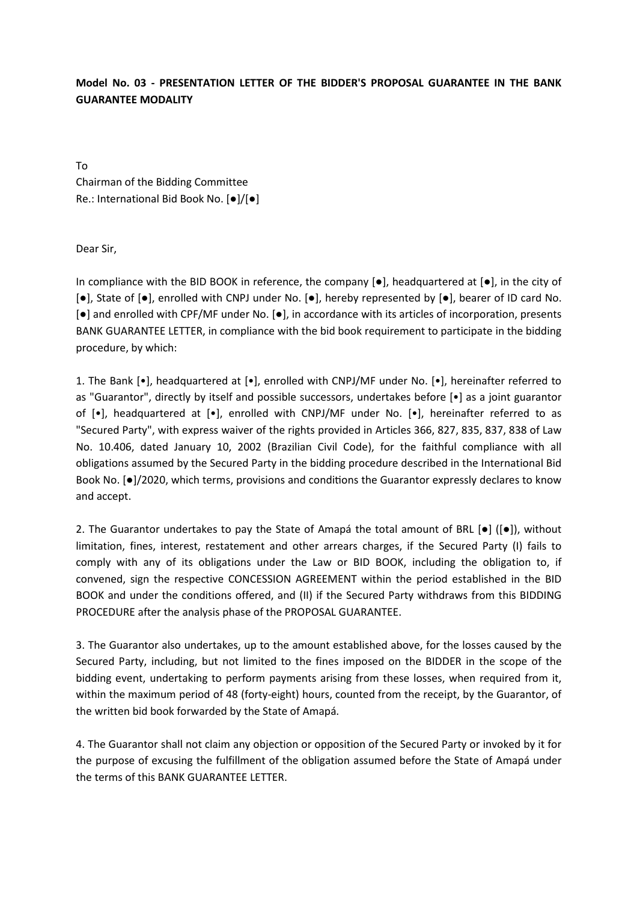## **Model No. 03 - PRESENTATION LETTER OF THE BIDDER'S PROPOSAL GUARANTEE IN THE BANK GUARANTEE MODALITY**

To Chairman of the Bidding Committee Re.: International Bid Book No. [●]/[●]

Dear Sir,

In compliance with the BID BOOK in reference, the company  $[\bullet]$ , headquartered at  $[\bullet]$ , in the city of [●], State of [●], enrolled with CNPJ under No. [●], hereby represented by [●], bearer of ID card No. [●] and enrolled with CPF/MF under No. [●], in accordance with its articles of incorporation, presents BANK GUARANTEE LETTER, in compliance with the bid book requirement to participate in the bidding procedure, by which:

1. The Bank [•], headquartered at [•], enrolled with CNPJ/MF under No. [•], hereinafter referred to as "Guarantor", directly by itself and possible successors, undertakes before [•] as a joint guarantor of [•], headquartered at [•], enrolled with CNPJ/MF under No. [•], hereinafter referred to as "Secured Party", with express waiver of the rights provided in Articles 366, 827, 835, 837, 838 of Law No. 10.406, dated January 10, 2002 (Brazilian Civil Code), for the faithful compliance with all obligations assumed by the Secured Party in the bidding procedure described in the International Bid Book No. [ $\bullet$ ]/2020, which terms, provisions and conditions the Guarantor expressly declares to know and accept.

2. The Guarantor undertakes to pay the State of Amapá the total amount of BRL  $[•]$   $([•])$ , without limitation, fines, interest, restatement and other arrears charges, if the Secured Party (I) fails to comply with any of its obligations under the Law or BID BOOK, including the obligation to, if convened, sign the respective CONCESSION AGREEMENT within the period established in the BID BOOK and under the conditions offered, and (II) if the Secured Party withdraws from this BIDDING PROCEDURE after the analysis phase of the PROPOSAL GUARANTEE.

3. The Guarantor also undertakes, up to the amount established above, for the losses caused by the Secured Party, including, but not limited to the fines imposed on the BIDDER in the scope of the bidding event, undertaking to perform payments arising from these losses, when required from it, within the maximum period of 48 (forty-eight) hours, counted from the receipt, by the Guarantor, of the written bid book forwarded by the State of Amapá.

4. The Guarantor shall not claim any objection or opposition of the Secured Party or invoked by it for the purpose of excusing the fulfillment of the obligation assumed before the State of Amapá under the terms of this BANK GUARANTEE LETTER.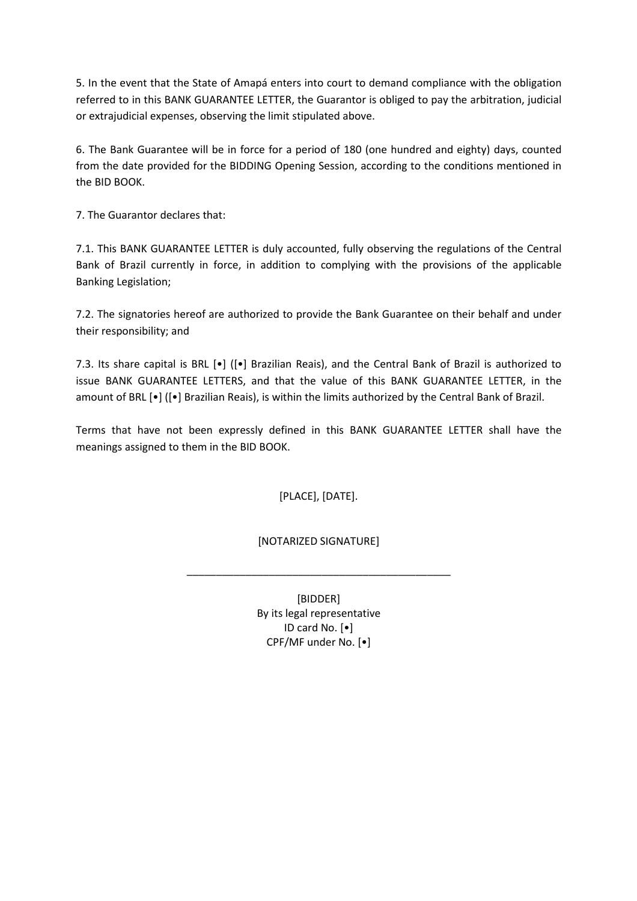5. In the event that the State of Amapá enters into court to demand compliance with the obligation referred to in this BANK GUARANTEE LETTER, the Guarantor is obliged to pay the arbitration, judicial or extrajudicial expenses, observing the limit stipulated above.

6. The Bank Guarantee will be in force for a period of 180 (one hundred and eighty) days, counted from the date provided for the BIDDING Opening Session, according to the conditions mentioned in the BID BOOK.

7. The Guarantor declares that:

7.1. This BANK GUARANTEE LETTER is duly accounted, fully observing the regulations of the Central Bank of Brazil currently in force, in addition to complying with the provisions of the applicable Banking Legislation;

7.2. The signatories hereof are authorized to provide the Bank Guarantee on their behalf and under their responsibility; and

7.3. Its share capital is BRL [•] ([•] Brazilian Reais), and the Central Bank of Brazil is authorized to issue BANK GUARANTEE LETTERS, and that the value of this BANK GUARANTEE LETTER, in the amount of BRL [•] ([•] Brazilian Reais), is within the limits authorized by the Central Bank of Brazil.

Terms that have not been expressly defined in this BANK GUARANTEE LETTER shall have the meanings assigned to them in the BID BOOK.

[PLACE], [DATE].

[NOTARIZED SIGNATURE]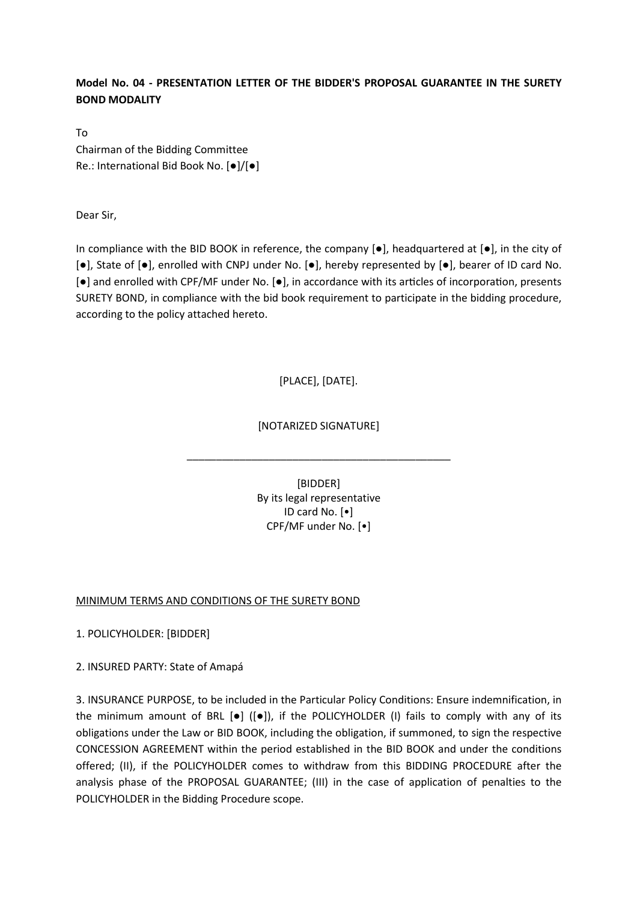### **Model No. 04 - PRESENTATION LETTER OF THE BIDDER'S PROPOSAL GUARANTEE IN THE SURETY BOND MODALITY**

To Chairman of the Bidding Committee Re.: International Bid Book No. [●]/[●]

Dear Sir,

In compliance with the BID BOOK in reference, the company  $\lceil \bullet \rceil$ , headquartered at  $\lceil \bullet \rceil$ , in the city of [●], State of [●], enrolled with CNPJ under No. [●], hereby represented by [●], bearer of ID card No.  $[e]$  and enrolled with CPF/MF under No.  $[e]$ , in accordance with its articles of incorporation, presents SURETY BOND, in compliance with the bid book requirement to participate in the bidding procedure, according to the policy attached hereto.

## [PLACE], [DATE].

### [NOTARIZED SIGNATURE]

\_\_\_\_\_\_\_\_\_\_\_\_\_\_\_\_\_\_\_\_\_\_\_\_\_\_\_\_\_\_\_\_\_\_\_\_\_\_\_\_\_\_\_\_\_

[BIDDER] By its legal representative ID card No. [•] CPF/MF under No. [•]

#### MINIMUM TERMS AND CONDITIONS OF THE SURETY BOND

1. POLICYHOLDER: [BIDDER]

2. INSURED PARTY: State of Amapá

3. INSURANCE PURPOSE, to be included in the Particular Policy Conditions: Ensure indemnification, in the minimum amount of BRL [●] ([●]), if the POLICYHOLDER (I) fails to comply with any of its obligations under the Law or BID BOOK, including the obligation, if summoned, to sign the respective CONCESSION AGREEMENT within the period established in the BID BOOK and under the conditions offered; (II), if the POLICYHOLDER comes to withdraw from this BIDDING PROCEDURE after the analysis phase of the PROPOSAL GUARANTEE; (III) in the case of application of penalties to the POLICYHOLDER in the Bidding Procedure scope.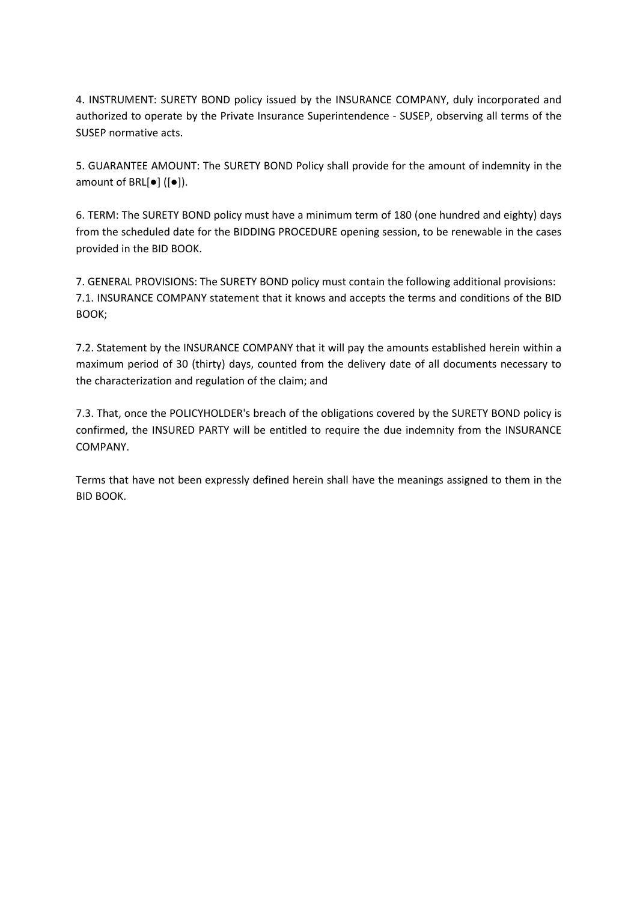4. INSTRUMENT: SURETY BOND policy issued by the INSURANCE COMPANY, duly incorporated and authorized to operate by the Private Insurance Superintendence - SUSEP, observing all terms of the SUSEP normative acts.

5. GUARANTEE AMOUNT: The SURETY BOND Policy shall provide for the amount of indemnity in the amount of BRL[●] ([●]).

6. TERM: The SURETY BOND policy must have a minimum term of 180 (one hundred and eighty) days from the scheduled date for the BIDDING PROCEDURE opening session, to be renewable in the cases provided in the BID BOOK.

7. GENERAL PROVISIONS: The SURETY BOND policy must contain the following additional provisions: 7.1. INSURANCE COMPANY statement that it knows and accepts the terms and conditions of the BID BOOK;

7.2. Statement by the INSURANCE COMPANY that it will pay the amounts established herein within a maximum period of 30 (thirty) days, counted from the delivery date of all documents necessary to the characterization and regulation of the claim; and

7.3. That, once the POLICYHOLDER's breach of the obligations covered by the SURETY BOND policy is confirmed, the INSURED PARTY will be entitled to require the due indemnity from the INSURANCE COMPANY.

Terms that have not been expressly defined herein shall have the meanings assigned to them in the BID BOOK.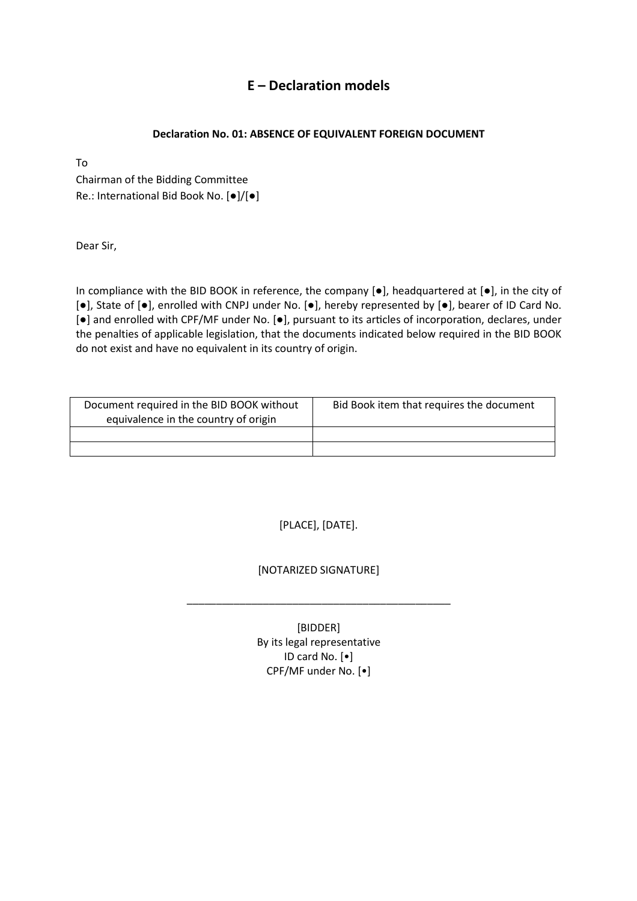## **E – Declaration models**

### **Declaration No. 01: ABSENCE OF EQUIVALENT FOREIGN DOCUMENT**

To

Chairman of the Bidding Committee Re.: International Bid Book No. [●]/[●]

Dear Sir,

In compliance with the BID BOOK in reference, the company [●], headquartered at [●], in the city of [●], State of [●], enrolled with CNPJ under No. [●], hereby represented by [●], bearer of ID Card No. [●] and enrolled with CPF/MF under No. [●], pursuant to its articles of incorporation, declares, under the penalties of applicable legislation, that the documents indicated below required in the BID BOOK do not exist and have no equivalent in its country of origin.

| Document required in the BID BOOK without<br>equivalence in the country of origin | Bid Book item that requires the document |
|-----------------------------------------------------------------------------------|------------------------------------------|
|                                                                                   |                                          |
|                                                                                   |                                          |

[PLACE], [DATE].

## [NOTARIZED SIGNATURE]

\_\_\_\_\_\_\_\_\_\_\_\_\_\_\_\_\_\_\_\_\_\_\_\_\_\_\_\_\_\_\_\_\_\_\_\_\_\_\_\_\_\_\_\_\_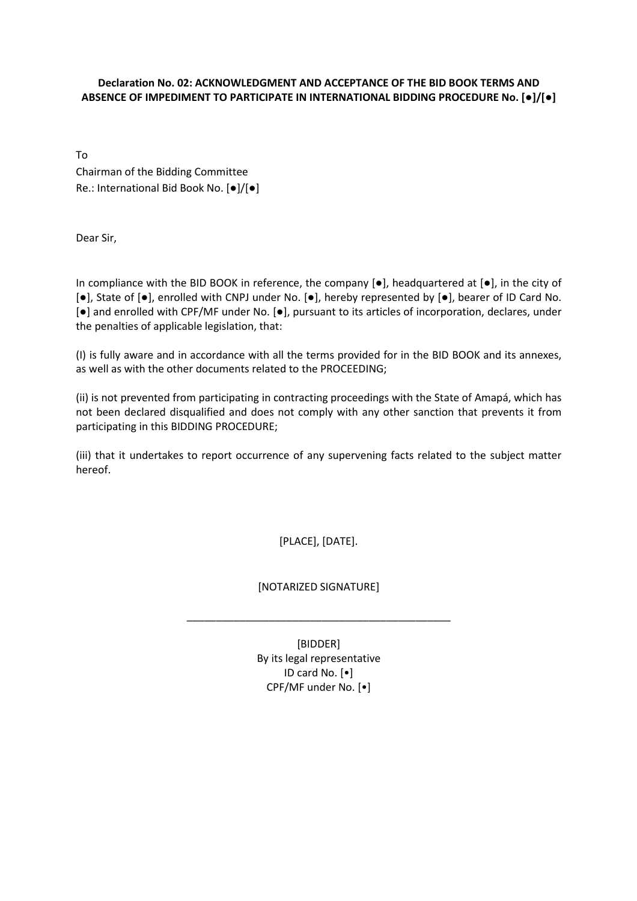#### **Declaration No. 02: ACKNOWLEDGMENT AND ACCEPTANCE OF THE BID BOOK TERMS AND ABSENCE OF IMPEDIMENT TO PARTICIPATE IN INTERNATIONAL BIDDING PROCEDURE No. [●]/[●]**

To Chairman of the Bidding Committee Re.: International Bid Book No. [●]/[●]

Dear Sir,

In compliance with the BID BOOK in reference, the company  $[\bullet]$ , headquartered at  $[\bullet]$ , in the city of [●], State of [●], enrolled with CNPJ under No. [●], hereby represented by [●], bearer of ID Card No. [●] and enrolled with CPF/MF under No. [●], pursuant to its articles of incorporation, declares, under the penalties of applicable legislation, that:

(I) is fully aware and in accordance with all the terms provided for in the BID BOOK and its annexes, as well as with the other documents related to the PROCEEDING;

(ii) is not prevented from participating in contracting proceedings with the State of Amapá, which has not been declared disqualified and does not comply with any other sanction that prevents it from participating in this BIDDING PROCEDURE;

(iii) that it undertakes to report occurrence of any supervening facts related to the subject matter hereof.

[PLACE], [DATE].

[NOTARIZED SIGNATURE]

\_\_\_\_\_\_\_\_\_\_\_\_\_\_\_\_\_\_\_\_\_\_\_\_\_\_\_\_\_\_\_\_\_\_\_\_\_\_\_\_\_\_\_\_\_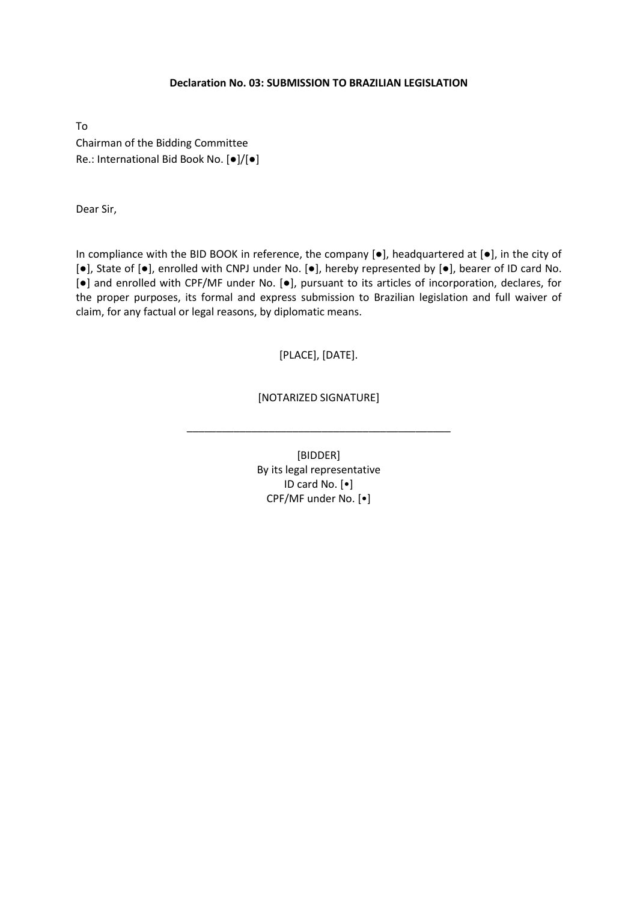#### **Declaration No. 03: SUBMISSION TO BRAZILIAN LEGISLATION**

To Chairman of the Bidding Committee Re.: International Bid Book No. [●]/[●]

Dear Sir,

In compliance with the BID BOOK in reference, the company [●], headquartered at [●], in the city of [●], State of [●], enrolled with CNPJ under No. [●], hereby represented by [●], bearer of ID card No. [●] and enrolled with CPF/MF under No. [●], pursuant to its articles of incorporation, declares, for the proper purposes, its formal and express submission to Brazilian legislation and full waiver of claim, for any factual or legal reasons, by diplomatic means.

#### [PLACE], [DATE].

#### [NOTARIZED SIGNATURE]

\_\_\_\_\_\_\_\_\_\_\_\_\_\_\_\_\_\_\_\_\_\_\_\_\_\_\_\_\_\_\_\_\_\_\_\_\_\_\_\_\_\_\_\_\_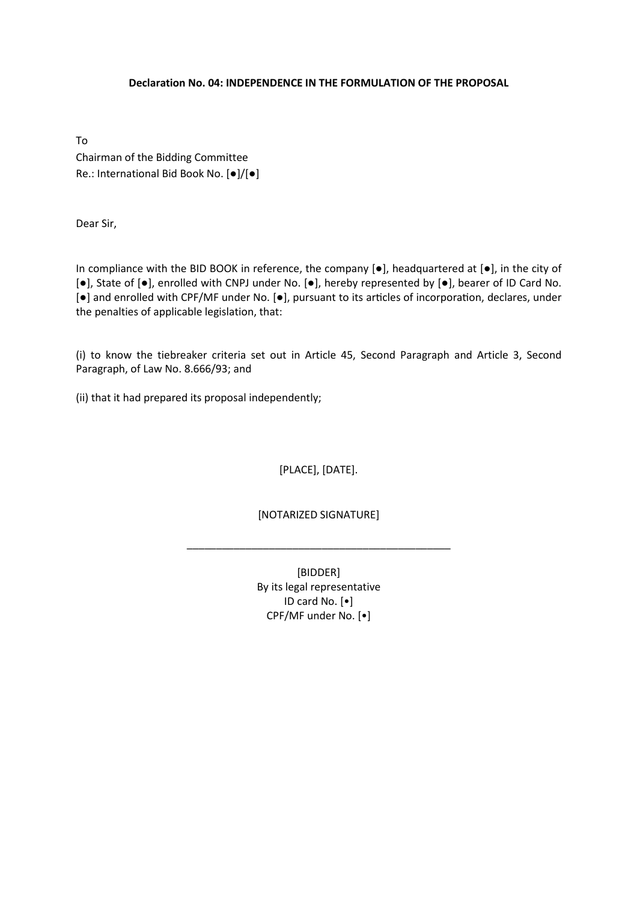#### **Declaration No. 04: INDEPENDENCE IN THE FORMULATION OF THE PROPOSAL**

To Chairman of the Bidding Committee Re.: International Bid Book No. [●]/[●]

Dear Sir,

In compliance with the BID BOOK in reference, the company [●], headquartered at [●], in the city of [●], State of [●], enrolled with CNPJ under No. [●], hereby represented by [●], bearer of ID Card No. [●] and enrolled with CPF/MF under No. [●], pursuant to its articles of incorporation, declares, under the penalties of applicable legislation, that:

(i) to know the tiebreaker criteria set out in Article 45, Second Paragraph and Article 3, Second Paragraph, of Law No. 8.666/93; and

(ii) that it had prepared its proposal independently;

[PLACE], [DATE].

[NOTARIZED SIGNATURE]

\_\_\_\_\_\_\_\_\_\_\_\_\_\_\_\_\_\_\_\_\_\_\_\_\_\_\_\_\_\_\_\_\_\_\_\_\_\_\_\_\_\_\_\_\_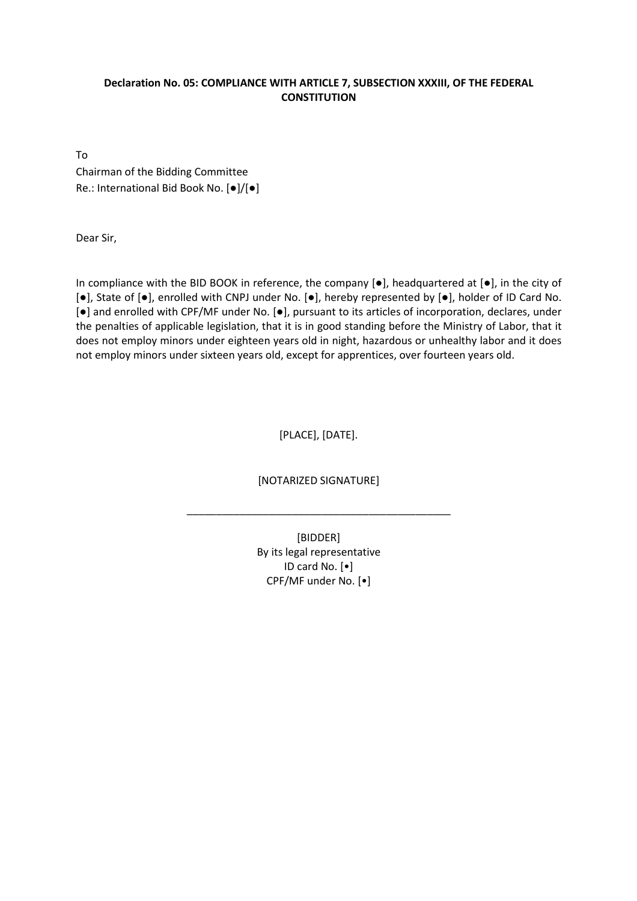#### **Declaration No. 05: COMPLIANCE WITH ARTICLE 7, SUBSECTION XXXIII, OF THE FEDERAL CONSTITUTION**

To Chairman of the Bidding Committee Re.: International Bid Book No. [●]/[●]

Dear Sir,

In compliance with the BID BOOK in reference, the company [●], headquartered at [●], in the city of [●], State of [●], enrolled with CNPJ under No. [●], hereby represented by [●], holder of ID Card No. [●] and enrolled with CPF/MF under No. [●], pursuant to its articles of incorporation, declares, under the penalties of applicable legislation, that it is in good standing before the Ministry of Labor, that it does not employ minors under eighteen years old in night, hazardous or unhealthy labor and it does not employ minors under sixteen years old, except for apprentices, over fourteen years old.

[PLACE], [DATE].

[NOTARIZED SIGNATURE]

\_\_\_\_\_\_\_\_\_\_\_\_\_\_\_\_\_\_\_\_\_\_\_\_\_\_\_\_\_\_\_\_\_\_\_\_\_\_\_\_\_\_\_\_\_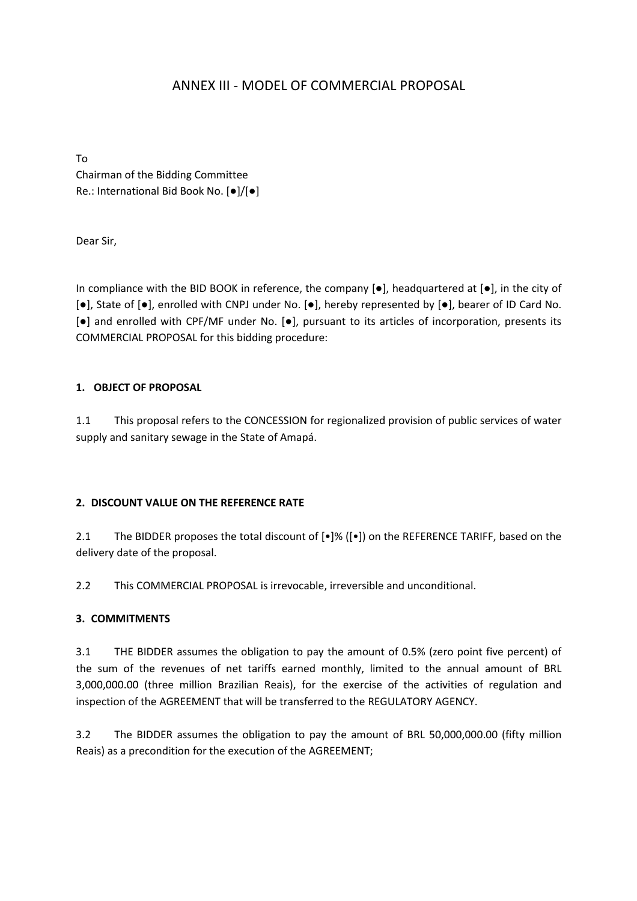## ANNEX III - MODEL OF COMMERCIAL PROPOSAL

To Chairman of the Bidding Committee Re.: International Bid Book No. [●]/[●]

Dear Sir,

In compliance with the BID BOOK in reference, the company  $[\bullet]$ , headquartered at  $[\bullet]$ , in the city of [●], State of [●], enrolled with CNPJ under No. [●], hereby represented by [●], bearer of ID Card No. [●] and enrolled with CPF/MF under No. [●], pursuant to its articles of incorporation, presents its COMMERCIAL PROPOSAL for this bidding procedure:

#### **1. OBJECT OF PROPOSAL**

1.1 This proposal refers to the CONCESSION for regionalized provision of public services of water supply and sanitary sewage in the State of Amapá.

#### **2. DISCOUNT VALUE ON THE REFERENCE RATE**

2.1 The BIDDER proposes the total discount of  $[•]$ % ( $[•]$ ) on the REFERENCE TARIFF, based on the delivery date of the proposal.

2.2 This COMMERCIAL PROPOSAL is irrevocable, irreversible and unconditional.

#### **3. COMMITMENTS**

3.1 THE BIDDER assumes the obligation to pay the amount of 0.5% (zero point five percent) of the sum of the revenues of net tariffs earned monthly, limited to the annual amount of BRL 3,000,000.00 (three million Brazilian Reais), for the exercise of the activities of regulation and inspection of the AGREEMENT that will be transferred to the REGULATORY AGENCY.

3.2 The BIDDER assumes the obligation to pay the amount of BRL 50,000,000.00 (fifty million Reais) as a precondition for the execution of the AGREEMENT;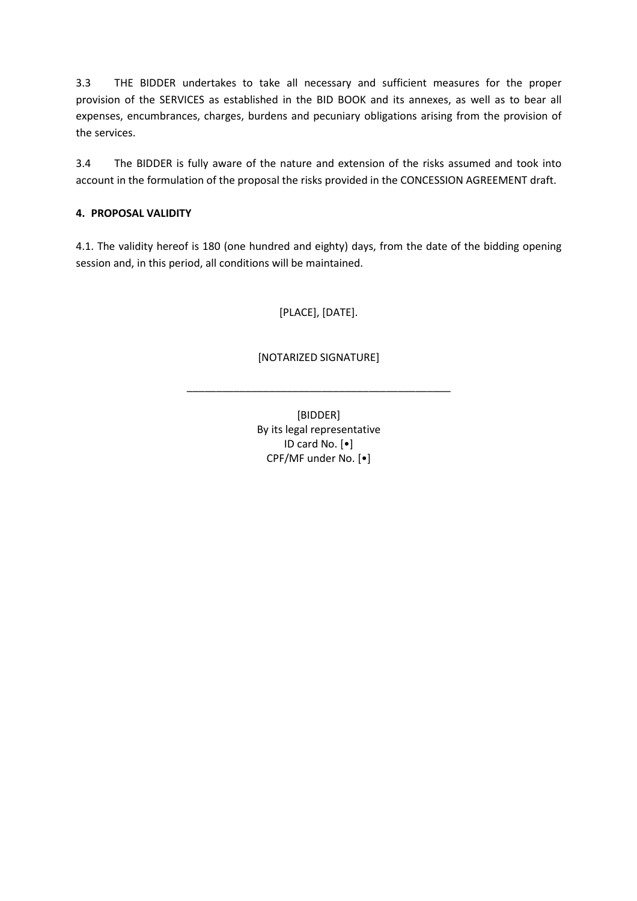3.3 THE BIDDER undertakes to take all necessary and sufficient measures for the proper provision of the SERVICES as established in the BID BOOK and its annexes, as well as to bear all expenses, encumbrances, charges, burdens and pecuniary obligations arising from the provision of the services.

3.4 The BIDDER is fully aware of the nature and extension of the risks assumed and took into account in the formulation of the proposal the risks provided in the CONCESSION AGREEMENT draft.

### **4. PROPOSAL VALIDITY**

4.1. The validity hereof is 180 (one hundred and eighty) days, from the date of the bidding opening session and, in this period, all conditions will be maintained.

[PLACE], [DATE].

## [NOTARIZED SIGNATURE]

\_\_\_\_\_\_\_\_\_\_\_\_\_\_\_\_\_\_\_\_\_\_\_\_\_\_\_\_\_\_\_\_\_\_\_\_\_\_\_\_\_\_\_\_\_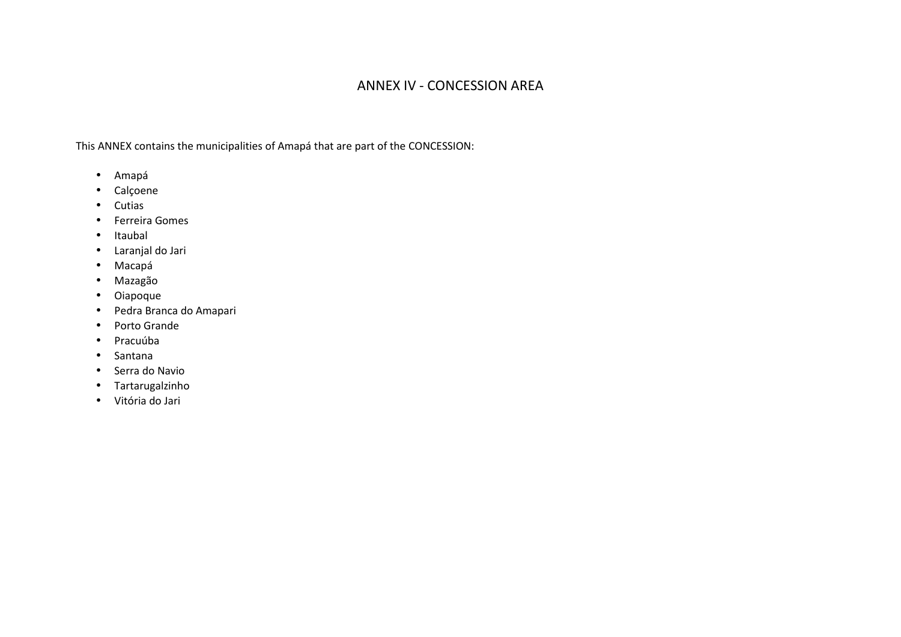## ANNEX IV - CONCESSION AREA

This ANNEX contains the municipalities of Amapá that are part of the CONCESSION:

- Amapá
- Calçoene
- Cutias
- Ferreira Gomes
- Itaubal
- Laranjal do Jari
- Macapá
- Mazagão
- Oiapoque
- Pedra Branca do Amapari
- Porto Grande
- Pracuúba
- Santana
- Serra do Navio
- Tartarugalzinho
- Vitória do Jari